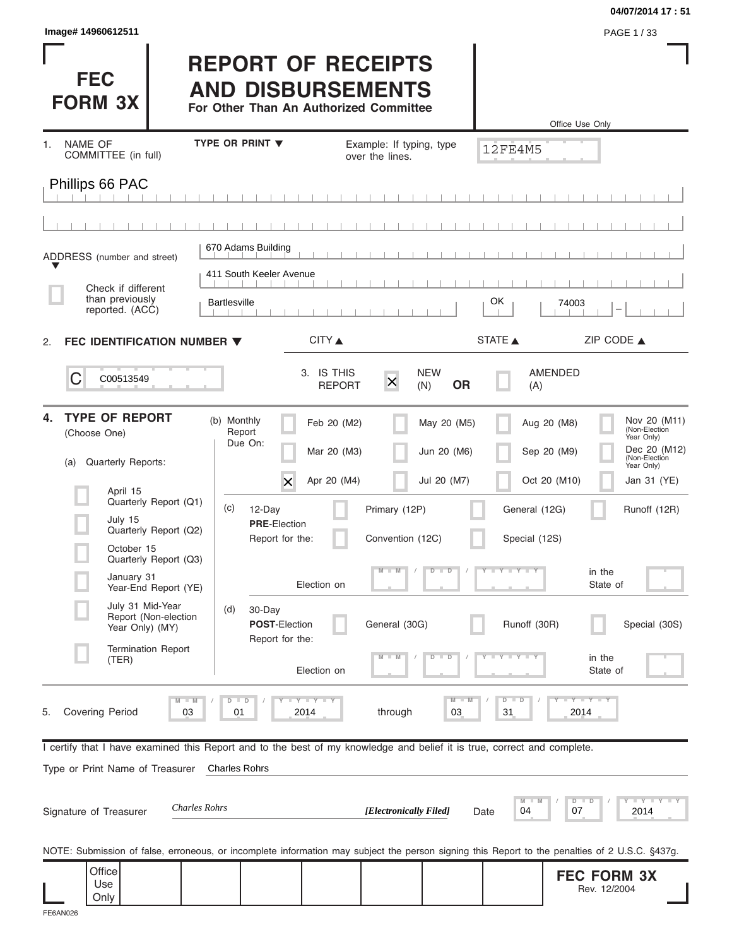| Image# 14960612511<br>PAGE 1/33<br><b>REPORT OF RECEIPTS</b><br><b>FEC</b><br><b>AND DISBURSEMENTS</b><br><b>FORM 3X</b><br>For Other Than An Authorized Committee<br>Office Use Only<br><b>TYPE OR PRINT V</b><br>NAME OF<br>Example: If typing, type<br>1.<br>12FE4M5<br>COMMITTEE (in full)<br>over the lines.<br>Phillips 66 PAC<br>670 Adams Building<br>ADDRESS (number and street)<br>411 South Keeler Avenue<br>Check if different<br>than previously<br>OK.<br><b>Bartlesville</b><br>74003<br>reported. (ACC)<br>CITY<br>STATE A<br>ZIP CODE $\triangle$<br>FEC IDENTIFICATION NUMBER ▼<br>2.<br>3. IS THIS<br><b>NEW</b><br>AMENDED<br>C<br>C00513549<br>$\mathsf{x}$<br><b>OR</b><br><b>REPORT</b><br>(N)<br>(A)<br><b>TYPE OF REPORT</b><br>4.<br>(b) Monthly<br>Feb 20 (M2)<br>May 20 (M5)<br>Aug 20 (M8)<br>Report<br>(Choose One)<br>Year Only)<br>Due On:<br>Mar 20 (M3)<br>Jun 20 (M6)<br>Sep 20 (M9)<br>(Non-Election<br>Quarterly Reports:<br>(a)<br>Year Only)<br>Apr 20 (M4)<br>Jul 20 (M7)<br>Oct 20 (M10)<br>Jan 31 (YE)<br>X<br>April 15<br>Quarterly Report (Q1)<br>(c)<br>12-Day<br>Primary (12P)<br>General (12G)<br>July 15<br><b>PRE-Election</b><br>Quarterly Report (Q2)<br>Report for the:<br>Convention (12C)<br>Special (12S)<br>October 15<br>Quarterly Report (Q3)<br>$Y + Y + Y$<br>in the<br>D<br>$\Box$<br>January 31<br>Election on<br>State of<br>Year-End Report (YE)<br>July 31 Mid-Year<br>30-Day<br>(d)<br>Report (Non-election<br>POST-Election<br>General (30G)<br>Runoff (30R)<br>Year Only) (MY)<br>Report for the:<br><b>Termination Report</b><br>in the<br>D<br>D<br>(TER)<br>Election on<br>State of<br><b>LY LY LY</b><br>$-Y - Y - Y$<br>$M - M$<br>$D$ $D$<br>$M - M$<br>$D - D$<br><b>Covering Period</b><br>01<br>31<br>5.<br>03<br>2014<br>through<br>03<br>2014<br>I certify that I have examined this Report and to the best of my knowledge and belief it is true, correct and complete.<br>Type or Print Name of Treasurer<br><b>Charles Rohrs</b><br>M<br>$D$ $D$<br><b>Charles Rohrs</b><br>[Electronically Filed]<br>04<br>07<br>Signature of Treasurer<br>2014<br>Date<br>NOTE: Submission of false, erroneous, or incomplete information may subject the person signing this Report to the penalties of 2 U.S.C. §437g.<br>Office<br><b>FEC FORM 3X</b> |     |  |  | 04/07/2014 17:51                                                                                                                     |
|------------------------------------------------------------------------------------------------------------------------------------------------------------------------------------------------------------------------------------------------------------------------------------------------------------------------------------------------------------------------------------------------------------------------------------------------------------------------------------------------------------------------------------------------------------------------------------------------------------------------------------------------------------------------------------------------------------------------------------------------------------------------------------------------------------------------------------------------------------------------------------------------------------------------------------------------------------------------------------------------------------------------------------------------------------------------------------------------------------------------------------------------------------------------------------------------------------------------------------------------------------------------------------------------------------------------------------------------------------------------------------------------------------------------------------------------------------------------------------------------------------------------------------------------------------------------------------------------------------------------------------------------------------------------------------------------------------------------------------------------------------------------------------------------------------------------------------------------------------------------------------------------------------------------------------------------------------------------------------------------------------------------------------------------------------------------------------------------------------------------------------------------------------------------------------------------------------------------------------------------------------------------------------------------------------------------------|-----|--|--|--------------------------------------------------------------------------------------------------------------------------------------|
|                                                                                                                                                                                                                                                                                                                                                                                                                                                                                                                                                                                                                                                                                                                                                                                                                                                                                                                                                                                                                                                                                                                                                                                                                                                                                                                                                                                                                                                                                                                                                                                                                                                                                                                                                                                                                                                                                                                                                                                                                                                                                                                                                                                                                                                                                                                              |     |  |  |                                                                                                                                      |
|                                                                                                                                                                                                                                                                                                                                                                                                                                                                                                                                                                                                                                                                                                                                                                                                                                                                                                                                                                                                                                                                                                                                                                                                                                                                                                                                                                                                                                                                                                                                                                                                                                                                                                                                                                                                                                                                                                                                                                                                                                                                                                                                                                                                                                                                                                                              |     |  |  |                                                                                                                                      |
|                                                                                                                                                                                                                                                                                                                                                                                                                                                                                                                                                                                                                                                                                                                                                                                                                                                                                                                                                                                                                                                                                                                                                                                                                                                                                                                                                                                                                                                                                                                                                                                                                                                                                                                                                                                                                                                                                                                                                                                                                                                                                                                                                                                                                                                                                                                              |     |  |  |                                                                                                                                      |
|                                                                                                                                                                                                                                                                                                                                                                                                                                                                                                                                                                                                                                                                                                                                                                                                                                                                                                                                                                                                                                                                                                                                                                                                                                                                                                                                                                                                                                                                                                                                                                                                                                                                                                                                                                                                                                                                                                                                                                                                                                                                                                                                                                                                                                                                                                                              |     |  |  |                                                                                                                                      |
|                                                                                                                                                                                                                                                                                                                                                                                                                                                                                                                                                                                                                                                                                                                                                                                                                                                                                                                                                                                                                                                                                                                                                                                                                                                                                                                                                                                                                                                                                                                                                                                                                                                                                                                                                                                                                                                                                                                                                                                                                                                                                                                                                                                                                                                                                                                              |     |  |  |                                                                                                                                      |
|                                                                                                                                                                                                                                                                                                                                                                                                                                                                                                                                                                                                                                                                                                                                                                                                                                                                                                                                                                                                                                                                                                                                                                                                                                                                                                                                                                                                                                                                                                                                                                                                                                                                                                                                                                                                                                                                                                                                                                                                                                                                                                                                                                                                                                                                                                                              |     |  |  |                                                                                                                                      |
|                                                                                                                                                                                                                                                                                                                                                                                                                                                                                                                                                                                                                                                                                                                                                                                                                                                                                                                                                                                                                                                                                                                                                                                                                                                                                                                                                                                                                                                                                                                                                                                                                                                                                                                                                                                                                                                                                                                                                                                                                                                                                                                                                                                                                                                                                                                              |     |  |  |                                                                                                                                      |
|                                                                                                                                                                                                                                                                                                                                                                                                                                                                                                                                                                                                                                                                                                                                                                                                                                                                                                                                                                                                                                                                                                                                                                                                                                                                                                                                                                                                                                                                                                                                                                                                                                                                                                                                                                                                                                                                                                                                                                                                                                                                                                                                                                                                                                                                                                                              |     |  |  |                                                                                                                                      |
|                                                                                                                                                                                                                                                                                                                                                                                                                                                                                                                                                                                                                                                                                                                                                                                                                                                                                                                                                                                                                                                                                                                                                                                                                                                                                                                                                                                                                                                                                                                                                                                                                                                                                                                                                                                                                                                                                                                                                                                                                                                                                                                                                                                                                                                                                                                              |     |  |  |                                                                                                                                      |
|                                                                                                                                                                                                                                                                                                                                                                                                                                                                                                                                                                                                                                                                                                                                                                                                                                                                                                                                                                                                                                                                                                                                                                                                                                                                                                                                                                                                                                                                                                                                                                                                                                                                                                                                                                                                                                                                                                                                                                                                                                                                                                                                                                                                                                                                                                                              |     |  |  |                                                                                                                                      |
|                                                                                                                                                                                                                                                                                                                                                                                                                                                                                                                                                                                                                                                                                                                                                                                                                                                                                                                                                                                                                                                                                                                                                                                                                                                                                                                                                                                                                                                                                                                                                                                                                                                                                                                                                                                                                                                                                                                                                                                                                                                                                                                                                                                                                                                                                                                              |     |  |  | Nov 20 (M11)<br>(Non-Election<br>Dec 20 (M12)                                                                                        |
|                                                                                                                                                                                                                                                                                                                                                                                                                                                                                                                                                                                                                                                                                                                                                                                                                                                                                                                                                                                                                                                                                                                                                                                                                                                                                                                                                                                                                                                                                                                                                                                                                                                                                                                                                                                                                                                                                                                                                                                                                                                                                                                                                                                                                                                                                                                              |     |  |  |                                                                                                                                      |
|                                                                                                                                                                                                                                                                                                                                                                                                                                                                                                                                                                                                                                                                                                                                                                                                                                                                                                                                                                                                                                                                                                                                                                                                                                                                                                                                                                                                                                                                                                                                                                                                                                                                                                                                                                                                                                                                                                                                                                                                                                                                                                                                                                                                                                                                                                                              |     |  |  | Runoff (12R)                                                                                                                         |
|                                                                                                                                                                                                                                                                                                                                                                                                                                                                                                                                                                                                                                                                                                                                                                                                                                                                                                                                                                                                                                                                                                                                                                                                                                                                                                                                                                                                                                                                                                                                                                                                                                                                                                                                                                                                                                                                                                                                                                                                                                                                                                                                                                                                                                                                                                                              |     |  |  |                                                                                                                                      |
|                                                                                                                                                                                                                                                                                                                                                                                                                                                                                                                                                                                                                                                                                                                                                                                                                                                                                                                                                                                                                                                                                                                                                                                                                                                                                                                                                                                                                                                                                                                                                                                                                                                                                                                                                                                                                                                                                                                                                                                                                                                                                                                                                                                                                                                                                                                              |     |  |  |                                                                                                                                      |
|                                                                                                                                                                                                                                                                                                                                                                                                                                                                                                                                                                                                                                                                                                                                                                                                                                                                                                                                                                                                                                                                                                                                                                                                                                                                                                                                                                                                                                                                                                                                                                                                                                                                                                                                                                                                                                                                                                                                                                                                                                                                                                                                                                                                                                                                                                                              |     |  |  | Special (30S)                                                                                                                        |
|                                                                                                                                                                                                                                                                                                                                                                                                                                                                                                                                                                                                                                                                                                                                                                                                                                                                                                                                                                                                                                                                                                                                                                                                                                                                                                                                                                                                                                                                                                                                                                                                                                                                                                                                                                                                                                                                                                                                                                                                                                                                                                                                                                                                                                                                                                                              |     |  |  |                                                                                                                                      |
|                                                                                                                                                                                                                                                                                                                                                                                                                                                                                                                                                                                                                                                                                                                                                                                                                                                                                                                                                                                                                                                                                                                                                                                                                                                                                                                                                                                                                                                                                                                                                                                                                                                                                                                                                                                                                                                                                                                                                                                                                                                                                                                                                                                                                                                                                                                              |     |  |  |                                                                                                                                      |
|                                                                                                                                                                                                                                                                                                                                                                                                                                                                                                                                                                                                                                                                                                                                                                                                                                                                                                                                                                                                                                                                                                                                                                                                                                                                                                                                                                                                                                                                                                                                                                                                                                                                                                                                                                                                                                                                                                                                                                                                                                                                                                                                                                                                                                                                                                                              |     |  |  |                                                                                                                                      |
|                                                                                                                                                                                                                                                                                                                                                                                                                                                                                                                                                                                                                                                                                                                                                                                                                                                                                                                                                                                                                                                                                                                                                                                                                                                                                                                                                                                                                                                                                                                                                                                                                                                                                                                                                                                                                                                                                                                                                                                                                                                                                                                                                                                                                                                                                                                              |     |  |  |                                                                                                                                      |
|                                                                                                                                                                                                                                                                                                                                                                                                                                                                                                                                                                                                                                                                                                                                                                                                                                                                                                                                                                                                                                                                                                                                                                                                                                                                                                                                                                                                                                                                                                                                                                                                                                                                                                                                                                                                                                                                                                                                                                                                                                                                                                                                                                                                                                                                                                                              |     |  |  | $    +$ $ +$ $ +$ $ +$ $ +$ $ +$ $ +$ $ +$ $ +$ $ +$ $ +$ $ +$ $ +$ $ +$ $ +$ $ +$ $ +$ $ +$ $ +$ $ +$ $ +$ $ +$ $ +$ $ +$ $ +$ $ +$ |
|                                                                                                                                                                                                                                                                                                                                                                                                                                                                                                                                                                                                                                                                                                                                                                                                                                                                                                                                                                                                                                                                                                                                                                                                                                                                                                                                                                                                                                                                                                                                                                                                                                                                                                                                                                                                                                                                                                                                                                                                                                                                                                                                                                                                                                                                                                                              |     |  |  |                                                                                                                                      |
| Rev. 12/2004<br>Only                                                                                                                                                                                                                                                                                                                                                                                                                                                                                                                                                                                                                                                                                                                                                                                                                                                                                                                                                                                                                                                                                                                                                                                                                                                                                                                                                                                                                                                                                                                                                                                                                                                                                                                                                                                                                                                                                                                                                                                                                                                                                                                                                                                                                                                                                                         | Use |  |  |                                                                                                                                      |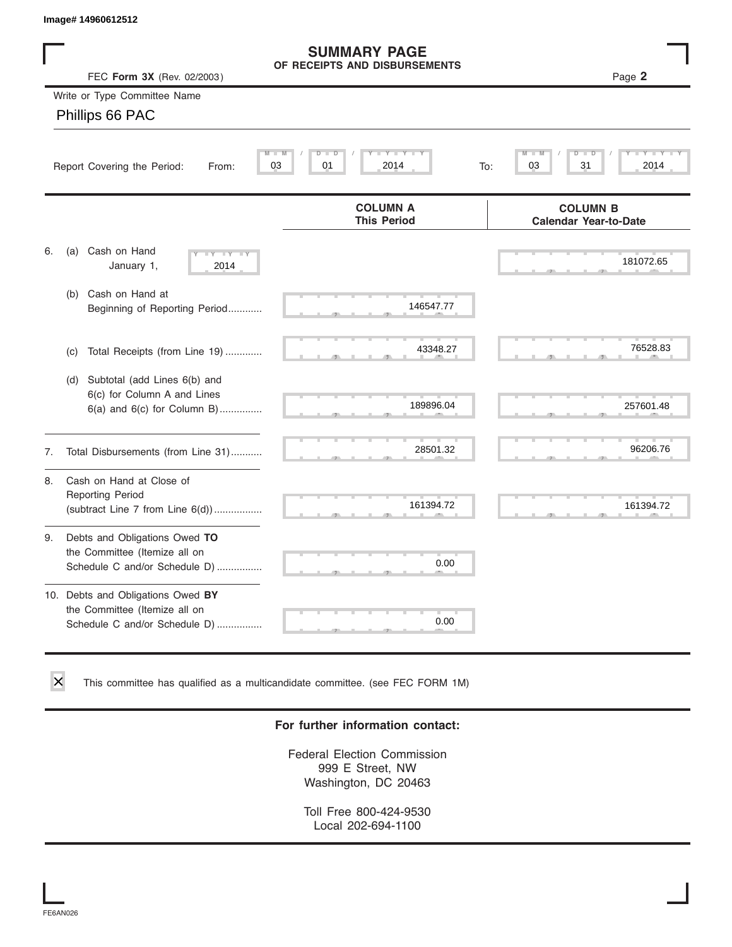|    | Image# 14960612512                                                                                    |                                                      |                                                 |
|----|-------------------------------------------------------------------------------------------------------|------------------------------------------------------|-------------------------------------------------|
|    | FEC Form 3X (Rev. 02/2003)                                                                            | <b>SUMMARY PAGE</b><br>OF RECEIPTS AND DISBURSEMENTS | Page 2                                          |
|    | Write or Type Committee Name<br>Phillips 66 PAC                                                       |                                                      |                                                 |
|    | $M -$<br>Report Covering the Period:<br>From:                                                         | D<br>$\Box$<br>$Y - Y - I$<br>M<br>03<br>01<br>2014  | M<br>D<br>03<br>31<br>2014<br>To:               |
|    |                                                                                                       | <b>COLUMN A</b><br><b>This Period</b>                | <b>COLUMN B</b><br><b>Calendar Year-to-Date</b> |
| 6. | Cash on Hand<br>(a)<br>$-Y - Y - Y$<br>January 1,<br>2014                                             |                                                      | 181072.65                                       |
|    | Cash on Hand at<br>(b)<br>Beginning of Reporting Period                                               | 146547.77                                            |                                                 |
|    | Total Receipts (from Line 19)<br>(c)                                                                  | 43348.27                                             | 76528.83                                        |
|    | Subtotal (add Lines 6(b) and<br>(d)<br>6(c) for Column A and Lines<br>$6(a)$ and $6(c)$ for Column B) | 189896.04                                            | 257601.48                                       |
| 7. | Total Disbursements (from Line 31)                                                                    | 28501.32                                             | 96206.76                                        |
| 8. | Cash on Hand at Close of<br><b>Reporting Period</b><br>(subtract Line $7$ from Line $6(d)$ )          | 161394.72                                            | 161394.72                                       |
| 9. | Debts and Obligations Owed TO<br>the Committee (Itemize all on<br>Schedule C and/or Schedule D)       | 0.00                                                 |                                                 |
|    | 10. Debts and Obligations Owed BY<br>the Committee (Itemize all on<br>Schedule C and/or Schedule D)   | T,<br>0.00                                           |                                                 |

This committee has qualified as a multicandidate committee. (see FEC FORM 1M)

#### **For further information contact:**

Federal Election Commission 999 E Street, NW Washington, DC 20463

Toll Free 800-424-9530 Local 202-694-1100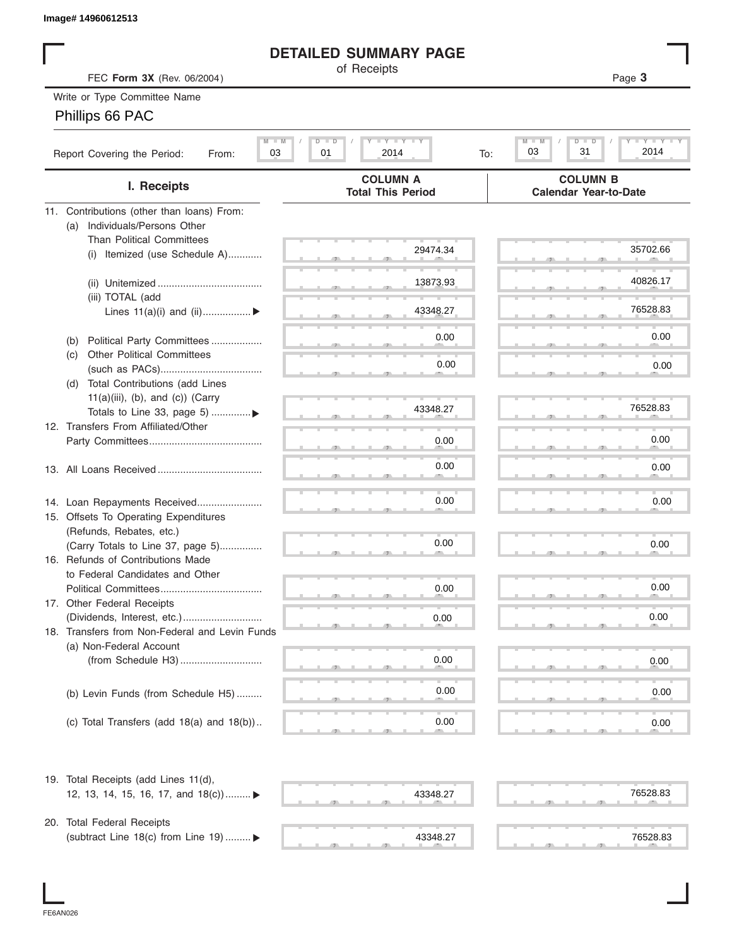| lmaqe# 14960612513 |  |
|--------------------|--|
|--------------------|--|

#### **DETAILED SUMMARY PAGE**

| Image# 14960612513                                                    |                                                         |                                                               |
|-----------------------------------------------------------------------|---------------------------------------------------------|---------------------------------------------------------------|
|                                                                       | <b>DETAILED SUMMARY PAGE</b>                            |                                                               |
| FEC Form 3X (Rev. 06/2004)                                            | of Receipts                                             | Page 3                                                        |
| Write or Type Committee Name                                          |                                                         |                                                               |
| Phillips 66 PAC                                                       |                                                         |                                                               |
|                                                                       |                                                         |                                                               |
| $M - M$<br>Report Covering the Period:<br>03<br>From:                 | $I - Y - I - Y - I - Y$<br>$D$ $D$<br>01<br>2014<br>To: | <b>LEY LEY LE</b><br>M<br>$D$ $\Box$<br>D<br>31<br>2014<br>03 |
| I. Receipts                                                           | <b>COLUMN A</b><br><b>Total This Period</b>             | <b>COLUMN B</b><br><b>Calendar Year-to-Date</b>               |
| 11. Contributions (other than loans) From:                            |                                                         |                                                               |
| Individuals/Persons Other<br>(a)                                      |                                                         |                                                               |
| <b>Than Political Committees</b>                                      |                                                         |                                                               |
| Itemized (use Schedule A)<br>(i)                                      | 29474.34                                                | 35702.66                                                      |
|                                                                       |                                                         |                                                               |
|                                                                       | 13873.93                                                | 40826.17                                                      |
| (iii) TOTAL (add                                                      |                                                         |                                                               |
| Lines $11(a)(i)$ and $(ii)$                                           | 43348.27                                                | 76528.83                                                      |
|                                                                       |                                                         | 0.00                                                          |
| Political Party Committees<br>(b)                                     | 0.00                                                    |                                                               |
| <b>Other Political Committees</b><br>(c)                              | 0.00                                                    | 0.00                                                          |
|                                                                       |                                                         |                                                               |
| Total Contributions (add Lines<br>(d)                                 |                                                         |                                                               |
| $11(a)(iii)$ , (b), and (c)) (Carry<br>Totals to Line 33, page 5) ▶   | 43348.27                                                | 76528.83                                                      |
| 12. Transfers From Affiliated/Other                                   |                                                         |                                                               |
|                                                                       | 0.00                                                    | 0.00                                                          |
|                                                                       |                                                         |                                                               |
|                                                                       | 0.00                                                    | 0.00                                                          |
|                                                                       |                                                         |                                                               |
|                                                                       | 0.00                                                    | 0.00                                                          |
| 14. Loan Repayments Received<br>15. Offsets To Operating Expenditures |                                                         |                                                               |
| (Refunds, Rebates, etc.)                                              |                                                         |                                                               |
| (Carry Totals to Line 37, page 5)                                     | 0.00                                                    | 0.00                                                          |
| 16. Refunds of Contributions Made                                     |                                                         |                                                               |
| to Federal Candidates and Other                                       |                                                         |                                                               |
| Political Committees                                                  | 0.00                                                    | 0.00                                                          |
| 17. Other Federal Receipts                                            |                                                         |                                                               |
| (Dividends, Interest, etc.)                                           | 0.00                                                    | 0.00                                                          |
| 18. Transfers from Non-Federal and Levin Funds                        |                                                         |                                                               |
| (a) Non-Federal Account                                               |                                                         |                                                               |
|                                                                       | 0.00                                                    | 0.00                                                          |
|                                                                       |                                                         |                                                               |
| (b) Levin Funds (from Schedule H5)                                    | 0.00                                                    | 0.00                                                          |
|                                                                       |                                                         |                                                               |
| (c) Total Transfers (add $18(a)$ and $18(b)$ )                        | 0.00                                                    | 0.00                                                          |
|                                                                       |                                                         |                                                               |
| 19. Total Receipts (add Lines 11(d),                                  |                                                         |                                                               |
| 12, 13, 14, 15, 16, 17, and 18(c)) ▶                                  | 43348.27                                                | 76528.83                                                      |
|                                                                       |                                                         |                                                               |
| 20. Total Federal Receipts                                            |                                                         |                                                               |
| (subtract Line 18(c) from Line 19)  ▶                                 | 43348.27                                                | 76528.83                                                      |
|                                                                       |                                                         |                                                               |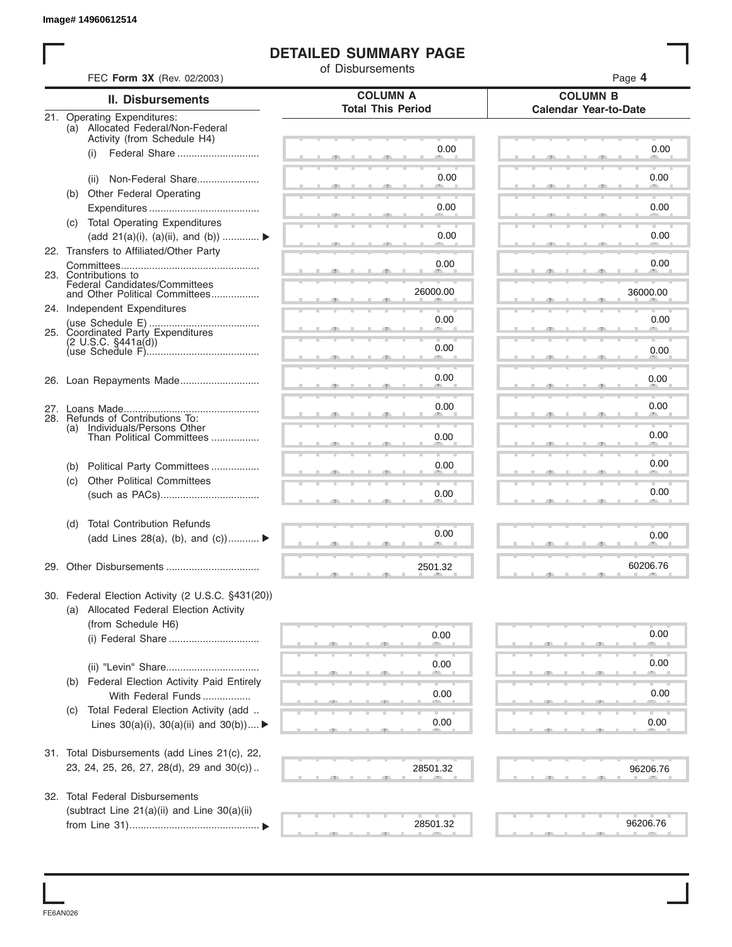#### **DETAILED SUMMARY PAGE**

|     | FEC Form 3X (Rev. 02/2003)                                           | of Disbursements         | Page 4                       |
|-----|----------------------------------------------------------------------|--------------------------|------------------------------|
|     | <b>II. Disbursements</b>                                             | <b>COLUMN A</b>          | <b>COLUMN B</b>              |
|     | 21. Operating Expenditures:                                          | <b>Total This Period</b> | <b>Calendar Year-to-Date</b> |
|     | (a) Allocated Federal/Non-Federal                                    |                          |                              |
|     | Activity (from Schedule H4)<br>Federal Share<br>(i)                  | 0.00                     | 0.00                         |
|     |                                                                      |                          |                              |
|     | Non-Federal Share<br>(ii)                                            | 0.00                     | 0.00                         |
|     | (b) Other Federal Operating                                          |                          |                              |
|     |                                                                      | 0.00                     | 0.00                         |
|     | (c) Total Operating Expenditures<br>(add 21(a)(i), (a)(ii), and (b)) | 0.00                     | 0.00                         |
|     | 22. Transfers to Affiliated/Other Party                              |                          |                              |
|     |                                                                      | 0.00                     | 0.00                         |
|     | 23. Contributions to<br>Federal Candidates/Committees                |                          |                              |
|     | and Other Political Committees                                       | 26000.00                 | 36000.00                     |
|     | 24. Independent Expenditures                                         | 0.00                     | 0.00                         |
|     | 25. Coordinated Party Expenditures                                   |                          |                              |
|     | $(2 \cup S.C. \S441a(d))$                                            | 0.00                     | 0.00                         |
|     |                                                                      |                          |                              |
|     |                                                                      | 0.00                     | 0.00                         |
|     |                                                                      |                          |                              |
|     | 28. Refunds of Contributions To:                                     | 0.00                     | 0.00                         |
| (a) | Individuals/Persons Other<br>Than Political Committees               | 0.00                     | 0.00                         |
|     |                                                                      |                          |                              |
| (b) | Political Party Committees                                           | 0.00                     | 0.00                         |
| (c) | <b>Other Political Committees</b>                                    |                          |                              |
|     |                                                                      | 0.00                     | 0.00                         |
| (d) | <b>Total Contribution Refunds</b>                                    |                          |                              |
|     | (add Lines 28(a), (b), and $(c)$ )                                   | 0.00                     | 0.00                         |
|     |                                                                      |                          |                              |
|     |                                                                      | 2501.32                  | 60206.76                     |
|     | 30. Federal Election Activity (2 U.S.C. §431(20))                    |                          |                              |
|     | (a) Allocated Federal Election Activity                              |                          |                              |
|     | (from Schedule H6)                                                   | 0.00                     | 0.00                         |
|     |                                                                      |                          |                              |
|     |                                                                      | 0.00                     | 0.00                         |
| (b) | Federal Election Activity Paid Entirely                              |                          |                              |
|     | With Federal Funds                                                   | 0.00                     | 0.00                         |
| (C) | Total Federal Election Activity (add                                 |                          |                              |
|     | Lines $30(a)(i)$ , $30(a)(ii)$ and $30(b))$                          | 0.00                     | 0.00                         |
|     | 31. Total Disbursements (add Lines 21(c), 22,                        |                          |                              |
|     | 23, 24, 25, 26, 27, 28(d), 29 and 30(c))                             | 28501.32                 | 96206.76                     |
|     |                                                                      |                          |                              |
|     | 32. Total Federal Disbursements                                      |                          |                              |
|     | (subtract Line 21(a)(ii) and Line 30(a)(ii)                          |                          |                              |
|     |                                                                      | 28501.32                 | 96206.76                     |

FE6AN026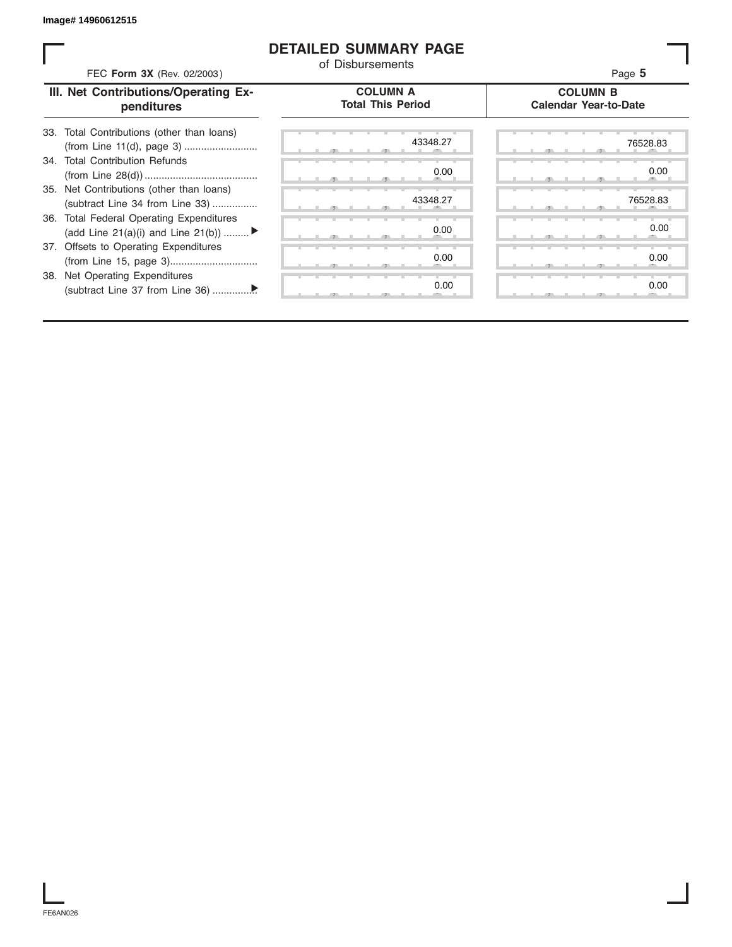#### **DETAILED SUMMARY PAGE**

| FEC Form 3X (Rev. 02/2003)                                                     | of Disbursements                            | Page 5                                          |
|--------------------------------------------------------------------------------|---------------------------------------------|-------------------------------------------------|
| III. Net Contributions/Operating Ex-<br>penditures                             | <b>COLUMN A</b><br><b>Total This Period</b> | <b>COLUMN B</b><br><b>Calendar Year-to-Date</b> |
| 33. Total Contributions (other than loans)                                     | 43348.27                                    | 76528.83                                        |
| 34. Total Contribution Refunds                                                 | 0.00                                        | 0.00                                            |
| 35. Net Contributions (other than loans)<br>(subtract Line 34 from Line 33)    | 43348.27                                    | 76528.83                                        |
| 36. Total Federal Operating Expenditures<br>(add Line 21(a)(i) and Line 21(b)) | 0.00                                        | 0.00                                            |
| 37. Offsets to Operating Expenditures                                          | 0.00                                        | 0.00                                            |
| 38. Net Operating Expenditures                                                 | 0.00                                        | 0.00                                            |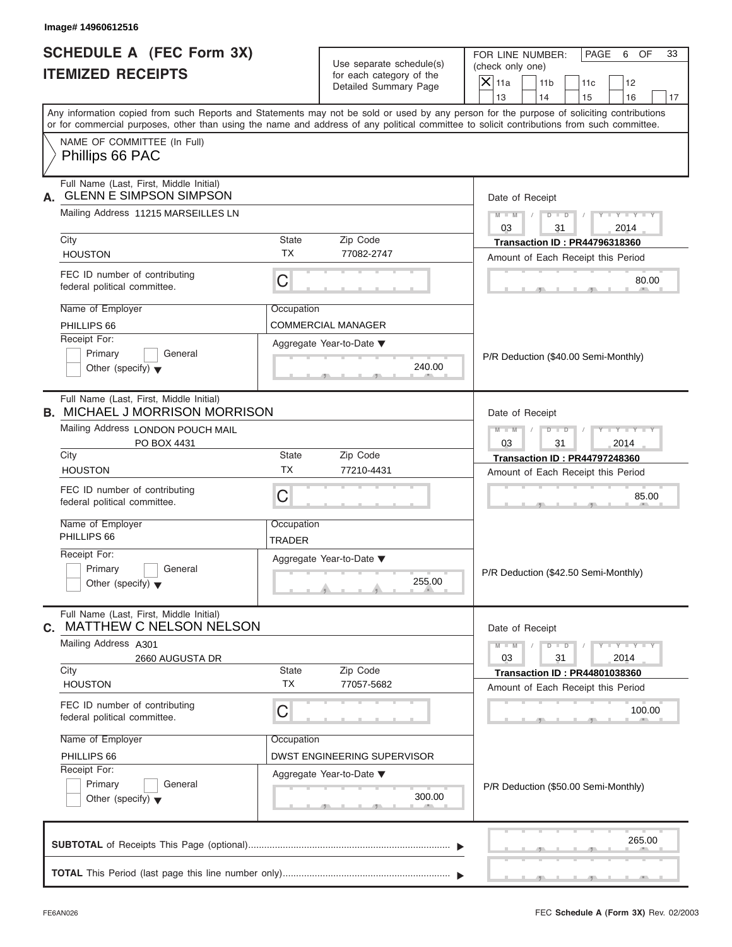FOR LINE NUMBER: PAGE 6 OF<br>(check only one)

| SCHEDULE A (FEC Form 3X)<br><b>ITEMIZED RECEIPTS</b>                                                                                                                                                                                                                                    | Use separate schedule(s)<br>for each category of the                            | FOR LINE NUMBER:<br>PAGE<br>6<br>OF<br>33<br>(check only one)<br>$X$ 11a<br>11 <sub>b</sub><br>11c<br>12 |
|-----------------------------------------------------------------------------------------------------------------------------------------------------------------------------------------------------------------------------------------------------------------------------------------|---------------------------------------------------------------------------------|----------------------------------------------------------------------------------------------------------|
|                                                                                                                                                                                                                                                                                         | <b>Detailed Summary Page</b>                                                    | 13<br>14<br>15<br>16<br>17                                                                               |
| Any information copied from such Reports and Statements may not be sold or used by any person for the purpose of soliciting contributions<br>or for commercial purposes, other than using the name and address of any political committee to solicit contributions from such committee. |                                                                                 |                                                                                                          |
| NAME OF COMMITTEE (In Full)<br>Phillips 66 PAC                                                                                                                                                                                                                                          |                                                                                 |                                                                                                          |
| Full Name (Last, First, Middle Initial)<br><b>GLENN E SIMPSON SIMPSON</b>                                                                                                                                                                                                               |                                                                                 | Date of Receipt                                                                                          |
| Mailing Address 11215 MARSEILLES LN                                                                                                                                                                                                                                                     |                                                                                 | $Y - Y - Y - Y$<br>$M - M$<br>$D$ $D$<br>$\sqrt{2}$<br>03<br>31<br>2014                                  |
| City<br><b>HOUSTON</b>                                                                                                                                                                                                                                                                  | State<br>Zip Code<br><b>TX</b><br>77082-2747                                    | <b>Transaction ID: PR44796318360</b><br>Amount of Each Receipt this Period                               |
| FEC ID number of contributing<br>federal political committee.                                                                                                                                                                                                                           | C                                                                               | 80.00                                                                                                    |
| Name of Employer<br>PHILLIPS 66<br>Receipt For:<br>Primary<br>General<br>Other (specify) $\blacktriangledown$                                                                                                                                                                           | Occupation<br>COMMERCIAL MANAGER<br>Aggregate Year-to-Date ▼<br>240.00          | P/R Deduction (\$40.00 Semi-Monthly)                                                                     |
| Full Name (Last, First, Middle Initial)<br><b>B. MICHAEL J MORRISON MORRISON</b>                                                                                                                                                                                                        | $-7$                                                                            | Date of Receipt                                                                                          |
| Mailing Address LONDON POUCH MAIL<br>PO BOX 4431                                                                                                                                                                                                                                        |                                                                                 | $M - M$<br>$D$ $D$<br>$+Y+Y$<br>03<br>31<br>2014                                                         |
| City<br><b>HOUSTON</b>                                                                                                                                                                                                                                                                  | Zip Code<br>State<br>ТX<br>77210-4431                                           | <b>Transaction ID: PR44797248360</b><br>Amount of Each Receipt this Period                               |
| FEC ID number of contributing<br>federal political committee.                                                                                                                                                                                                                           | C                                                                               | 85.00                                                                                                    |
| Name of Employer<br>PHILLIPS 66                                                                                                                                                                                                                                                         | Occupation                                                                      |                                                                                                          |
| Receipt For:<br>Primary<br>General<br>Other (specify) $\blacktriangledown$                                                                                                                                                                                                              | <b>TRADER</b><br>Aggregate Year-to-Date ▼<br>255.00                             | P/R Deduction (\$42.50 Semi-Monthly)                                                                     |
| Full Name (Last, First, Middle Initial)<br><b>MATTHEW C NELSON NELSON</b><br>С.                                                                                                                                                                                                         |                                                                                 | Date of Receipt                                                                                          |
| Mailing Address A301<br>2660 AUGUSTA DR                                                                                                                                                                                                                                                 |                                                                                 | $Y - Y - Y - Y - Y$<br>$M - M$<br>$D$ $D$<br>31<br>03<br>2014                                            |
| City<br><b>HOUSTON</b>                                                                                                                                                                                                                                                                  | Zip Code<br>State<br><b>TX</b><br>77057-5682                                    | <b>Transaction ID: PR44801038360</b><br>Amount of Each Receipt this Period                               |
| FEC ID number of contributing<br>federal political committee.                                                                                                                                                                                                                           | C                                                                               | 100.00                                                                                                   |
| Name of Employer<br>PHILLIPS 66<br>Receipt For:<br>Primary<br>General<br>Other (specify) $\blacktriangledown$                                                                                                                                                                           | Occupation<br>DWST ENGINEERING SUPERVISOR<br>Aggregate Year-to-Date ▼<br>300.00 | P/R Deduction (\$50.00 Semi-Monthly)                                                                     |
|                                                                                                                                                                                                                                                                                         |                                                                                 | 265.00                                                                                                   |
|                                                                                                                                                                                                                                                                                         |                                                                                 |                                                                                                          |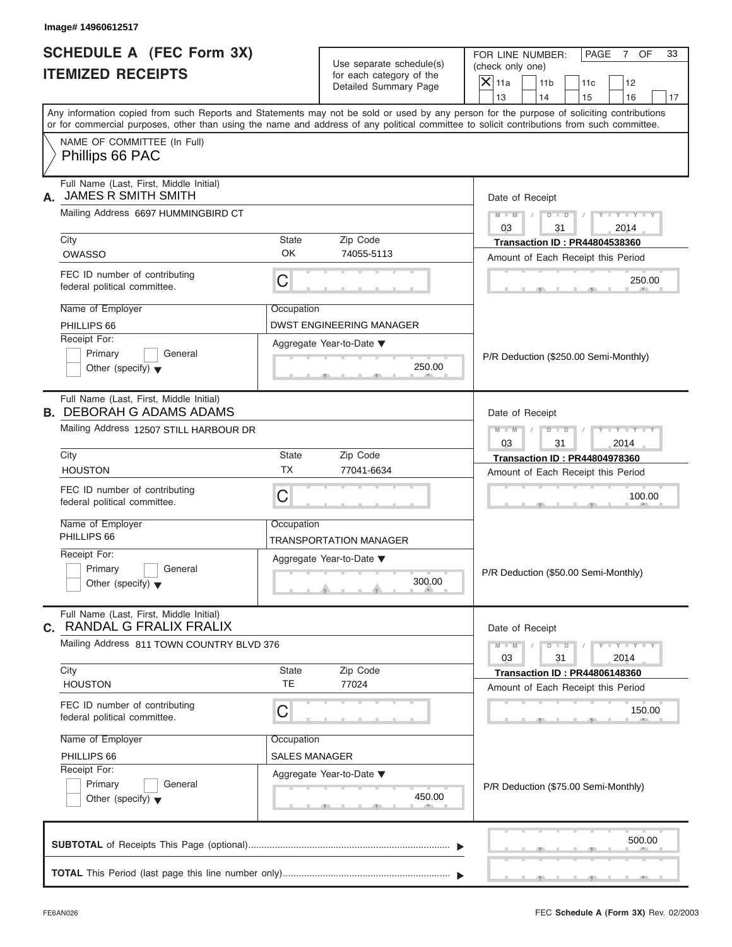FOR LINE NUMBER: PAGE 7 OF<br>(check only one)

| SCHEDULE A (FEC Form 3X)<br><b>ITEMIZED RECEIPTS</b>                                                                                       |               | Use separate schedule(s)<br>for each category of the<br>Detailed Summary Page | FOR LINE NUMBER:<br>PAGE<br>$\overline{7}$<br>OF<br>33<br>(check only one)<br>$X$ 11a<br>11 <sub>b</sub><br>11c<br>12                                                   |
|--------------------------------------------------------------------------------------------------------------------------------------------|---------------|-------------------------------------------------------------------------------|-------------------------------------------------------------------------------------------------------------------------------------------------------------------------|
|                                                                                                                                            |               |                                                                               | 13<br>14<br>15<br>16<br>17<br>Any information copied from such Reports and Statements may not be sold or used by any person for the purpose of soliciting contributions |
| or for commercial purposes, other than using the name and address of any political committee to solicit contributions from such committee. |               |                                                                               |                                                                                                                                                                         |
| NAME OF COMMITTEE (In Full)<br>Phillips 66 PAC                                                                                             |               |                                                                               |                                                                                                                                                                         |
| Full Name (Last, First, Middle Initial)<br><b>JAMES R SMITH SMITH</b><br>А.                                                                |               |                                                                               | Date of Receipt                                                                                                                                                         |
| Mailing Address 6697 HUMMINGBIRD CT                                                                                                        |               |                                                                               | $M - M$<br>$-Y - Y - Y$<br>$D$ $D$<br>$\sqrt{2}$                                                                                                                        |
| City                                                                                                                                       | <b>State</b>  | Zip Code                                                                      | 03<br>31<br>2014<br><b>Transaction ID: PR44804538360</b>                                                                                                                |
| <b>OWASSO</b>                                                                                                                              | OK            | 74055-5113                                                                    | Amount of Each Receipt this Period                                                                                                                                      |
| FEC ID number of contributing<br>federal political committee.                                                                              | C             |                                                                               | 250.00                                                                                                                                                                  |
| Name of Employer                                                                                                                           | Occupation    |                                                                               |                                                                                                                                                                         |
| PHILLIPS 66                                                                                                                                |               | <b>DWST ENGINEERING MANAGER</b>                                               |                                                                                                                                                                         |
| Receipt For:                                                                                                                               |               | Aggregate Year-to-Date ▼                                                      |                                                                                                                                                                         |
| Primary<br>General<br>Other (specify) $\blacktriangledown$                                                                                 |               | 250.00                                                                        | P/R Deduction (\$250.00 Semi-Monthly)                                                                                                                                   |
| Full Name (Last, First, Middle Initial)<br><b>B. DEBORAH G ADAMS ADAMS</b>                                                                 |               |                                                                               | Date of Receipt                                                                                                                                                         |
| Mailing Address 12507 STILL HARBOUR DR                                                                                                     |               |                                                                               | $M - M$<br>$D - D$<br>$Y - Y$<br>03<br>31<br>2014                                                                                                                       |
| City                                                                                                                                       | <b>State</b>  | Zip Code                                                                      | <b>Transaction ID: PR44804978360</b>                                                                                                                                    |
| <b>HOUSTON</b>                                                                                                                             | <b>TX</b>     | 77041-6634                                                                    | Amount of Each Receipt this Period                                                                                                                                      |
| FEC ID number of contributing<br>federal political committee.                                                                              | C             |                                                                               | 100.00                                                                                                                                                                  |
| Name of Employer                                                                                                                           | Occupation    |                                                                               |                                                                                                                                                                         |
| PHILLIPS 66                                                                                                                                |               | TRANSPORTATION MANAGER                                                        |                                                                                                                                                                         |
| Receipt For:                                                                                                                               |               | Aggregate Year-to-Date ▼                                                      |                                                                                                                                                                         |
| Primary<br>General<br>Other (specify) $\blacktriangledown$                                                                                 |               | 300.00                                                                        | P/R Deduction (\$50.00 Semi-Monthly)                                                                                                                                    |
| Full Name (Last, First, Middle Initial)<br>C. RANDAL G FRALIX FRALIX                                                                       |               |                                                                               | Date of Receipt                                                                                                                                                         |
| Mailing Address 811 TOWN COUNTRY BLVD 376                                                                                                  |               |                                                                               | $-1 - Y - 1 - Y - 1 - Y$<br>$M - M$<br>$D$ $D$<br>03<br>31<br>2014                                                                                                      |
| City                                                                                                                                       | <b>State</b>  | Zip Code                                                                      | <b>Transaction ID: PR44806148360</b>                                                                                                                                    |
| <b>HOUSTON</b>                                                                                                                             | TE.           | 77024                                                                         | Amount of Each Receipt this Period                                                                                                                                      |
| FEC ID number of contributing<br>federal political committee.                                                                              | C             |                                                                               | 150.00                                                                                                                                                                  |
| Name of Employer                                                                                                                           | Occupation    |                                                                               |                                                                                                                                                                         |
| PHILLIPS 66                                                                                                                                | SALES MANAGER |                                                                               |                                                                                                                                                                         |
| Receipt For:                                                                                                                               |               | Aggregate Year-to-Date ▼                                                      |                                                                                                                                                                         |
| Primary<br>General<br>Other (specify) $\blacktriangledown$                                                                                 |               | 450.00                                                                        | P/R Deduction (\$75.00 Semi-Monthly)                                                                                                                                    |
|                                                                                                                                            |               |                                                                               | 500.00                                                                                                                                                                  |
|                                                                                                                                            |               |                                                                               | <u> Latin (f. 1888).</u>                                                                                                                                                |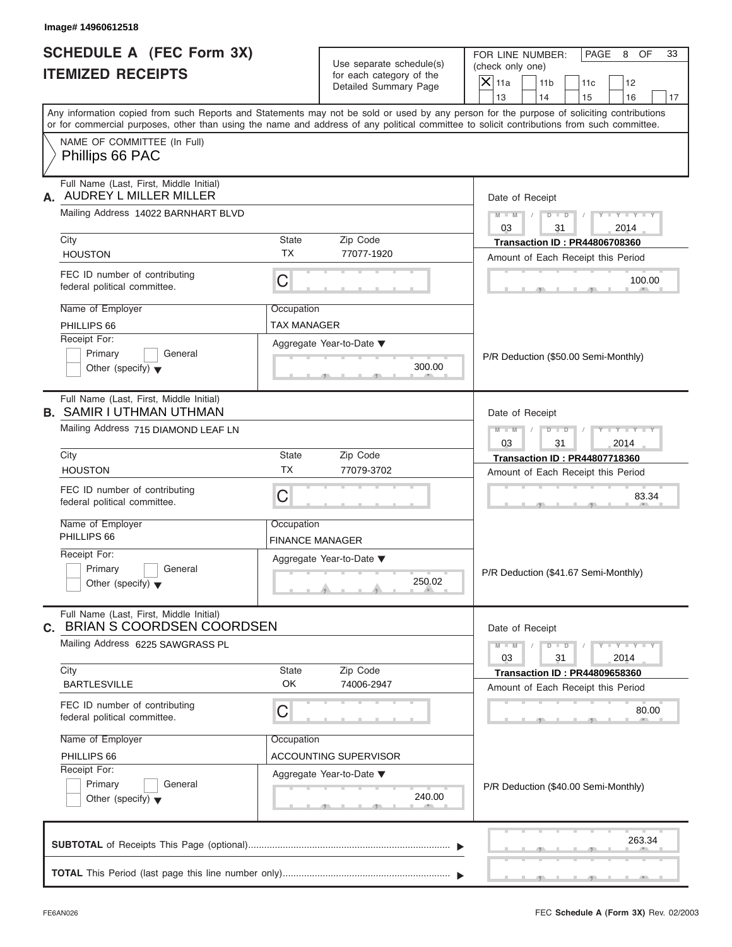FOR LINE NUMBER: PAGE 8 OF<br>(check only one)

| SCHEDULE A (FEC Form 3X)<br><b>ITEMIZED RECEIPTS</b>                                                                                                                                                                                                                                    | Use separate schedule(s)<br>for each category of the<br><b>Detailed Summary Page</b> | FOR LINE NUMBER:<br>PAGE<br>8<br>OF<br>33<br>(check only one)<br>$X$ 11a<br>11 <sub>b</sub><br>11c<br>12 |
|-----------------------------------------------------------------------------------------------------------------------------------------------------------------------------------------------------------------------------------------------------------------------------------------|--------------------------------------------------------------------------------------|----------------------------------------------------------------------------------------------------------|
|                                                                                                                                                                                                                                                                                         |                                                                                      | 13<br>14<br>15<br>16<br>17                                                                               |
| Any information copied from such Reports and Statements may not be sold or used by any person for the purpose of soliciting contributions<br>or for commercial purposes, other than using the name and address of any political committee to solicit contributions from such committee. |                                                                                      |                                                                                                          |
| NAME OF COMMITTEE (In Full)<br>Phillips 66 PAC                                                                                                                                                                                                                                          |                                                                                      |                                                                                                          |
| Full Name (Last, First, Middle Initial)<br>AUDREY L MILLER MILLER                                                                                                                                                                                                                       |                                                                                      | Date of Receipt                                                                                          |
| Mailing Address 14022 BARNHART BLVD                                                                                                                                                                                                                                                     |                                                                                      | $Y - Y - Y - Y$<br>$M - M$ /<br>$D$ $D$<br>03<br>31<br>2014                                              |
| City<br><b>HOUSTON</b>                                                                                                                                                                                                                                                                  | Zip Code<br>State<br><b>TX</b><br>77077-1920                                         | <b>Transaction ID: PR44806708360</b><br>Amount of Each Receipt this Period                               |
| FEC ID number of contributing<br>federal political committee.                                                                                                                                                                                                                           | C                                                                                    | 100.00                                                                                                   |
| Name of Employer<br>PHILLIPS 66<br>Receipt For:                                                                                                                                                                                                                                         | Occupation<br>TAX MANAGER                                                            |                                                                                                          |
| Primary<br>General<br>Other (specify) $\blacktriangledown$                                                                                                                                                                                                                              | Aggregate Year-to-Date ▼<br>300.00<br>$-7$                                           | P/R Deduction (\$50.00 Semi-Monthly)                                                                     |
| Full Name (Last, First, Middle Initial)<br><b>B. SAMIR I UTHMAN UTHMAN</b>                                                                                                                                                                                                              |                                                                                      | Date of Receipt                                                                                          |
| Mailing Address 715 DIAMOND LEAF LN                                                                                                                                                                                                                                                     |                                                                                      | $M - M$<br>$D$ $D$<br>$+Y+Y$<br>03<br>31<br>2014                                                         |
| City<br><b>HOUSTON</b>                                                                                                                                                                                                                                                                  | Zip Code<br>State<br>ТX<br>77079-3702                                                | <b>Transaction ID: PR44807718360</b>                                                                     |
| FEC ID number of contributing<br>federal political committee.                                                                                                                                                                                                                           | C                                                                                    | Amount of Each Receipt this Period<br>83.34                                                              |
| Name of Employer<br>PHILLIPS 66                                                                                                                                                                                                                                                         | Occupation<br><b>FINANCE MANAGER</b>                                                 |                                                                                                          |
| Receipt For:<br>Primary<br>General<br>Other (specify) $\blacktriangledown$                                                                                                                                                                                                              | Aggregate Year-to-Date ▼<br>250.02                                                   | P/R Deduction (\$41.67 Semi-Monthly)                                                                     |
| Full Name (Last, First, Middle Initial)<br>C. BRIAN S COORDSEN COORDSEN                                                                                                                                                                                                                 |                                                                                      | Date of Receipt                                                                                          |
| Mailing Address 6225 SAWGRASS PL                                                                                                                                                                                                                                                        |                                                                                      | $Y - Y - Y - Y - Y$<br>$M - M$<br>$D$ $D$<br>31<br>03<br>2014                                            |
| City<br><b>BARTLESVILLE</b>                                                                                                                                                                                                                                                             | Zip Code<br>State<br>OK<br>74006-2947                                                | <b>Transaction ID: PR44809658360</b><br>Amount of Each Receipt this Period                               |
| FEC ID number of contributing<br>federal political committee.                                                                                                                                                                                                                           | C                                                                                    | 80.00                                                                                                    |
| Name of Employer<br>PHILLIPS 66<br>Receipt For:                                                                                                                                                                                                                                         | Occupation<br><b>ACCOUNTING SUPERVISOR</b><br>Aggregate Year-to-Date ▼               |                                                                                                          |
| Primary<br>General<br>Other (specify) $\blacktriangledown$                                                                                                                                                                                                                              | 240.00                                                                               | P/R Deduction (\$40.00 Semi-Monthly)                                                                     |
|                                                                                                                                                                                                                                                                                         |                                                                                      | 263.34                                                                                                   |
|                                                                                                                                                                                                                                                                                         |                                                                                      |                                                                                                          |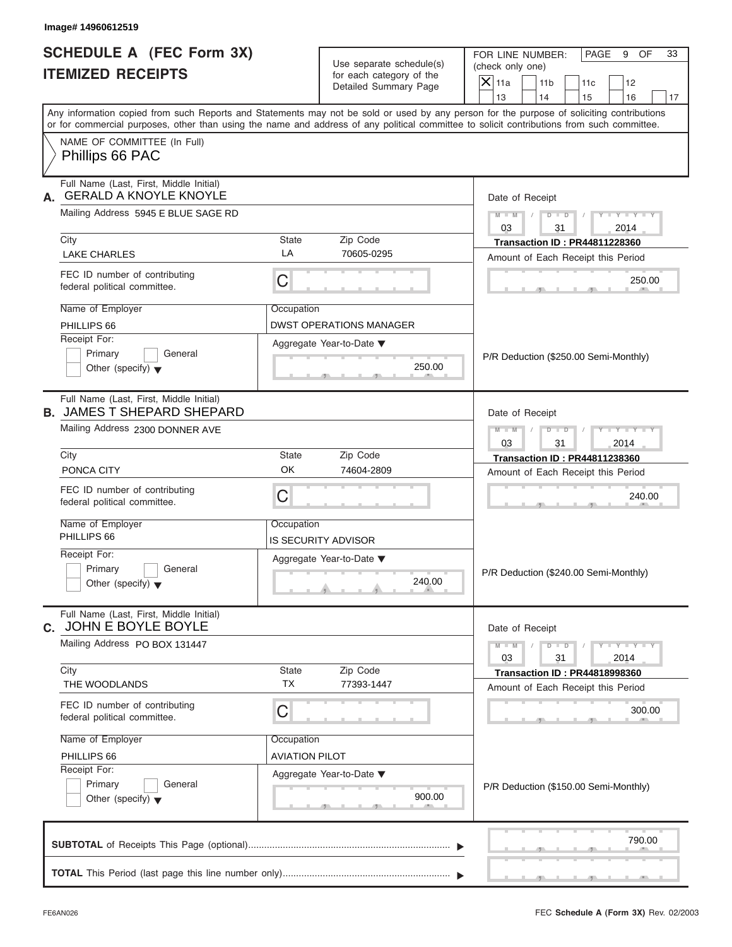FOR LINE NUMBER: PAGE 9 OF<br>(check only one)

| SCHEDULE A (FEC Form 3X)<br><b>ITEMIZED RECEIPTS</b>                                                                                                                                                                                                                                    |                       | Use separate schedule(s)<br>for each category of the<br>Detailed Summary Page                                         | FOR LINE NUMBER:<br>PAGE<br>9<br>OF<br>33<br>(check only one)<br>$\mathsf{X}$ 11a<br>11 <sub>b</sub><br>12<br>11c |
|-----------------------------------------------------------------------------------------------------------------------------------------------------------------------------------------------------------------------------------------------------------------------------------------|-----------------------|-----------------------------------------------------------------------------------------------------------------------|-------------------------------------------------------------------------------------------------------------------|
|                                                                                                                                                                                                                                                                                         |                       |                                                                                                                       | 13<br>14<br>15<br>16<br>17                                                                                        |
| Any information copied from such Reports and Statements may not be sold or used by any person for the purpose of soliciting contributions<br>or for commercial purposes, other than using the name and address of any political committee to solicit contributions from such committee. |                       |                                                                                                                       |                                                                                                                   |
| NAME OF COMMITTEE (In Full)<br>Phillips 66 PAC                                                                                                                                                                                                                                          |                       |                                                                                                                       |                                                                                                                   |
| Full Name (Last, First, Middle Initial)<br><b>GERALD A KNOYLE KNOYLE</b><br>А.                                                                                                                                                                                                          |                       |                                                                                                                       | Date of Receipt                                                                                                   |
| Mailing Address 5945 E BLUE SAGE RD<br>City                                                                                                                                                                                                                                             | State                 | Zip Code                                                                                                              | $M - M$<br>$D$ $D$<br>$Y = Y$<br>03<br>31<br>2014                                                                 |
| <b>LAKE CHARLES</b>                                                                                                                                                                                                                                                                     | LA                    | 70605-0295                                                                                                            | <b>Transaction ID: PR44811228360</b><br>Amount of Each Receipt this Period                                        |
| FEC ID number of contributing<br>federal political committee.                                                                                                                                                                                                                           | $\mathsf C$           |                                                                                                                       | 250.00                                                                                                            |
| Name of Employer<br>PHILLIPS 66                                                                                                                                                                                                                                                         | Occupation            | <b>DWST OPERATIONS MANAGER</b>                                                                                        |                                                                                                                   |
| Receipt For:<br>Primary<br>General<br>Other (specify) $\blacktriangledown$                                                                                                                                                                                                              |                       | Aggregate Year-to-Date ▼<br>250.00<br>$-9$                                                                            | P/R Deduction (\$250.00 Semi-Monthly)                                                                             |
| Full Name (Last, First, Middle Initial)<br><b>B. JAMES T SHEPARD SHEPARD</b>                                                                                                                                                                                                            |                       |                                                                                                                       | Date of Receipt                                                                                                   |
| Mailing Address 2300 DONNER AVE                                                                                                                                                                                                                                                         |                       |                                                                                                                       | $M - M$<br>$D - D$<br>$Y - Y - I$<br>03<br>2014<br>31                                                             |
| City                                                                                                                                                                                                                                                                                    | <b>State</b>          | Zip Code                                                                                                              | <b>Transaction ID: PR44811238360</b>                                                                              |
| PONCA CITY                                                                                                                                                                                                                                                                              | OK                    | 74604-2809                                                                                                            | Amount of Each Receipt this Period                                                                                |
| FEC ID number of contributing<br>federal political committee.                                                                                                                                                                                                                           | C                     |                                                                                                                       | 240.00                                                                                                            |
| Name of Employer<br>PHILLIPS 66                                                                                                                                                                                                                                                         | Occupation            |                                                                                                                       |                                                                                                                   |
| Receipt For:                                                                                                                                                                                                                                                                            |                       | IS SECURITY ADVISOR                                                                                                   |                                                                                                                   |
| Primary<br>General<br>Other (specify) $\blacktriangledown$                                                                                                                                                                                                                              |                       | Aggregate Year-to-Date ▼<br>240.00<br>$\overline{\mathbf{y}}$ and $\overline{\mathbf{y}}$ and $\overline{\mathbf{y}}$ | P/R Deduction (\$240.00 Semi-Monthly)                                                                             |
| Full Name (Last, First, Middle Initial)<br>C. JOHN E BOYLE BOYLE                                                                                                                                                                                                                        |                       |                                                                                                                       | Date of Receipt                                                                                                   |
| Mailing Address PO BOX 131447                                                                                                                                                                                                                                                           |                       |                                                                                                                       | $M - M$<br>$D$ $D$<br>$-1 - Y - 1 - Y - 1$<br>03<br>31<br>2014                                                    |
| City<br>THE WOODLANDS                                                                                                                                                                                                                                                                   | State<br>ТX           | Zip Code<br>77393-1447                                                                                                | <b>Transaction ID: PR44818998360</b>                                                                              |
| FEC ID number of contributing<br>federal political committee.                                                                                                                                                                                                                           | C                     |                                                                                                                       | Amount of Each Receipt this Period<br>300.00                                                                      |
| Name of Employer                                                                                                                                                                                                                                                                        | Occupation            |                                                                                                                       |                                                                                                                   |
| PHILLIPS 66                                                                                                                                                                                                                                                                             | <b>AVIATION PILOT</b> |                                                                                                                       |                                                                                                                   |
| Receipt For:<br>Primary<br>General<br>Other (specify) $\blacktriangledown$                                                                                                                                                                                                              |                       | Aggregate Year-to-Date ▼<br>900.00                                                                                    | P/R Deduction (\$150.00 Semi-Monthly)                                                                             |
|                                                                                                                                                                                                                                                                                         |                       |                                                                                                                       | 790.00                                                                                                            |
|                                                                                                                                                                                                                                                                                         |                       |                                                                                                                       |                                                                                                                   |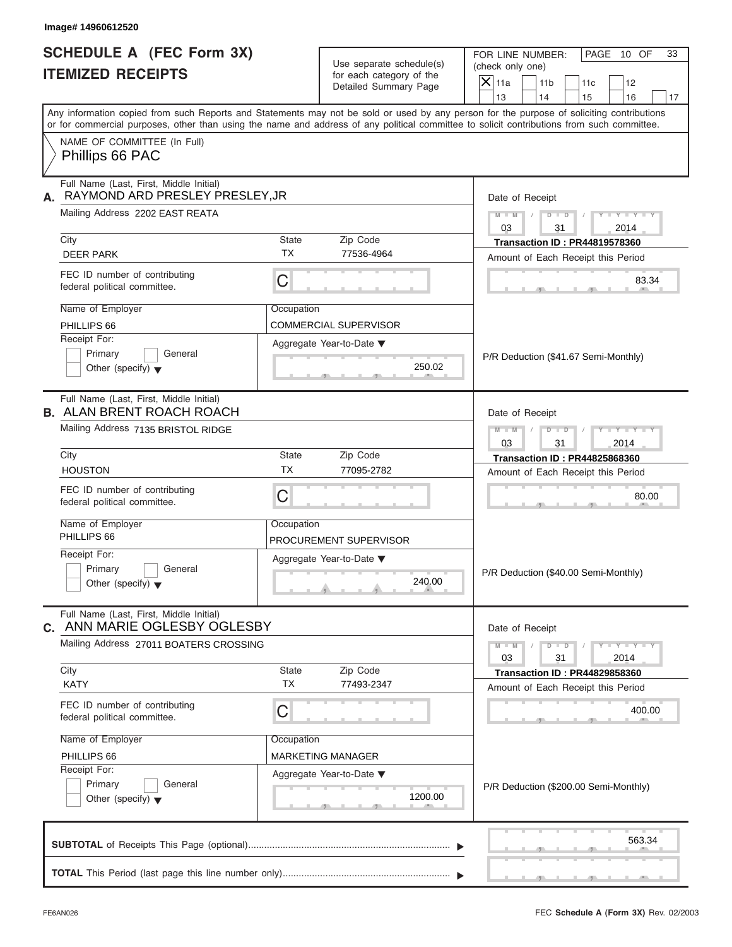| <b>ITEMIZED RECEIPTS</b><br>for each category of the<br>Detailed Summary Page<br>NAME OF COMMITTEE (In Full)<br>Phillips 66 PAC<br>Full Name (Last, First, Middle Initial)<br>RAYMOND ARD PRESLEY PRESLEY, JR<br>Mailing Address 2202 EAST REATA<br>State<br>Zip Code<br>City<br><b>TX</b><br>77536-4964<br><b>DEER PARK</b><br>FEC ID number of contributing<br>C<br>federal political committee.<br>Name of Employer<br>Occupation<br>PHILLIPS 66<br><b>COMMERCIAL SUPERVISOR</b><br>Receipt For:<br>Aggregate Year-to-Date ▼<br>Primary<br>General<br>250.02<br>Other (specify) $\blacktriangledown$<br>Full Name (Last, First, Middle Initial)<br>Mailing Address 7135 BRISTOL RIDGE<br>City<br>State<br>Zip Code<br><b>TX</b><br><b>HOUSTON</b><br>77095-2782<br>FEC ID number of contributing<br>C<br>federal political committee.<br>Name of Employer<br>Occupation<br>PHILLIPS 66<br>PROCUREMENT SUPERVISOR<br>Receipt For:<br>Aggregate Year-to-Date ▼<br>Primary<br>General<br>240.00<br>Other (specify) $\blacktriangledown$<br>Full Name (Last, First, Middle Initial) | $X$ 11a<br>11 <sub>b</sub><br>11c<br>12<br>13<br>14<br>15<br>16<br>17<br>Date of Receipt<br>$M = M \begin{bmatrix} I & D \end{bmatrix} \begin{bmatrix} I & I \end{bmatrix}$<br>$Y - Y - Y - Y - Y$<br>03<br>31<br>2014<br><b>Transaction ID: PR44819578360</b><br>Amount of Each Receipt this Period<br>83.34<br>P/R Deduction (\$41.67 Semi-Monthly)<br>Date of Receipt<br>$Y - Y - Y - Y - Y$<br>$M$ $M$ $I$<br>$D \cup D$<br>$\Box$<br>03<br>31<br>2014<br><b>Transaction ID: PR44825868360</b><br>Amount of Each Receipt this Period<br>80.00 |
|------------------------------------------------------------------------------------------------------------------------------------------------------------------------------------------------------------------------------------------------------------------------------------------------------------------------------------------------------------------------------------------------------------------------------------------------------------------------------------------------------------------------------------------------------------------------------------------------------------------------------------------------------------------------------------------------------------------------------------------------------------------------------------------------------------------------------------------------------------------------------------------------------------------------------------------------------------------------------------------------------------------------------------------------------------------------------------|---------------------------------------------------------------------------------------------------------------------------------------------------------------------------------------------------------------------------------------------------------------------------------------------------------------------------------------------------------------------------------------------------------------------------------------------------------------------------------------------------------------------------------------------------|
| Any information copied from such Reports and Statements may not be sold or used by any person for the purpose of soliciting contributions<br>or for commercial purposes, other than using the name and address of any political committee to solicit contributions from such committee.                                                                                                                                                                                                                                                                                                                                                                                                                                                                                                                                                                                                                                                                                                                                                                                            |                                                                                                                                                                                                                                                                                                                                                                                                                                                                                                                                                   |
| А.<br><b>B. ALAN BRENT ROACH ROACH</b>                                                                                                                                                                                                                                                                                                                                                                                                                                                                                                                                                                                                                                                                                                                                                                                                                                                                                                                                                                                                                                             |                                                                                                                                                                                                                                                                                                                                                                                                                                                                                                                                                   |
|                                                                                                                                                                                                                                                                                                                                                                                                                                                                                                                                                                                                                                                                                                                                                                                                                                                                                                                                                                                                                                                                                    |                                                                                                                                                                                                                                                                                                                                                                                                                                                                                                                                                   |
|                                                                                                                                                                                                                                                                                                                                                                                                                                                                                                                                                                                                                                                                                                                                                                                                                                                                                                                                                                                                                                                                                    |                                                                                                                                                                                                                                                                                                                                                                                                                                                                                                                                                   |
|                                                                                                                                                                                                                                                                                                                                                                                                                                                                                                                                                                                                                                                                                                                                                                                                                                                                                                                                                                                                                                                                                    |                                                                                                                                                                                                                                                                                                                                                                                                                                                                                                                                                   |
|                                                                                                                                                                                                                                                                                                                                                                                                                                                                                                                                                                                                                                                                                                                                                                                                                                                                                                                                                                                                                                                                                    |                                                                                                                                                                                                                                                                                                                                                                                                                                                                                                                                                   |
|                                                                                                                                                                                                                                                                                                                                                                                                                                                                                                                                                                                                                                                                                                                                                                                                                                                                                                                                                                                                                                                                                    |                                                                                                                                                                                                                                                                                                                                                                                                                                                                                                                                                   |
|                                                                                                                                                                                                                                                                                                                                                                                                                                                                                                                                                                                                                                                                                                                                                                                                                                                                                                                                                                                                                                                                                    |                                                                                                                                                                                                                                                                                                                                                                                                                                                                                                                                                   |
|                                                                                                                                                                                                                                                                                                                                                                                                                                                                                                                                                                                                                                                                                                                                                                                                                                                                                                                                                                                                                                                                                    |                                                                                                                                                                                                                                                                                                                                                                                                                                                                                                                                                   |
|                                                                                                                                                                                                                                                                                                                                                                                                                                                                                                                                                                                                                                                                                                                                                                                                                                                                                                                                                                                                                                                                                    |                                                                                                                                                                                                                                                                                                                                                                                                                                                                                                                                                   |
|                                                                                                                                                                                                                                                                                                                                                                                                                                                                                                                                                                                                                                                                                                                                                                                                                                                                                                                                                                                                                                                                                    |                                                                                                                                                                                                                                                                                                                                                                                                                                                                                                                                                   |
|                                                                                                                                                                                                                                                                                                                                                                                                                                                                                                                                                                                                                                                                                                                                                                                                                                                                                                                                                                                                                                                                                    |                                                                                                                                                                                                                                                                                                                                                                                                                                                                                                                                                   |
|                                                                                                                                                                                                                                                                                                                                                                                                                                                                                                                                                                                                                                                                                                                                                                                                                                                                                                                                                                                                                                                                                    |                                                                                                                                                                                                                                                                                                                                                                                                                                                                                                                                                   |
|                                                                                                                                                                                                                                                                                                                                                                                                                                                                                                                                                                                                                                                                                                                                                                                                                                                                                                                                                                                                                                                                                    |                                                                                                                                                                                                                                                                                                                                                                                                                                                                                                                                                   |
|                                                                                                                                                                                                                                                                                                                                                                                                                                                                                                                                                                                                                                                                                                                                                                                                                                                                                                                                                                                                                                                                                    |                                                                                                                                                                                                                                                                                                                                                                                                                                                                                                                                                   |
|                                                                                                                                                                                                                                                                                                                                                                                                                                                                                                                                                                                                                                                                                                                                                                                                                                                                                                                                                                                                                                                                                    |                                                                                                                                                                                                                                                                                                                                                                                                                                                                                                                                                   |
|                                                                                                                                                                                                                                                                                                                                                                                                                                                                                                                                                                                                                                                                                                                                                                                                                                                                                                                                                                                                                                                                                    |                                                                                                                                                                                                                                                                                                                                                                                                                                                                                                                                                   |
|                                                                                                                                                                                                                                                                                                                                                                                                                                                                                                                                                                                                                                                                                                                                                                                                                                                                                                                                                                                                                                                                                    |                                                                                                                                                                                                                                                                                                                                                                                                                                                                                                                                                   |
|                                                                                                                                                                                                                                                                                                                                                                                                                                                                                                                                                                                                                                                                                                                                                                                                                                                                                                                                                                                                                                                                                    |                                                                                                                                                                                                                                                                                                                                                                                                                                                                                                                                                   |
|                                                                                                                                                                                                                                                                                                                                                                                                                                                                                                                                                                                                                                                                                                                                                                                                                                                                                                                                                                                                                                                                                    |                                                                                                                                                                                                                                                                                                                                                                                                                                                                                                                                                   |
|                                                                                                                                                                                                                                                                                                                                                                                                                                                                                                                                                                                                                                                                                                                                                                                                                                                                                                                                                                                                                                                                                    |                                                                                                                                                                                                                                                                                                                                                                                                                                                                                                                                                   |
|                                                                                                                                                                                                                                                                                                                                                                                                                                                                                                                                                                                                                                                                                                                                                                                                                                                                                                                                                                                                                                                                                    |                                                                                                                                                                                                                                                                                                                                                                                                                                                                                                                                                   |
|                                                                                                                                                                                                                                                                                                                                                                                                                                                                                                                                                                                                                                                                                                                                                                                                                                                                                                                                                                                                                                                                                    |                                                                                                                                                                                                                                                                                                                                                                                                                                                                                                                                                   |
|                                                                                                                                                                                                                                                                                                                                                                                                                                                                                                                                                                                                                                                                                                                                                                                                                                                                                                                                                                                                                                                                                    | P/R Deduction (\$40.00 Semi-Monthly)                                                                                                                                                                                                                                                                                                                                                                                                                                                                                                              |
| C. ANN MARIE OGLESBY OGLESBY                                                                                                                                                                                                                                                                                                                                                                                                                                                                                                                                                                                                                                                                                                                                                                                                                                                                                                                                                                                                                                                       | Date of Receipt                                                                                                                                                                                                                                                                                                                                                                                                                                                                                                                                   |
| Mailing Address 27011 BOATERS CROSSING                                                                                                                                                                                                                                                                                                                                                                                                                                                                                                                                                                                                                                                                                                                                                                                                                                                                                                                                                                                                                                             | $M - M$<br>$Y - Y - Y - Y - I$<br>$D$ $D$                                                                                                                                                                                                                                                                                                                                                                                                                                                                                                         |
|                                                                                                                                                                                                                                                                                                                                                                                                                                                                                                                                                                                                                                                                                                                                                                                                                                                                                                                                                                                                                                                                                    | 03<br>31<br>2014                                                                                                                                                                                                                                                                                                                                                                                                                                                                                                                                  |
| City<br>State<br>Zip Code<br><b>TX</b><br><b>KATY</b><br>77493-2347                                                                                                                                                                                                                                                                                                                                                                                                                                                                                                                                                                                                                                                                                                                                                                                                                                                                                                                                                                                                                | <b>Transaction ID: PR44829858360</b>                                                                                                                                                                                                                                                                                                                                                                                                                                                                                                              |
|                                                                                                                                                                                                                                                                                                                                                                                                                                                                                                                                                                                                                                                                                                                                                                                                                                                                                                                                                                                                                                                                                    | Amount of Each Receipt this Period                                                                                                                                                                                                                                                                                                                                                                                                                                                                                                                |
| FEC ID number of contributing<br>С<br>federal political committee.                                                                                                                                                                                                                                                                                                                                                                                                                                                                                                                                                                                                                                                                                                                                                                                                                                                                                                                                                                                                                 | 400.00                                                                                                                                                                                                                                                                                                                                                                                                                                                                                                                                            |
| Name of Employer<br>Occupation                                                                                                                                                                                                                                                                                                                                                                                                                                                                                                                                                                                                                                                                                                                                                                                                                                                                                                                                                                                                                                                     |                                                                                                                                                                                                                                                                                                                                                                                                                                                                                                                                                   |
| PHILLIPS 66<br><b>MARKETING MANAGER</b>                                                                                                                                                                                                                                                                                                                                                                                                                                                                                                                                                                                                                                                                                                                                                                                                                                                                                                                                                                                                                                            |                                                                                                                                                                                                                                                                                                                                                                                                                                                                                                                                                   |
| Receipt For:<br>Aggregate Year-to-Date ▼                                                                                                                                                                                                                                                                                                                                                                                                                                                                                                                                                                                                                                                                                                                                                                                                                                                                                                                                                                                                                                           |                                                                                                                                                                                                                                                                                                                                                                                                                                                                                                                                                   |
| Primary<br>General<br>1200.00<br>Other (specify) $\blacktriangledown$                                                                                                                                                                                                                                                                                                                                                                                                                                                                                                                                                                                                                                                                                                                                                                                                                                                                                                                                                                                                              | P/R Deduction (\$200.00 Semi-Monthly)                                                                                                                                                                                                                                                                                                                                                                                                                                                                                                             |
|                                                                                                                                                                                                                                                                                                                                                                                                                                                                                                                                                                                                                                                                                                                                                                                                                                                                                                                                                                                                                                                                                    | 563.34                                                                                                                                                                                                                                                                                                                                                                                                                                                                                                                                            |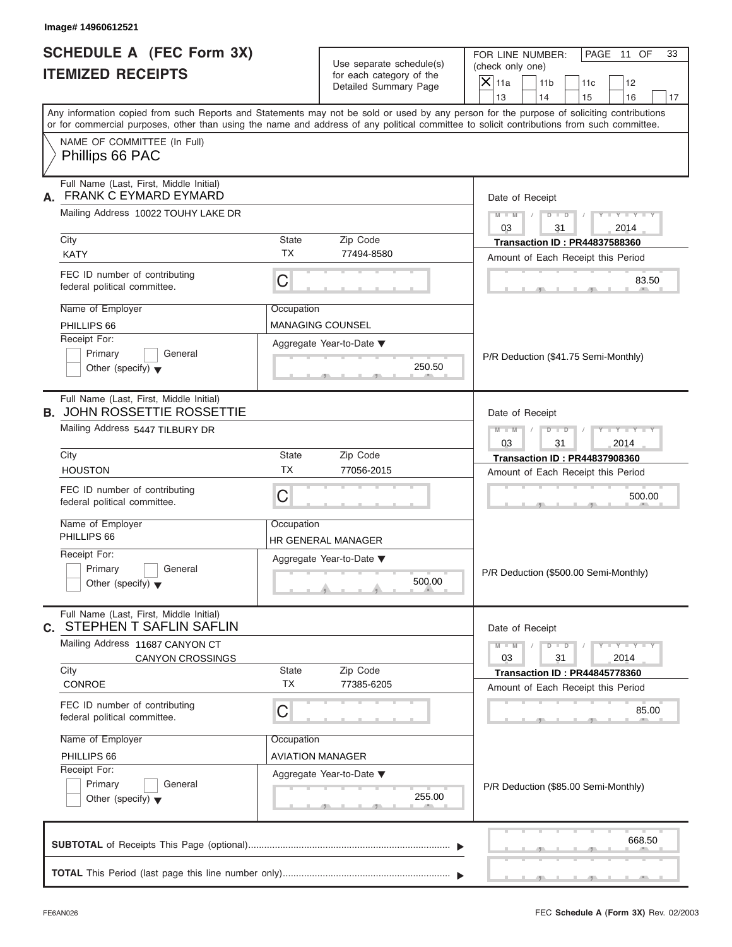| <b>SCHEDULE A (FEC Form 3X)</b><br><b>ITEMIZED RECEIPTS</b>                   |                    | Use separate schedule(s)                          | FOR LINE NUMBER:<br>PAGE 11 OF<br>33<br>(check only one)                                                                                                                                                                                                                                |  |
|-------------------------------------------------------------------------------|--------------------|---------------------------------------------------|-----------------------------------------------------------------------------------------------------------------------------------------------------------------------------------------------------------------------------------------------------------------------------------------|--|
|                                                                               |                    | for each category of the<br>Detailed Summary Page | $X$ 11a<br>11 <sub>b</sub><br>11c<br>12<br>13<br>14<br>15<br>16                                                                                                                                                                                                                         |  |
|                                                                               |                    |                                                   | Any information copied from such Reports and Statements may not be sold or used by any person for the purpose of soliciting contributions<br>or for commercial purposes, other than using the name and address of any political committee to solicit contributions from such committee. |  |
| NAME OF COMMITTEE (In Full)<br>Phillips 66 PAC                                |                    |                                                   |                                                                                                                                                                                                                                                                                         |  |
| Full Name (Last, First, Middle Initial)<br>FRANK C EYMARD EYMARD<br>А.        |                    |                                                   | Date of Receipt                                                                                                                                                                                                                                                                         |  |
| Mailing Address 10022 TOUHY LAKE DR                                           |                    |                                                   | $D$ $D$<br>$Y - Y - Y - Y - Y$<br>$M - M$<br>$\sqrt{ }$<br>03<br>31<br>2014                                                                                                                                                                                                             |  |
| City                                                                          | State              | Zip Code                                          | <b>Transaction ID: PR44837588360</b>                                                                                                                                                                                                                                                    |  |
| <b>KATY</b>                                                                   | <b>TX</b>          | 77494-8580                                        | Amount of Each Receipt this Period                                                                                                                                                                                                                                                      |  |
| FEC ID number of contributing<br>federal political committee.                 | C                  |                                                   | 83.50                                                                                                                                                                                                                                                                                   |  |
| Name of Employer                                                              | Occupation         |                                                   |                                                                                                                                                                                                                                                                                         |  |
| PHILLIPS 66                                                                   |                    | <b>MANAGING COUNSEL</b>                           |                                                                                                                                                                                                                                                                                         |  |
| Receipt For:                                                                  |                    | Aggregate Year-to-Date ▼                          |                                                                                                                                                                                                                                                                                         |  |
| Primary<br>General<br>Other (specify) $\blacktriangledown$                    |                    | 250.50                                            | P/R Deduction (\$41.75 Semi-Monthly)                                                                                                                                                                                                                                                    |  |
| Full Name (Last, First, Middle Initial)<br><b>B. JOHN ROSSETTIE ROSSETTIE</b> |                    |                                                   | Date of Receipt                                                                                                                                                                                                                                                                         |  |
| Mailing Address 5447 TILBURY DR                                               |                    |                                                   | $M - M$<br>$D - I - D$<br>Y T Y T Y T<br>03<br>31<br>2014                                                                                                                                                                                                                               |  |
| City                                                                          | State              | Zip Code                                          | <b>Transaction ID: PR44837908360</b>                                                                                                                                                                                                                                                    |  |
| <b>HOUSTON</b>                                                                | <b>TX</b>          | 77056-2015                                        | Amount of Each Receipt this Period                                                                                                                                                                                                                                                      |  |
| FEC ID number of contributing<br>federal political committee.                 | $\mathsf C$        |                                                   | 500.00                                                                                                                                                                                                                                                                                  |  |
| Name of Employer<br>PHILLIPS 66                                               | Occupation         | HR GENERAL MANAGER                                |                                                                                                                                                                                                                                                                                         |  |
| Receipt For:                                                                  |                    | Aggregate Year-to-Date ▼                          |                                                                                                                                                                                                                                                                                         |  |
| Primary<br>General<br>Other (specify) $\blacktriangledown$                    |                    | 500.00                                            | P/R Deduction (\$500.00 Semi-Monthly)                                                                                                                                                                                                                                                   |  |
| Full Name (Last, First, Middle Initial)<br>STEPHEN T SAFLIN SAFLIN<br>C.      |                    |                                                   | Date of Receipt                                                                                                                                                                                                                                                                         |  |
| Mailing Address 11687 CANYON CT<br><b>CANYON CROSSINGS</b>                    |                    |                                                   | $M - M$<br>$D$ $\Box$ $D$<br>$Y - Y - Y - Y - Y$<br>03<br>31<br>2014                                                                                                                                                                                                                    |  |
| City<br>CONROE                                                                | State<br><b>TX</b> | Zip Code<br>77385-6205                            | <b>Transaction ID: PR44845778360</b>                                                                                                                                                                                                                                                    |  |
|                                                                               |                    |                                                   | Amount of Each Receipt this Period                                                                                                                                                                                                                                                      |  |
| FEC ID number of contributing<br>federal political committee.                 | C                  |                                                   | 85.00                                                                                                                                                                                                                                                                                   |  |
| Name of Employer                                                              | Occupation         |                                                   |                                                                                                                                                                                                                                                                                         |  |
| PHILLIPS 66                                                                   |                    | <b>AVIATION MANAGER</b>                           |                                                                                                                                                                                                                                                                                         |  |
| Receipt For:                                                                  |                    | Aggregate Year-to-Date ▼                          |                                                                                                                                                                                                                                                                                         |  |
| Primary<br>General<br>Other (specify) $\blacktriangledown$                    |                    | 255.00                                            | P/R Deduction (\$85.00 Semi-Monthly)                                                                                                                                                                                                                                                    |  |
|                                                                               |                    |                                                   | 668.50                                                                                                                                                                                                                                                                                  |  |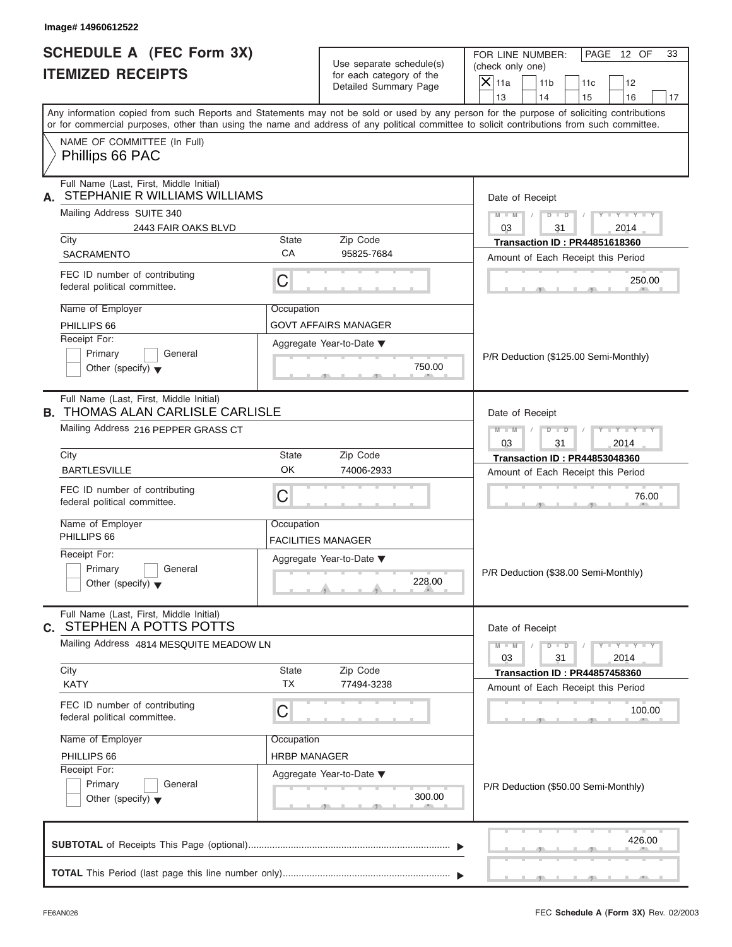| <b>SCHEDULE A (FEC Form 3X)</b>                                                                                                                                                                                                                                                         |                                    |                                                      | FOR LINE NUMBER:   |                                      |                                                                            | PAGE 12 OF                  | 33 |
|-----------------------------------------------------------------------------------------------------------------------------------------------------------------------------------------------------------------------------------------------------------------------------------------|------------------------------------|------------------------------------------------------|--------------------|--------------------------------------|----------------------------------------------------------------------------|-----------------------------|----|
| <b>ITEMIZED RECEIPTS</b>                                                                                                                                                                                                                                                                |                                    | Use separate schedule(s)<br>for each category of the | (check only one)   |                                      |                                                                            |                             |    |
|                                                                                                                                                                                                                                                                                         |                                    | Detailed Summary Page                                | $\overline{X}$ 11a | 11 <sub>b</sub>                      | 11c                                                                        | 12                          |    |
|                                                                                                                                                                                                                                                                                         |                                    |                                                      | 13                 | 14                                   | 15                                                                         | 16                          | 17 |
| Any information copied from such Reports and Statements may not be sold or used by any person for the purpose of soliciting contributions<br>or for commercial purposes, other than using the name and address of any political committee to solicit contributions from such committee. |                                    |                                                      |                    |                                      |                                                                            |                             |    |
| NAME OF COMMITTEE (In Full)<br>Phillips 66 PAC                                                                                                                                                                                                                                          |                                    |                                                      |                    |                                      |                                                                            |                             |    |
| Full Name (Last, First, Middle Initial)<br>STEPHANIE R WILLIAMS WILLIAMS<br>А.                                                                                                                                                                                                          |                                    | Date of Receipt                                      |                    |                                      |                                                                            |                             |    |
| Mailing Address SUITE 340<br>2443 FAIR OAKS BLVD                                                                                                                                                                                                                                        |                                    |                                                      | $M - M$<br>03      | $\sqrt{2}$<br>31                     | $D$ $D$ $I$                                                                | $Y - Y - Y - Y - Y$<br>2014 |    |
| City                                                                                                                                                                                                                                                                                    | State                              | Zip Code                                             |                    |                                      | <b>Transaction ID: PR44851618360</b>                                       |                             |    |
| <b>SACRAMENTO</b>                                                                                                                                                                                                                                                                       | CA                                 | 95825-7684                                           |                    |                                      | Amount of Each Receipt this Period                                         |                             |    |
| FEC ID number of contributing<br>federal political committee.                                                                                                                                                                                                                           | C                                  |                                                      |                    |                                      |                                                                            | 250.00                      |    |
| Name of Employer                                                                                                                                                                                                                                                                        | Occupation                         |                                                      |                    |                                      |                                                                            |                             |    |
| PHILLIPS 66                                                                                                                                                                                                                                                                             |                                    | GOVT AFFAIRS MANAGER                                 |                    |                                      |                                                                            |                             |    |
| Receipt For:                                                                                                                                                                                                                                                                            |                                    | Aggregate Year-to-Date ▼                             |                    |                                      |                                                                            |                             |    |
| Primary<br>General<br>Other (specify) $\blacktriangledown$                                                                                                                                                                                                                              |                                    | 750.00                                               |                    |                                      | P/R Deduction (\$125.00 Semi-Monthly)                                      |                             |    |
| Full Name (Last, First, Middle Initial)<br><b>B. THOMAS ALAN CARLISLE CARLISLE</b>                                                                                                                                                                                                      |                                    | Date of Receipt                                      |                    |                                      |                                                                            |                             |    |
| Mailing Address 216 PEPPER GRASS CT                                                                                                                                                                                                                                                     | $M - M$<br>03                      | $D$ $\Box$ $D$<br>31                                 | $\sqrt{2}$         | $Y = Y = Y' - Y'$<br>2014            |                                                                            |                             |    |
| City<br>State<br>Zip Code                                                                                                                                                                                                                                                               |                                    |                                                      |                    | <b>Transaction ID: PR44853048360</b> |                                                                            |                             |    |
| <b>BARTLESVILLE</b>                                                                                                                                                                                                                                                                     | OK                                 | 74006-2933                                           |                    |                                      | Amount of Each Receipt this Period                                         |                             |    |
| FEC ID number of contributing<br>federal political committee.                                                                                                                                                                                                                           | C                                  |                                                      |                    |                                      |                                                                            | 76.00                       |    |
| Name of Employer<br>PHILLIPS 66                                                                                                                                                                                                                                                         | Occupation                         | <b>FACILITIES MANAGER</b>                            |                    |                                      |                                                                            |                             |    |
| Receipt For:<br>Primary<br>General<br>Other (specify) $\blacktriangledown$                                                                                                                                                                                                              | Aggregate Year-to-Date ▼<br>228.00 |                                                      |                    |                                      | P/R Deduction (\$38.00 Semi-Monthly)                                       |                             |    |
| Full Name (Last, First, Middle Initial)<br>STEPHEN A POTTS POTTS<br>C.                                                                                                                                                                                                                  |                                    |                                                      |                    | Date of Receipt                      |                                                                            |                             |    |
| Mailing Address 4814 MESQUITE MEADOW LN                                                                                                                                                                                                                                                 |                                    |                                                      | $M - M$<br>03      | $D$ $\Box$ $D$<br>31                 |                                                                            | $Y - Y - Y - Y - Y$<br>2014 |    |
| City<br><b>KATY</b>                                                                                                                                                                                                                                                                     | State<br><b>TX</b>                 | Zip Code<br>77494-3238                               |                    |                                      | <b>Transaction ID: PR44857458360</b><br>Amount of Each Receipt this Period |                             |    |
| FEC ID number of contributing<br>federal political committee.                                                                                                                                                                                                                           | C                                  |                                                      |                    |                                      |                                                                            | 100.00                      |    |
| Name of Employer                                                                                                                                                                                                                                                                        | Occupation                         |                                                      |                    |                                      |                                                                            |                             |    |
| PHILLIPS 66                                                                                                                                                                                                                                                                             | <b>HRBP MANAGER</b>                |                                                      |                    |                                      |                                                                            |                             |    |
| Receipt For:                                                                                                                                                                                                                                                                            |                                    | Aggregate Year-to-Date ▼                             |                    |                                      |                                                                            |                             |    |
| Primary<br>General<br>Other (specify) $\blacktriangledown$                                                                                                                                                                                                                              |                                    | 300.00                                               |                    |                                      | P/R Deduction (\$50.00 Semi-Monthly)                                       |                             |    |
|                                                                                                                                                                                                                                                                                         |                                    |                                                      |                    |                                      |                                                                            | 426.00                      |    |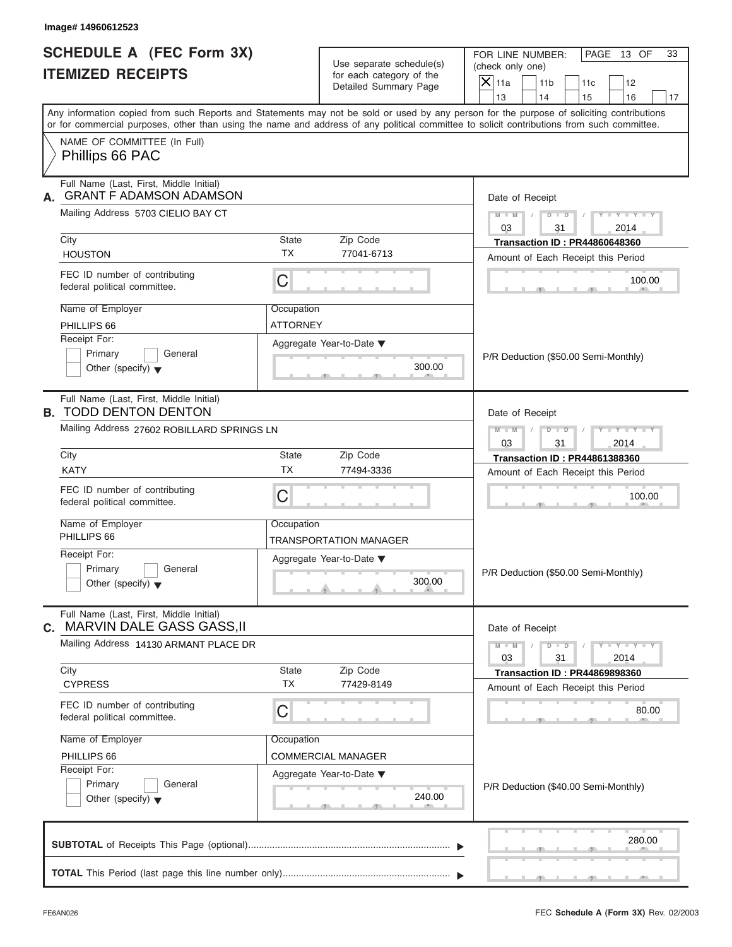| Image# 14960612523<br><b>SCHEDULE A (FEC Form 3X)</b>                           |                                                                                                                              | Use separate schedule(s)                          | FOR LINE NUMBER:<br>PAGE 13 OF<br>33<br>(check only one)                                                                                                                                                                                                                                |  |  |
|---------------------------------------------------------------------------------|------------------------------------------------------------------------------------------------------------------------------|---------------------------------------------------|-----------------------------------------------------------------------------------------------------------------------------------------------------------------------------------------------------------------------------------------------------------------------------------------|--|--|
| <b>ITEMIZED RECEIPTS</b>                                                        |                                                                                                                              | for each category of the<br>Detailed Summary Page | $\overline{X} _{11a}$<br>11 <sub>b</sub><br>11c<br>12<br>13<br>14<br>15<br>16<br>17                                                                                                                                                                                                     |  |  |
|                                                                                 |                                                                                                                              |                                                   | Any information copied from such Reports and Statements may not be sold or used by any person for the purpose of soliciting contributions<br>or for commercial purposes, other than using the name and address of any political committee to solicit contributions from such committee. |  |  |
| NAME OF COMMITTEE (In Full)<br>Phillips 66 PAC                                  |                                                                                                                              |                                                   |                                                                                                                                                                                                                                                                                         |  |  |
| Full Name (Last, First, Middle Initial)<br><b>GRANT F ADAMSON ADAMSON</b><br>А. |                                                                                                                              |                                                   | Date of Receipt                                                                                                                                                                                                                                                                         |  |  |
| Mailing Address 5703 CIELIO BAY CT                                              |                                                                                                                              |                                                   | $Y - Y - Y - Y - Y$<br>$M - M$ /<br>03<br>31<br>2014                                                                                                                                                                                                                                    |  |  |
| City                                                                            | State                                                                                                                        | Zip Code                                          | <b>Transaction ID: PR44860648360</b>                                                                                                                                                                                                                                                    |  |  |
| <b>HOUSTON</b>                                                                  | <b>TX</b>                                                                                                                    | 77041-6713                                        | Amount of Each Receipt this Period                                                                                                                                                                                                                                                      |  |  |
| FEC ID number of contributing<br>federal political committee.                   | C                                                                                                                            |                                                   | 100.00                                                                                                                                                                                                                                                                                  |  |  |
| Name of Employer                                                                | Occupation                                                                                                                   |                                                   |                                                                                                                                                                                                                                                                                         |  |  |
| PHILLIPS 66                                                                     | <b>ATTORNEY</b>                                                                                                              |                                                   |                                                                                                                                                                                                                                                                                         |  |  |
| Receipt For:<br>Primary<br>General<br>Other (specify) $\blacktriangledown$      |                                                                                                                              | Aggregate Year-to-Date ▼<br>300.00                | P/R Deduction (\$50.00 Semi-Monthly)                                                                                                                                                                                                                                                    |  |  |
| Full Name (Last, First, Middle Initial)<br><b>B. TODD DENTON DENTON</b>         | Date of Receipt                                                                                                              |                                                   |                                                                                                                                                                                                                                                                                         |  |  |
| Mailing Address 27602 ROBILLARD SPRINGS LN                                      | $\begin{array}{ccccccccc}\nD & \cdots & D & \cdots & I\n\end{array}$<br>$Y = Y = Y' - Y'$<br>$M$ $M$ $/$<br>03<br>31<br>2014 |                                                   |                                                                                                                                                                                                                                                                                         |  |  |
| City                                                                            | State                                                                                                                        | Zip Code                                          | <b>Transaction ID: PR44861388360</b>                                                                                                                                                                                                                                                    |  |  |
| <b>KATY</b>                                                                     | <b>TX</b>                                                                                                                    | 77494-3336                                        | Amount of Each Receipt this Period                                                                                                                                                                                                                                                      |  |  |
| FEC ID number of contributing<br>federal political committee.                   | C                                                                                                                            |                                                   | 100.00                                                                                                                                                                                                                                                                                  |  |  |
| Name of Employer<br>PHILLIPS 66                                                 | Occupation                                                                                                                   | TRANSPORTATION MANAGER                            |                                                                                                                                                                                                                                                                                         |  |  |
| Receipt For:                                                                    |                                                                                                                              | Aggregate Year-to-Date ▼                          |                                                                                                                                                                                                                                                                                         |  |  |
| Primary<br>General<br>Other (specify) $\blacktriangledown$                      |                                                                                                                              | 300.00                                            | P/R Deduction (\$50.00 Semi-Monthly)                                                                                                                                                                                                                                                    |  |  |
| Full Name (Last, First, Middle Initial)<br>MARVIN DALE GASS GASS, II<br>С.      |                                                                                                                              |                                                   | Date of Receipt                                                                                                                                                                                                                                                                         |  |  |
| Mailing Address 14130 ARMANT PLACE DR                                           |                                                                                                                              |                                                   | $M - M$<br>$Y - Y - Y - Y - I$<br>$D$ $D$<br>03<br>31<br>2014                                                                                                                                                                                                                           |  |  |
| City<br><b>CYPRESS</b>                                                          | State<br><b>TX</b>                                                                                                           | Zip Code<br>77429-8149                            | <b>Transaction ID: PR44869898360</b><br>Amount of Each Receipt this Period                                                                                                                                                                                                              |  |  |
| FEC ID number of contributing<br>federal political committee.                   | C                                                                                                                            |                                                   | 80.00                                                                                                                                                                                                                                                                                   |  |  |
| Name of Employer                                                                | Occupation                                                                                                                   |                                                   |                                                                                                                                                                                                                                                                                         |  |  |
| PHILLIPS 66                                                                     |                                                                                                                              | <b>COMMERCIAL MANAGER</b>                         |                                                                                                                                                                                                                                                                                         |  |  |
| Receipt For:<br>Primary<br>General                                              |                                                                                                                              | Aggregate Year-to-Date ▼                          |                                                                                                                                                                                                                                                                                         |  |  |
| Other (specify) $\blacktriangledown$                                            |                                                                                                                              | 240.00                                            | P/R Deduction (\$40.00 Semi-Monthly)                                                                                                                                                                                                                                                    |  |  |
|                                                                                 |                                                                                                                              |                                                   | 280.00                                                                                                                                                                                                                                                                                  |  |  |
|                                                                                 |                                                                                                                              |                                                   |                                                                                                                                                                                                                                                                                         |  |  |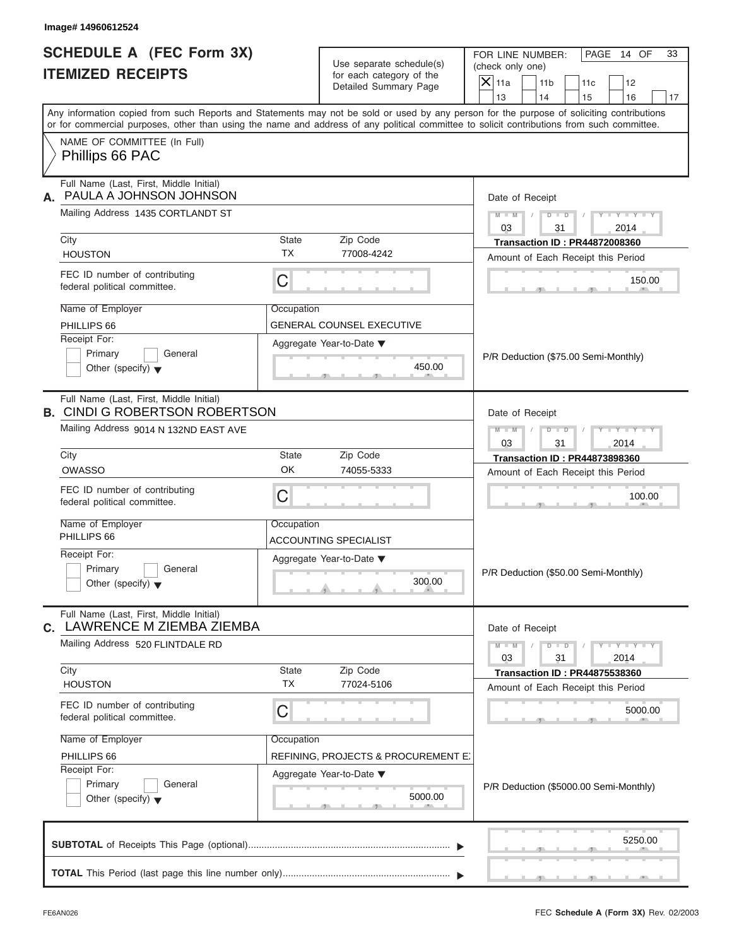| <b>SCHEDULE A (FEC Form 3X)</b>                                                                                                            |                                                       |                                     | FOR LINE NUMBER:<br>PAGE 14 OF<br>33                                                                                                      |
|--------------------------------------------------------------------------------------------------------------------------------------------|-------------------------------------------------------|-------------------------------------|-------------------------------------------------------------------------------------------------------------------------------------------|
| <b>ITEMIZED RECEIPTS</b>                                                                                                                   | Use separate schedule(s)<br>for each category of the  |                                     | (check only one)                                                                                                                          |
|                                                                                                                                            |                                                       | Detailed Summary Page               | $\overline{X} _{11a}$<br>11 <sub>b</sub><br>11c<br>12                                                                                     |
|                                                                                                                                            |                                                       |                                     | 13<br>14<br>15<br>16<br>17                                                                                                                |
| or for commercial purposes, other than using the name and address of any political committee to solicit contributions from such committee. |                                                       |                                     | Any information copied from such Reports and Statements may not be sold or used by any person for the purpose of soliciting contributions |
| NAME OF COMMITTEE (In Full)<br>Phillips 66 PAC                                                                                             |                                                       |                                     |                                                                                                                                           |
| Full Name (Last, First, Middle Initial)<br>PAULA A JOHNSON JOHNSON<br>А.                                                                   | Date of Receipt                                       |                                     |                                                                                                                                           |
| Mailing Address 1435 CORTLANDT ST                                                                                                          |                                                       |                                     | $Y - Y - Y - Y - Y$<br>$M - M$ /<br>03<br>31<br>2014                                                                                      |
| City                                                                                                                                       | State                                                 | Zip Code                            | <b>Transaction ID: PR44872008360</b>                                                                                                      |
| <b>HOUSTON</b>                                                                                                                             | <b>TX</b>                                             | 77008-4242                          | Amount of Each Receipt this Period                                                                                                        |
| FEC ID number of contributing<br>federal political committee.                                                                              | C                                                     |                                     | 150.00                                                                                                                                    |
| Name of Employer                                                                                                                           | Occupation                                            |                                     |                                                                                                                                           |
| PHILLIPS 66                                                                                                                                |                                                       | <b>GENERAL COUNSEL EXECUTIVE</b>    |                                                                                                                                           |
| Receipt For:                                                                                                                               |                                                       | Aggregate Year-to-Date ▼            |                                                                                                                                           |
| Primary<br>General                                                                                                                         |                                                       |                                     | P/R Deduction (\$75.00 Semi-Monthly)                                                                                                      |
| Other (specify) $\blacktriangledown$                                                                                                       |                                                       | 450.00                              |                                                                                                                                           |
| Full Name (Last, First, Middle Initial)<br><b>B. CINDI G ROBERTSON ROBERTSON</b>                                                           | Date of Receipt                                       |                                     |                                                                                                                                           |
| Mailing Address 9014 N 132ND EAST AVE                                                                                                      | $D - D$<br>$Y = Y = Y' = Y'$<br>$M$ $M$ $I$<br>$\Box$ |                                     |                                                                                                                                           |
|                                                                                                                                            |                                                       |                                     | 03<br>31<br>2014                                                                                                                          |
| City                                                                                                                                       | State                                                 | Zip Code                            | <b>Transaction ID: PR44873898360</b>                                                                                                      |
| <b>OWASSO</b>                                                                                                                              | OK                                                    | 74055-5333                          | Amount of Each Receipt this Period                                                                                                        |
| FEC ID number of contributing<br>federal political committee.                                                                              | C                                                     |                                     | 100.00                                                                                                                                    |
| Name of Employer                                                                                                                           | Occupation                                            |                                     |                                                                                                                                           |
| PHILLIPS 66                                                                                                                                |                                                       | ACCOUNTING SPECIALIST               |                                                                                                                                           |
| Receipt For:                                                                                                                               |                                                       | Aggregate Year-to-Date ▼            |                                                                                                                                           |
| Primary<br>General<br>Other (specify) $\blacktriangledown$                                                                                 |                                                       | 300.00                              | P/R Deduction (\$50.00 Semi-Monthly)                                                                                                      |
|                                                                                                                                            | Date of Receipt                                       |                                     |                                                                                                                                           |
| Full Name (Last, First, Middle Initial)<br>LAWRENCE M ZIEMBA ZIEMBA                                                                        |                                                       |                                     |                                                                                                                                           |
| Mailing Address 520 FLINTDALE RD                                                                                                           |                                                       |                                     | $M - M$<br>$Y = Y + Y + Y$<br>$D$ $D$                                                                                                     |
|                                                                                                                                            |                                                       |                                     | 03<br>31<br>2014                                                                                                                          |
| С.<br>City                                                                                                                                 | State                                                 | Zip Code                            | <b>Transaction ID: PR44875538360</b>                                                                                                      |
| <b>HOUSTON</b>                                                                                                                             | <b>TX</b>                                             | 77024-5106                          | Amount of Each Receipt this Period                                                                                                        |
| FEC ID number of contributing<br>federal political committee.                                                                              | C                                                     |                                     | 5000.00                                                                                                                                   |
| Name of Employer                                                                                                                           | Occupation                                            |                                     |                                                                                                                                           |
| PHILLIPS 66                                                                                                                                |                                                       | REFINING, PROJECTS & PROCUREMENT E. |                                                                                                                                           |
| Receipt For:                                                                                                                               |                                                       | Aggregate Year-to-Date ▼            |                                                                                                                                           |
| Primary<br>General<br>Other (specify) $\blacktriangledown$                                                                                 |                                                       | 5000.00                             | P/R Deduction (\$5000.00 Semi-Monthly)                                                                                                    |
|                                                                                                                                            |                                                       |                                     | 5250.00                                                                                                                                   |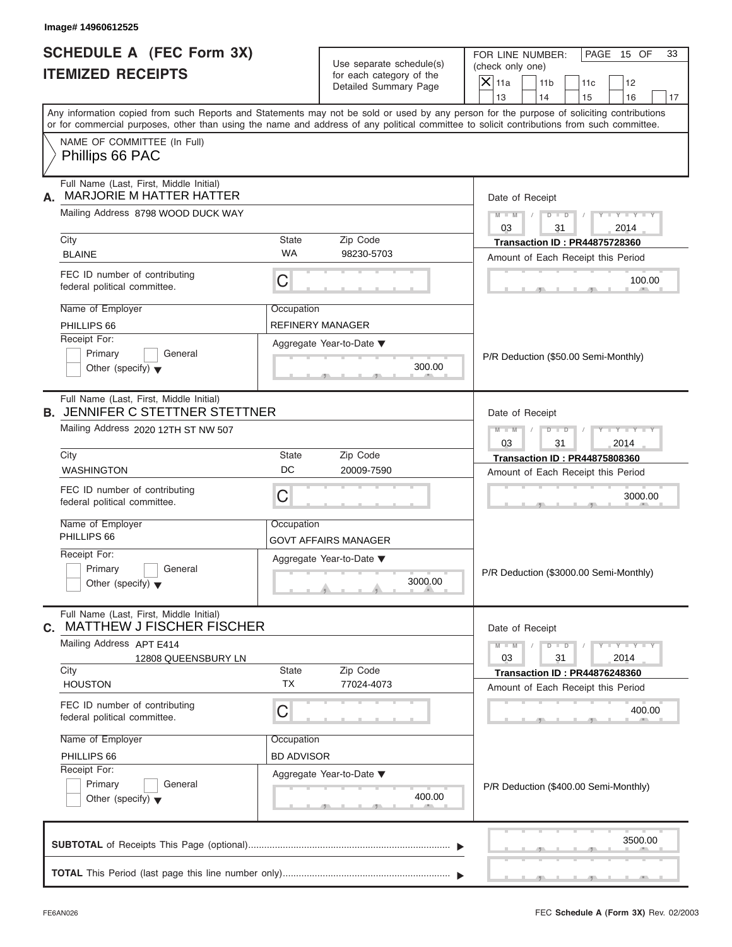| <b>SCHEDULE A (FEC Form 3X)</b><br><b>ITEMIZED RECEIPTS</b>                       |                                                       | Use separate schedule(s)<br>for each category of the | FOR LINE NUMBER:<br>PAGE 15 OF<br>(check only one)                                                                                                                                                                                                                                      |  |  |
|-----------------------------------------------------------------------------------|-------------------------------------------------------|------------------------------------------------------|-----------------------------------------------------------------------------------------------------------------------------------------------------------------------------------------------------------------------------------------------------------------------------------------|--|--|
|                                                                                   |                                                       | Detailed Summary Page                                | $X$ 11a<br>11 <sub>b</sub><br>11c<br>12                                                                                                                                                                                                                                                 |  |  |
|                                                                                   |                                                       |                                                      | 13<br>14<br>15<br>16                                                                                                                                                                                                                                                                    |  |  |
|                                                                                   |                                                       |                                                      | Any information copied from such Reports and Statements may not be sold or used by any person for the purpose of soliciting contributions<br>or for commercial purposes, other than using the name and address of any political committee to solicit contributions from such committee. |  |  |
| NAME OF COMMITTEE (In Full)<br>Phillips 66 PAC                                    |                                                       |                                                      |                                                                                                                                                                                                                                                                                         |  |  |
| Full Name (Last, First, Middle Initial)<br><b>MARJORIE M HATTER HATTER</b><br>А.  | Date of Receipt                                       |                                                      |                                                                                                                                                                                                                                                                                         |  |  |
| Mailing Address 8798 WOOD DUCK WAY                                                |                                                       |                                                      | $D$ $\Box$ $D$<br>$Y - Y - Y - Y - Y$<br>$M - M$<br>$\sqrt{ }$<br>03<br>31<br>2014                                                                                                                                                                                                      |  |  |
| City                                                                              | State                                                 | Zip Code                                             | <b>Transaction ID: PR44875728360</b>                                                                                                                                                                                                                                                    |  |  |
| <b>BLAINE</b>                                                                     | <b>WA</b>                                             | 98230-5703                                           | Amount of Each Receipt this Period                                                                                                                                                                                                                                                      |  |  |
| FEC ID number of contributing<br>federal political committee.                     | C                                                     |                                                      | 100.00                                                                                                                                                                                                                                                                                  |  |  |
| Name of Employer                                                                  | Occupation                                            |                                                      |                                                                                                                                                                                                                                                                                         |  |  |
| PHILLIPS 66                                                                       |                                                       | <b>REFINERY MANAGER</b>                              |                                                                                                                                                                                                                                                                                         |  |  |
| Receipt For:                                                                      |                                                       | Aggregate Year-to-Date ▼                             |                                                                                                                                                                                                                                                                                         |  |  |
| Primary<br>General                                                                |                                                       |                                                      | P/R Deduction (\$50.00 Semi-Monthly)                                                                                                                                                                                                                                                    |  |  |
| Other (specify) $\blacktriangledown$                                              |                                                       | 300.00                                               |                                                                                                                                                                                                                                                                                         |  |  |
| Full Name (Last, First, Middle Initial)<br><b>B. JENNIFER C STETTNER STETTNER</b> | Date of Receipt                                       |                                                      |                                                                                                                                                                                                                                                                                         |  |  |
| Mailing Address 2020 12TH ST NW 507                                               | $D - D$<br>Y T Y T Y T<br>$M - M$<br>03<br>31<br>2014 |                                                      |                                                                                                                                                                                                                                                                                         |  |  |
| City                                                                              | <b>Transaction ID: PR44875808360</b>                  |                                                      |                                                                                                                                                                                                                                                                                         |  |  |
| <b>WASHINGTON</b>                                                                 | DC                                                    | 20009-7590                                           | Amount of Each Receipt this Period                                                                                                                                                                                                                                                      |  |  |
| FEC ID number of contributing<br>federal political committee.                     | C                                                     |                                                      | 3000.00                                                                                                                                                                                                                                                                                 |  |  |
| Name of Employer                                                                  | Occupation                                            |                                                      |                                                                                                                                                                                                                                                                                         |  |  |
| PHILLIPS 66                                                                       |                                                       | GOVT AFFAIRS MANAGER                                 |                                                                                                                                                                                                                                                                                         |  |  |
| Receipt For:                                                                      |                                                       | Aggregate Year-to-Date ▼                             |                                                                                                                                                                                                                                                                                         |  |  |
| Primary<br>General<br>Other (specify) $\blacktriangledown$                        |                                                       | 3000.00                                              | P/R Deduction (\$3000.00 Semi-Monthly)                                                                                                                                                                                                                                                  |  |  |
| Full Name (Last, First, Middle Initial)<br><b>MATTHEW J FISCHER FISCHER</b><br>C. | Date of Receipt                                       |                                                      |                                                                                                                                                                                                                                                                                         |  |  |
| Mailing Address APT E414                                                          |                                                       |                                                      | $M - M$<br>$D$ $\Box$ $D$<br>$Y - Y - Y - Y - I$                                                                                                                                                                                                                                        |  |  |
| 12808 QUEENSBURY LN                                                               |                                                       |                                                      | 03<br>31<br>2014                                                                                                                                                                                                                                                                        |  |  |
| City<br><b>HOUSTON</b>                                                            | State<br><b>TX</b>                                    | Zip Code<br>77024-4073                               | <b>Transaction ID: PR44876248360</b>                                                                                                                                                                                                                                                    |  |  |
|                                                                                   |                                                       |                                                      | Amount of Each Receipt this Period                                                                                                                                                                                                                                                      |  |  |
| FEC ID number of contributing<br>federal political committee.                     | C                                                     |                                                      | 400.00                                                                                                                                                                                                                                                                                  |  |  |
| Name of Employer                                                                  | Occupation                                            |                                                      |                                                                                                                                                                                                                                                                                         |  |  |
| PHILLIPS 66                                                                       | <b>BD ADVISOR</b>                                     |                                                      |                                                                                                                                                                                                                                                                                         |  |  |
| Receipt For:                                                                      |                                                       | Aggregate Year-to-Date ▼                             |                                                                                                                                                                                                                                                                                         |  |  |
| Primary<br>General                                                                |                                                       | 400.00                                               | P/R Deduction (\$400.00 Semi-Monthly)                                                                                                                                                                                                                                                   |  |  |
| Other (specify) $\blacktriangledown$                                              |                                                       |                                                      |                                                                                                                                                                                                                                                                                         |  |  |
|                                                                                   |                                                       |                                                      |                                                                                                                                                                                                                                                                                         |  |  |

 $S = 1, 1, 2, 3, ...$  ,  $S = 1, 3, ...$  ,  $S = 1, 3, ...$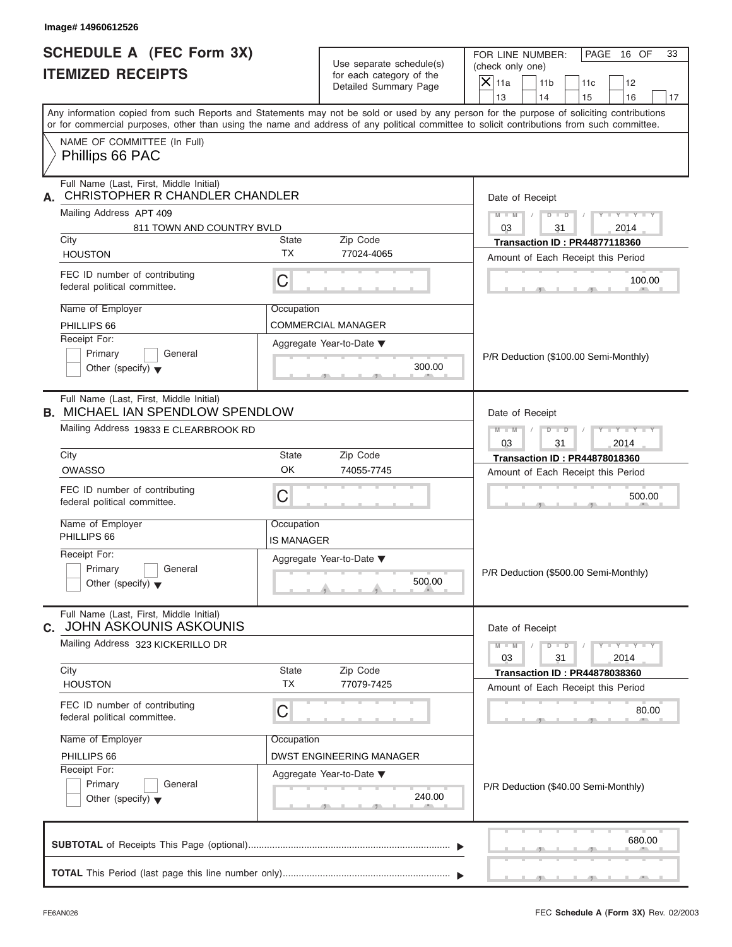| <b>SCHEDULE A (FEC Form 3X)</b><br><b>ITEMIZED RECEIPTS</b>                        |                                                                     | Use separate schedule(s)<br>for each category of the | FOR LINE NUMBER:<br>PAGE 16 OF<br>33<br>(check only one)                                                                                                                                                                                                                                                              |
|------------------------------------------------------------------------------------|---------------------------------------------------------------------|------------------------------------------------------|-----------------------------------------------------------------------------------------------------------------------------------------------------------------------------------------------------------------------------------------------------------------------------------------------------------------------|
|                                                                                    |                                                                     | Detailed Summary Page                                | $\overline{X}$ 11a<br>11 <sub>b</sub><br>11c<br>12                                                                                                                                                                                                                                                                    |
|                                                                                    |                                                                     |                                                      | 13<br>14<br>15<br>16<br>17<br>Any information copied from such Reports and Statements may not be sold or used by any person for the purpose of soliciting contributions<br>or for commercial purposes, other than using the name and address of any political committee to solicit contributions from such committee. |
| NAME OF COMMITTEE (In Full)<br>Phillips 66 PAC                                     |                                                                     |                                                      |                                                                                                                                                                                                                                                                                                                       |
| Full Name (Last, First, Middle Initial)<br>CHRISTOPHER R CHANDLER CHANDLER<br>А.   |                                                                     |                                                      | Date of Receipt                                                                                                                                                                                                                                                                                                       |
| Mailing Address APT 409<br>811 TOWN AND COUNTRY BVLD                               |                                                                     |                                                      | $Y - Y - Y - Y - Y$<br>$M - M$ /<br>03<br>31<br>2014                                                                                                                                                                                                                                                                  |
| City                                                                               | State                                                               | Zip Code                                             | <b>Transaction ID: PR44877118360</b>                                                                                                                                                                                                                                                                                  |
| <b>HOUSTON</b>                                                                     | TX                                                                  | 77024-4065                                           | Amount of Each Receipt this Period                                                                                                                                                                                                                                                                                    |
| FEC ID number of contributing<br>federal political committee.                      | C                                                                   |                                                      | 100.00                                                                                                                                                                                                                                                                                                                |
| Name of Employer                                                                   | Occupation                                                          |                                                      |                                                                                                                                                                                                                                                                                                                       |
| PHILLIPS 66                                                                        |                                                                     | <b>COMMERCIAL MANAGER</b>                            |                                                                                                                                                                                                                                                                                                                       |
| Receipt For:                                                                       |                                                                     | Aggregate Year-to-Date ▼                             |                                                                                                                                                                                                                                                                                                                       |
| Primary<br>General<br>Other (specify) $\blacktriangledown$                         |                                                                     | 300.00                                               | P/R Deduction (\$100.00 Semi-Monthly)                                                                                                                                                                                                                                                                                 |
| Full Name (Last, First, Middle Initial)<br><b>B. MICHAEL IAN SPENDLOW SPENDLOW</b> | Date of Receipt                                                     |                                                      |                                                                                                                                                                                                                                                                                                                       |
| Mailing Address 19833 E CLEARBROOK RD                                              | $D$ $D$<br>$Y = Y = Y - Y$<br>$M - M$<br>$\Box$<br>03<br>31<br>2014 |                                                      |                                                                                                                                                                                                                                                                                                                       |
| City                                                                               | <b>Transaction ID: PR44878018360</b>                                |                                                      |                                                                                                                                                                                                                                                                                                                       |
| <b>OWASSO</b>                                                                      | OK                                                                  | 74055-7745                                           | Amount of Each Receipt this Period                                                                                                                                                                                                                                                                                    |
| FEC ID number of contributing<br>federal political committee.                      | C                                                                   |                                                      | 500.00                                                                                                                                                                                                                                                                                                                |
| Name of Employer<br>PHILLIPS 66                                                    | Occupation<br>IS MANAGER                                            |                                                      |                                                                                                                                                                                                                                                                                                                       |
| Receipt For:                                                                       |                                                                     | Aggregate Year-to-Date ▼                             |                                                                                                                                                                                                                                                                                                                       |
| Primary<br>General<br>Other (specify) $\blacktriangledown$                         |                                                                     | 500.00                                               | P/R Deduction (\$500.00 Semi-Monthly)                                                                                                                                                                                                                                                                                 |
| Full Name (Last, First, Middle Initial)<br><b>JOHN ASKOUNIS ASKOUNIS</b><br>C.     |                                                                     |                                                      | Date of Receipt                                                                                                                                                                                                                                                                                                       |
| Mailing Address 323 KICKERILLO DR                                                  |                                                                     |                                                      | $M - M$<br>$Y - Y - Y - Y - Y$<br>$D$ $\Box$ $D$<br>03<br>31<br>2014                                                                                                                                                                                                                                                  |
| City<br><b>HOUSTON</b>                                                             | State<br><b>TX</b>                                                  | Zip Code<br>77079-7425                               | <b>Transaction ID: PR44878038360</b><br>Amount of Each Receipt this Period                                                                                                                                                                                                                                            |
| FEC ID number of contributing<br>federal political committee.                      | С                                                                   |                                                      | 80.00                                                                                                                                                                                                                                                                                                                 |
| Name of Employer                                                                   | Occupation                                                          |                                                      |                                                                                                                                                                                                                                                                                                                       |
| PHILLIPS 66                                                                        |                                                                     | <b>DWST ENGINEERING MANAGER</b>                      |                                                                                                                                                                                                                                                                                                                       |
| Receipt For:<br>Primary<br>General                                                 |                                                                     | Aggregate Year-to-Date ▼                             |                                                                                                                                                                                                                                                                                                                       |
| Other (specify) $\blacktriangledown$                                               |                                                                     | 240.00                                               | P/R Deduction (\$40.00 Semi-Monthly)                                                                                                                                                                                                                                                                                  |
|                                                                                    |                                                                     |                                                      |                                                                                                                                                                                                                                                                                                                       |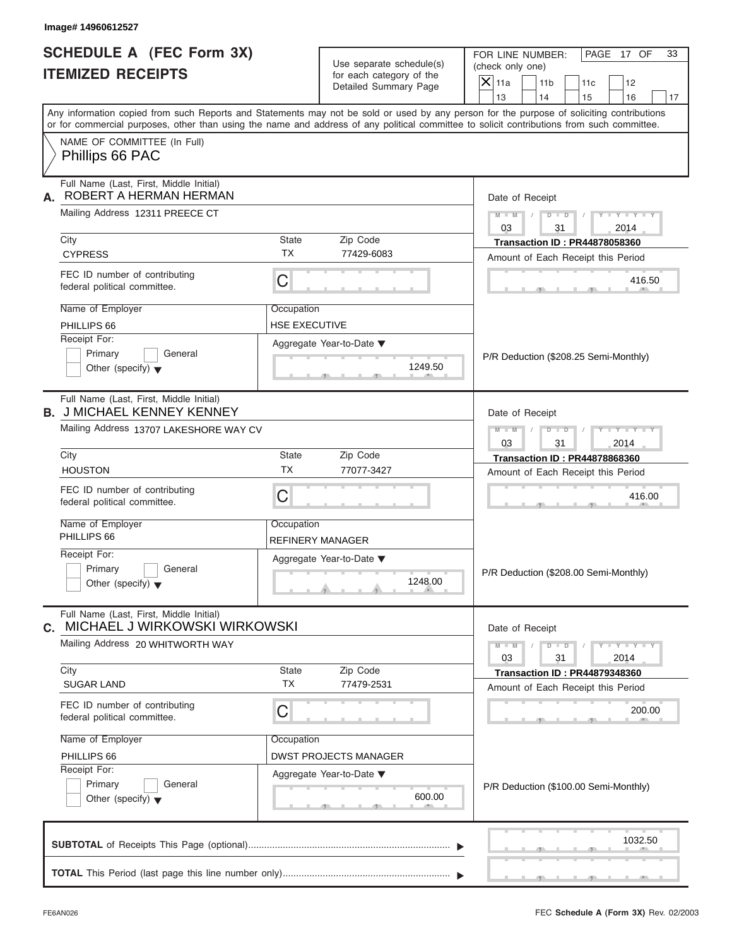| <b>SCHEDULE A (FEC Form 3X)</b>                                                                                                                                                                                                                                                         | Use separate schedule(s)<br>for each category of the<br>Detailed Summary Page |                              |  | (check only one)     | FOR LINE NUMBER: |                                       | PAGE 17 OF                  | 33     |
|-----------------------------------------------------------------------------------------------------------------------------------------------------------------------------------------------------------------------------------------------------------------------------------------|-------------------------------------------------------------------------------|------------------------------|--|----------------------|------------------|---------------------------------------|-----------------------------|--------|
| <b>ITEMIZED RECEIPTS</b>                                                                                                                                                                                                                                                                |                                                                               |                              |  | $ \mathsf{X} _{11a}$ | 11 <sub>b</sub>  | 11c                                   | 12                          |        |
|                                                                                                                                                                                                                                                                                         |                                                                               |                              |  | 13                   | 14               | 15                                    | 16                          | 17     |
| Any information copied from such Reports and Statements may not be sold or used by any person for the purpose of soliciting contributions<br>or for commercial purposes, other than using the name and address of any political committee to solicit contributions from such committee. |                                                                               |                              |  |                      |                  |                                       |                             |        |
| NAME OF COMMITTEE (In Full)<br>Phillips 66 PAC                                                                                                                                                                                                                                          |                                                                               |                              |  |                      |                  |                                       |                             |        |
| Full Name (Last, First, Middle Initial)<br>ROBERT A HERMAN HERMAN<br>А.                                                                                                                                                                                                                 |                                                                               |                              |  |                      | Date of Receipt  |                                       |                             |        |
| Mailing Address 12311 PREECE CT                                                                                                                                                                                                                                                         |                                                                               |                              |  | $M - M$ /<br>03      |                  | $D$ $\Box$ $D$<br>31                  | $Y - Y - Y - Y - I$<br>2014 |        |
| City                                                                                                                                                                                                                                                                                    | State                                                                         | Zip Code                     |  |                      |                  | <b>Transaction ID: PR44878058360</b>  |                             |        |
| <b>CYPRESS</b>                                                                                                                                                                                                                                                                          | <b>TX</b>                                                                     | 77429-6083                   |  |                      |                  | Amount of Each Receipt this Period    |                             |        |
| FEC ID number of contributing<br>federal political committee.                                                                                                                                                                                                                           | C                                                                             |                              |  |                      |                  |                                       |                             | 416.50 |
| Name of Employer                                                                                                                                                                                                                                                                        | Occupation                                                                    |                              |  |                      |                  |                                       |                             |        |
| PHILLIPS 66                                                                                                                                                                                                                                                                             | <b>HSE EXECUTIVE</b>                                                          |                              |  |                      |                  |                                       |                             |        |
| Receipt For:                                                                                                                                                                                                                                                                            |                                                                               | Aggregate Year-to-Date ▼     |  |                      |                  |                                       |                             |        |
| Primary<br>General                                                                                                                                                                                                                                                                      |                                                                               |                              |  |                      |                  | P/R Deduction (\$208.25 Semi-Monthly) |                             |        |
| Other (specify) $\blacktriangledown$                                                                                                                                                                                                                                                    | 1249.50                                                                       |                              |  |                      |                  |                                       |                             |        |
| Full Name (Last, First, Middle Initial)<br><b>B. J MICHAEL KENNEY KENNEY</b>                                                                                                                                                                                                            |                                                                               |                              |  |                      | Date of Receipt  |                                       |                             |        |
| Mailing Address 13707 LAKESHORE WAY CV                                                                                                                                                                                                                                                  |                                                                               |                              |  | $M$ $M$ $/$<br>03    | $D - I$          | 31                                    | $Y = Y = Y$<br>2014         |        |
| City                                                                                                                                                                                                                                                                                    | State                                                                         | Zip Code                     |  |                      |                  | <b>Transaction ID: PR44878868360</b>  |                             |        |
| <b>HOUSTON</b>                                                                                                                                                                                                                                                                          | <b>TX</b>                                                                     | 77077-3427                   |  |                      |                  | Amount of Each Receipt this Period    |                             |        |
| FEC ID number of contributing<br>federal political committee.                                                                                                                                                                                                                           | C                                                                             |                              |  |                      |                  |                                       |                             | 416.00 |
| Name of Employer                                                                                                                                                                                                                                                                        | Occupation                                                                    |                              |  |                      |                  |                                       |                             |        |
| PHILLIPS 66                                                                                                                                                                                                                                                                             | REFINERY MANAGER                                                              |                              |  |                      |                  |                                       |                             |        |
| Receipt For:                                                                                                                                                                                                                                                                            |                                                                               | Aggregate Year-to-Date ▼     |  |                      |                  |                                       |                             |        |
| Primary<br>General                                                                                                                                                                                                                                                                      |                                                                               |                              |  |                      |                  | P/R Deduction (\$208.00 Semi-Monthly) |                             |        |
| Other (specify) $\blacktriangledown$                                                                                                                                                                                                                                                    |                                                                               | 1248.00                      |  |                      |                  |                                       |                             |        |
|                                                                                                                                                                                                                                                                                         |                                                                               |                              |  |                      |                  |                                       |                             |        |
| Full Name (Last, First, Middle Initial)<br>C. MICHAEL J WIRKOWSKI WIRKOWSKI                                                                                                                                                                                                             |                                                                               |                              |  |                      | Date of Receipt  |                                       |                             |        |
| Mailing Address 20 WHITWORTH WAY                                                                                                                                                                                                                                                        |                                                                               |                              |  | $M - M$<br>03        |                  | $D$ $\Box$ $D$<br>31                  | $Y - Y - Y - Y - I$<br>2014 |        |
| City                                                                                                                                                                                                                                                                                    | State                                                                         | Zip Code                     |  |                      |                  | <b>Transaction ID: PR44879348360</b>  |                             |        |
| <b>SUGAR LAND</b>                                                                                                                                                                                                                                                                       | <b>TX</b>                                                                     | 77479-2531                   |  |                      |                  | Amount of Each Receipt this Period    |                             |        |
| FEC ID number of contributing<br>federal political committee.                                                                                                                                                                                                                           | C                                                                             |                              |  |                      |                  |                                       |                             | 200.00 |
| Name of Employer                                                                                                                                                                                                                                                                        | Occupation                                                                    |                              |  |                      |                  |                                       |                             |        |
|                                                                                                                                                                                                                                                                                         |                                                                               | <b>DWST PROJECTS MANAGER</b> |  |                      |                  |                                       |                             |        |
| PHILLIPS 66<br>Receipt For:                                                                                                                                                                                                                                                             |                                                                               |                              |  |                      |                  |                                       |                             |        |
| Primary<br>General                                                                                                                                                                                                                                                                      |                                                                               | Aggregate Year-to-Date ▼     |  |                      |                  |                                       |                             |        |
| Other (specify) $\blacktriangledown$                                                                                                                                                                                                                                                    |                                                                               | 600.00                       |  |                      |                  | P/R Deduction (\$100.00 Semi-Monthly) |                             |        |

| Name of Employer<br>PHILLIPS 66<br>Receipt For:<br>Primary<br>General<br>Other (specify) $\blacktriangledown$ | P/R Deduction (\$100.00 Semi-Monthly) |
|---------------------------------------------------------------------------------------------------------------|---------------------------------------|
|                                                                                                               | 1032.50                               |

 $\overline{1}$  17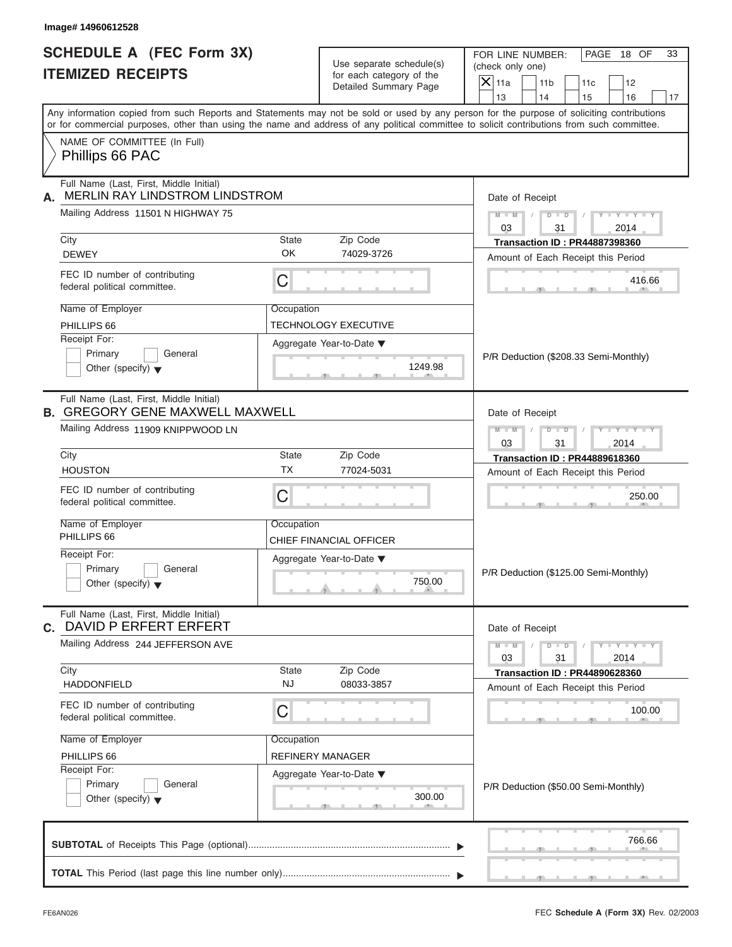| <b>SCHEDULE A (FEC Form 3X)</b>                                                   |                                                               |                             |                                                                                                                                                                                                                                                                                         |  |  |
|-----------------------------------------------------------------------------------|---------------------------------------------------------------|-----------------------------|-----------------------------------------------------------------------------------------------------------------------------------------------------------------------------------------------------------------------------------------------------------------------------------------|--|--|
|                                                                                   | Use separate schedule(s)<br>for each category of the          |                             | FOR LINE NUMBER:<br>PAGE 18 OF<br>(check only one)                                                                                                                                                                                                                                      |  |  |
| <b>ITEMIZED RECEIPTS</b>                                                          |                                                               |                             | $\overline{X} _{11a}$<br>11 <sub>b</sub><br>11c<br>12                                                                                                                                                                                                                                   |  |  |
|                                                                                   |                                                               | Detailed Summary Page       | 13<br>14<br>15<br>16                                                                                                                                                                                                                                                                    |  |  |
|                                                                                   |                                                               |                             | Any information copied from such Reports and Statements may not be sold or used by any person for the purpose of soliciting contributions<br>or for commercial purposes, other than using the name and address of any political committee to solicit contributions from such committee. |  |  |
| NAME OF COMMITTEE (In Full)                                                       |                                                               |                             |                                                                                                                                                                                                                                                                                         |  |  |
| Phillips 66 PAC                                                                   |                                                               |                             |                                                                                                                                                                                                                                                                                         |  |  |
| Full Name (Last, First, Middle Initial)<br>MERLIN RAY LINDSTROM LINDSTROM         | Date of Receipt                                               |                             |                                                                                                                                                                                                                                                                                         |  |  |
| Mailing Address 11501 N HIGHWAY 75                                                |                                                               |                             | $Y - Y - Y - Y - Y$<br>$M - M$ /<br>03<br>31<br>2014                                                                                                                                                                                                                                    |  |  |
| City                                                                              | State                                                         | Zip Code                    | <b>Transaction ID: PR44887398360</b>                                                                                                                                                                                                                                                    |  |  |
| <b>DEWEY</b>                                                                      | OK                                                            | 74029-3726                  | Amount of Each Receipt this Period                                                                                                                                                                                                                                                      |  |  |
| FEC ID number of contributing<br>federal political committee.                     | C                                                             |                             | 416.66                                                                                                                                                                                                                                                                                  |  |  |
| Name of Employer                                                                  | Occupation                                                    |                             |                                                                                                                                                                                                                                                                                         |  |  |
| PHILLIPS 66                                                                       |                                                               | <b>TECHNOLOGY EXECUTIVE</b> |                                                                                                                                                                                                                                                                                         |  |  |
| Receipt For:                                                                      |                                                               | Aggregate Year-to-Date ▼    |                                                                                                                                                                                                                                                                                         |  |  |
| Primary<br>General                                                                |                                                               |                             | P/R Deduction (\$208.33 Semi-Monthly)                                                                                                                                                                                                                                                   |  |  |
| Other (specify) $\blacktriangledown$                                              |                                                               | 1249.98                     |                                                                                                                                                                                                                                                                                         |  |  |
| Full Name (Last, First, Middle Initial)<br><b>B. GREGORY GENE MAXWELL MAXWELL</b> | Date of Receipt                                               |                             |                                                                                                                                                                                                                                                                                         |  |  |
| Mailing Address 11909 KNIPPWOOD LN                                                | $D - D$<br>$Y = Y = Y' = Y'$<br>$M$ $M$ $I$<br>$\Box$         |                             |                                                                                                                                                                                                                                                                                         |  |  |
|                                                                                   |                                                               |                             | 03<br>31<br>2014                                                                                                                                                                                                                                                                        |  |  |
| City                                                                              | State                                                         | Zip Code                    | <b>Transaction ID: PR44889618360</b>                                                                                                                                                                                                                                                    |  |  |
| <b>HOUSTON</b>                                                                    | <b>TX</b>                                                     | 77024-5031                  | Amount of Each Receipt this Period                                                                                                                                                                                                                                                      |  |  |
| FEC ID number of contributing<br>federal political committee.                     | C                                                             |                             | 250.00                                                                                                                                                                                                                                                                                  |  |  |
| Name of Employer                                                                  | Occupation                                                    |                             |                                                                                                                                                                                                                                                                                         |  |  |
| PHILLIPS 66                                                                       |                                                               | CHIEF FINANCIAL OFFICER     |                                                                                                                                                                                                                                                                                         |  |  |
| Receipt For:                                                                      |                                                               | Aggregate Year-to-Date ▼    |                                                                                                                                                                                                                                                                                         |  |  |
| Primary<br>General<br>Other (specify) $\blacktriangledown$                        |                                                               | 750.00                      | P/R Deduction (\$125.00 Semi-Monthly)                                                                                                                                                                                                                                                   |  |  |
| Full Name (Last, First, Middle Initial)<br><b>C. DAVID P ERFERT ERFERT</b>        |                                                               |                             | Date of Receipt                                                                                                                                                                                                                                                                         |  |  |
| Mailing Address 244 JEFFERSON AVE                                                 | $Y - Y - Y - Y - Y$<br>$M - M$<br>$D$ $D$<br>03<br>31<br>2014 |                             |                                                                                                                                                                                                                                                                                         |  |  |
| City                                                                              | State                                                         | Zip Code                    | <b>Transaction ID: PR44890628360</b>                                                                                                                                                                                                                                                    |  |  |
| <b>HADDONFIELD</b>                                                                | <b>NJ</b>                                                     | 08033-3857                  | Amount of Each Receipt this Period                                                                                                                                                                                                                                                      |  |  |
| FEC ID number of contributing<br>federal political committee.                     | C                                                             |                             | 100.00                                                                                                                                                                                                                                                                                  |  |  |
| Name of Employer                                                                  | Occupation                                                    |                             |                                                                                                                                                                                                                                                                                         |  |  |
| PHILLIPS 66                                                                       |                                                               | <b>REFINERY MANAGER</b>     |                                                                                                                                                                                                                                                                                         |  |  |
| Receipt For:                                                                      |                                                               | Aggregate Year-to-Date ▼    |                                                                                                                                                                                                                                                                                         |  |  |
| Primary<br>General<br>Other (specify) $\blacktriangledown$                        |                                                               | 300.00                      | P/R Deduction (\$50.00 Semi-Monthly)                                                                                                                                                                                                                                                    |  |  |
|                                                                                   |                                                               |                             | 766.66                                                                                                                                                                                                                                                                                  |  |  |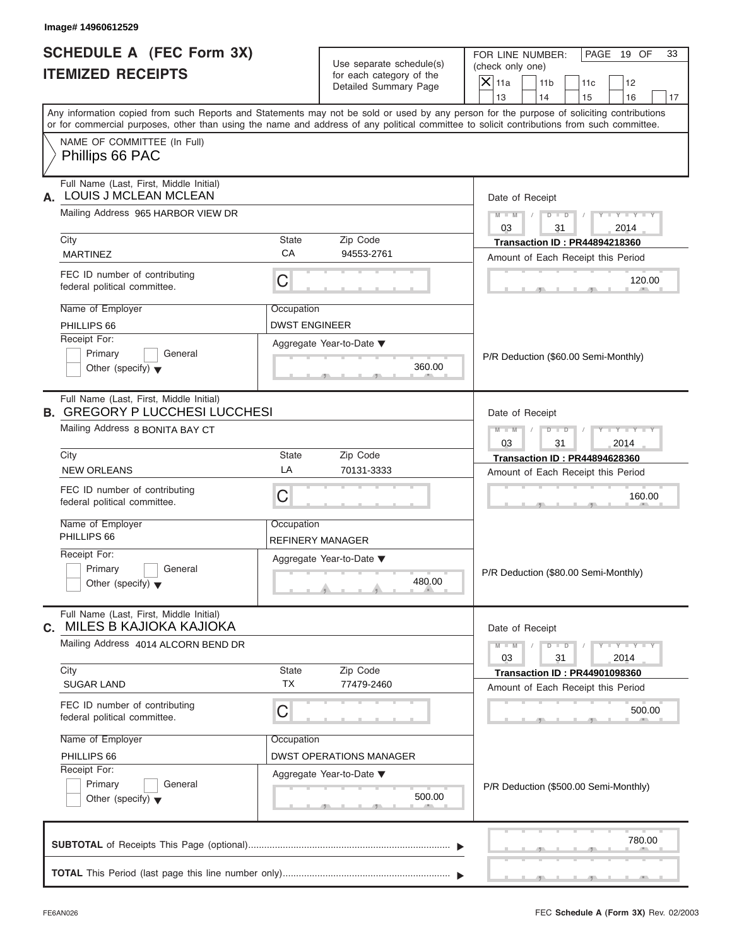| Image# 14960612529                                                                                               |                                                                       |                                                                               |                                                                                                                                                                                                                                                                                         |
|------------------------------------------------------------------------------------------------------------------|-----------------------------------------------------------------------|-------------------------------------------------------------------------------|-----------------------------------------------------------------------------------------------------------------------------------------------------------------------------------------------------------------------------------------------------------------------------------------|
| <b>SCHEDULE A (FEC Form 3X)</b><br><b>ITEMIZED RECEIPTS</b>                                                      |                                                                       | Use separate schedule(s)<br>for each category of the<br>Detailed Summary Page | FOR LINE NUMBER:<br>PAGE 19 OF<br>33<br>(check only one)<br>$\overline{X}$ 11a<br>11 <sub>b</sub><br>11c<br>12<br>13<br>14<br>15<br>16<br>17                                                                                                                                            |
|                                                                                                                  |                                                                       |                                                                               | Any information copied from such Reports and Statements may not be sold or used by any person for the purpose of soliciting contributions<br>or for commercial purposes, other than using the name and address of any political committee to solicit contributions from such committee. |
| NAME OF COMMITTEE (In Full)<br>Phillips 66 PAC                                                                   |                                                                       |                                                                               |                                                                                                                                                                                                                                                                                         |
| Full Name (Last, First, Middle Initial)<br>LOUIS J MCLEAN MCLEAN<br>А.                                           | Date of Receipt                                                       |                                                                               |                                                                                                                                                                                                                                                                                         |
| Mailing Address 965 HARBOR VIEW DR                                                                               |                                                                       |                                                                               | $Y - Y - Y - Y - Y$<br>$M - M$ /<br>$D$ $D$ $/$<br>03<br>31<br>2014                                                                                                                                                                                                                     |
| City<br><b>MARTINEZ</b>                                                                                          | State<br>CA                                                           | Zip Code<br>94553-2761                                                        | <b>Transaction ID: PR44894218360</b>                                                                                                                                                                                                                                                    |
| FEC ID number of contributing<br>federal political committee.                                                    | $\mathsf C$                                                           |                                                                               | Amount of Each Receipt this Period<br>120.00                                                                                                                                                                                                                                            |
| Name of Employer<br>PHILLIPS 66                                                                                  | Occupation<br><b>DWST ENGINEER</b>                                    |                                                                               |                                                                                                                                                                                                                                                                                         |
| Receipt For:<br>Primary<br>General<br>Other (specify) $\blacktriangledown$                                       | Aggregate Year-to-Date ▼<br>360.00                                    |                                                                               | P/R Deduction (\$60.00 Semi-Monthly)                                                                                                                                                                                                                                                    |
| Full Name (Last, First, Middle Initial)<br><b>B. GREGORY P LUCCHESI LUCCHESI</b>                                 | Date of Receipt                                                       |                                                                               |                                                                                                                                                                                                                                                                                         |
| Mailing Address 8 BONITA BAY CT                                                                                  | $D - D$<br>Y I Y I Y I Y<br>$M - M$<br>$\sqrt{ }$<br>03<br>31<br>2014 |                                                                               |                                                                                                                                                                                                                                                                                         |
| City                                                                                                             | State                                                                 | Zip Code                                                                      | <b>Transaction ID: PR44894628360</b>                                                                                                                                                                                                                                                    |
| <b>NEW ORLEANS</b>                                                                                               | LA                                                                    | 70131-3333                                                                    | Amount of Each Receipt this Period                                                                                                                                                                                                                                                      |
| FEC ID number of contributing<br>federal political committee.                                                    | C                                                                     |                                                                               | 160.00                                                                                                                                                                                                                                                                                  |
| Name of Employer<br>PHILLIPS 66                                                                                  | Occupation<br>REFINERY MANAGER                                        |                                                                               |                                                                                                                                                                                                                                                                                         |
| Receipt For:<br>Aggregate Year-to-Date ▼<br>Primary<br>General<br>480.00<br>Other (specify) $\blacktriangledown$ |                                                                       |                                                                               | P/R Deduction (\$80.00 Semi-Monthly)                                                                                                                                                                                                                                                    |
| Full Name (Last, First, Middle Initial)<br>MILES B KAJIOKA KAJIOKA<br>C.                                         |                                                                       |                                                                               | Date of Receipt                                                                                                                                                                                                                                                                         |
| Mailing Address 4014 ALCORN BEND DR                                                                              |                                                                       |                                                                               | $Y - Y - Y - Y - Y$<br>$M - M$<br>$D$ $D$<br>03<br>31<br>2014                                                                                                                                                                                                                           |
| City<br><b>SUGAR LAND</b>                                                                                        | State<br><b>TX</b>                                                    | Zip Code<br>77479-2460                                                        | <b>Transaction ID: PR44901098360</b><br>Amount of Each Receipt this Period                                                                                                                                                                                                              |
| FEC ID number of contributing<br>federal political committee.                                                    | C                                                                     |                                                                               |                                                                                                                                                                                                                                                                                         |
| Name of Employer<br>PHILLIPS 66                                                                                  | Occupation                                                            | <b>DWST OPERATIONS MANAGER</b>                                                |                                                                                                                                                                                                                                                                                         |
| Receipt For:<br>Primary<br>General<br>Other (specify) $\blacktriangledown$                                       |                                                                       | Aggregate Year-to-Date ▼<br>500.00                                            | P/R Deduction (\$500.00 Semi-Monthly)                                                                                                                                                                                                                                                   |
|                                                                                                                  |                                                                       |                                                                               |                                                                                                                                                                                                                                                                                         |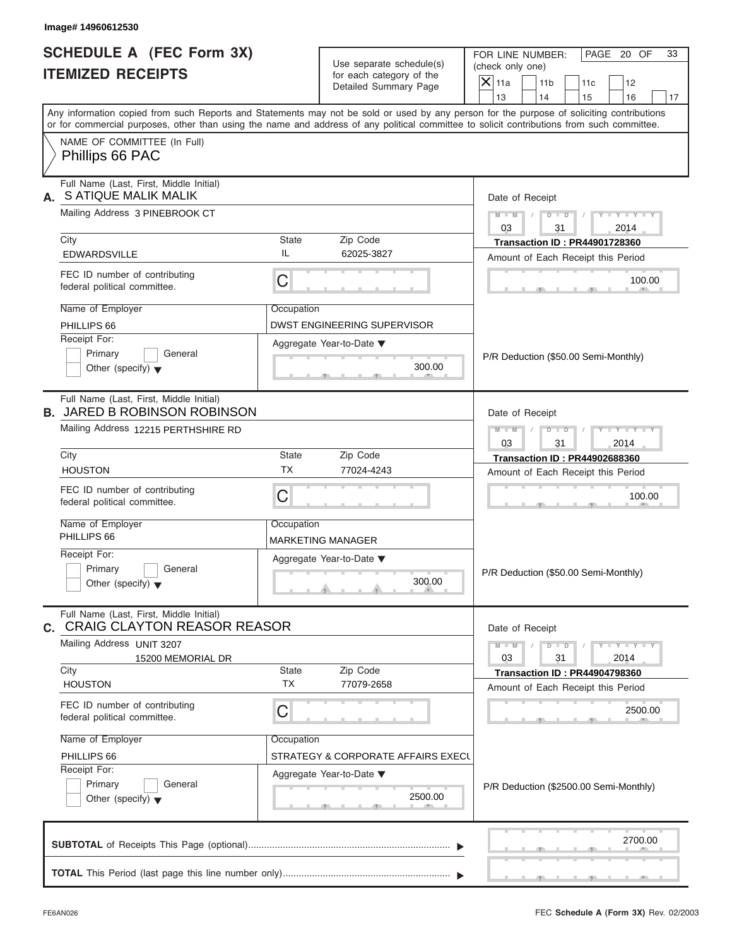| Image# 14960612530                                                                                               |                    |                                                                               |                                                                                                                                                                                                                                                                                         |
|------------------------------------------------------------------------------------------------------------------|--------------------|-------------------------------------------------------------------------------|-----------------------------------------------------------------------------------------------------------------------------------------------------------------------------------------------------------------------------------------------------------------------------------------|
| <b>SCHEDULE A (FEC Form 3X)</b><br><b>ITEMIZED RECEIPTS</b>                                                      |                    | Use separate schedule(s)<br>for each category of the<br>Detailed Summary Page | PAGE 20 OF<br>FOR LINE NUMBER:<br>33<br>(check only one)<br>$X$ 11a<br>11 <sub>b</sub><br>11c<br>12<br>13<br>14<br>15<br>16<br>17                                                                                                                                                       |
|                                                                                                                  |                    |                                                                               | Any information copied from such Reports and Statements may not be sold or used by any person for the purpose of soliciting contributions<br>or for commercial purposes, other than using the name and address of any political committee to solicit contributions from such committee. |
| NAME OF COMMITTEE (In Full)<br>Phillips 66 PAC                                                                   |                    |                                                                               |                                                                                                                                                                                                                                                                                         |
| Full Name (Last, First, Middle Initial)<br>S ATIQUE MALIK MALIK<br>А.                                            |                    |                                                                               | Date of Receipt                                                                                                                                                                                                                                                                         |
| Mailing Address 3 PINEBROOK CT                                                                                   |                    |                                                                               | $Y - Y - Y - Y - Y$<br>$M = M \mid / \mid D = D \mid / \mid$<br>03<br>31<br>2014                                                                                                                                                                                                        |
| City<br><b>EDWARDSVILLE</b>                                                                                      | State<br>IL        | Zip Code<br>62025-3827                                                        | <b>Transaction ID: PR44901728360</b><br>Amount of Each Receipt this Period                                                                                                                                                                                                              |
| FEC ID number of contributing<br>federal political committee.                                                    | C                  |                                                                               | 100.00                                                                                                                                                                                                                                                                                  |
| Name of Employer<br>PHILLIPS 66<br>Receipt For:                                                                  | Occupation         | DWST ENGINEERING SUPERVISOR<br>Aggregate Year-to-Date ▼                       |                                                                                                                                                                                                                                                                                         |
| Primary<br>General<br>Other (specify) $\blacktriangledown$                                                       |                    | 300.00                                                                        | P/R Deduction (\$50.00 Semi-Monthly)                                                                                                                                                                                                                                                    |
| Full Name (Last, First, Middle Initial)<br><b>B. JARED B ROBINSON ROBINSON</b>                                   | Date of Receipt    |                                                                               |                                                                                                                                                                                                                                                                                         |
| Mailing Address 12215 PERTHSHIRE RD                                                                              |                    |                                                                               | $D$ $D$<br>$Y = Y = Y' - Y'$<br>$M$ $M$ $I$<br>$\Box$<br>03<br>31<br>2014                                                                                                                                                                                                               |
| City                                                                                                             | State              | Zip Code                                                                      | <b>Transaction ID: PR44902688360</b>                                                                                                                                                                                                                                                    |
| <b>HOUSTON</b>                                                                                                   | <b>TX</b>          | 77024-4243                                                                    | Amount of Each Receipt this Period                                                                                                                                                                                                                                                      |
| FEC ID number of contributing<br>federal political committee.                                                    | C                  |                                                                               | 100.00                                                                                                                                                                                                                                                                                  |
| Name of Employer<br>PHILLIPS 66                                                                                  | Occupation         | <b>MARKETING MANAGER</b>                                                      |                                                                                                                                                                                                                                                                                         |
| Receipt For:<br>Aggregate Year-to-Date ▼<br>Primary<br>General<br>300.00<br>Other (specify) $\blacktriangledown$ |                    |                                                                               | P/R Deduction (\$50.00 Semi-Monthly)                                                                                                                                                                                                                                                    |
| Full Name (Last, First, Middle Initial)<br><b>C.</b> CRAIG CLAYTON REASOR REASOR                                 |                    |                                                                               | Date of Receipt                                                                                                                                                                                                                                                                         |
| Mailing Address UNIT 3207<br>15200 MEMORIAL DR                                                                   |                    |                                                                               | $M - M$<br>$Y = Y + Y + Y$<br>$D$ $D$<br>03<br>31<br>2014                                                                                                                                                                                                                               |
| City<br><b>HOUSTON</b>                                                                                           | State<br><b>TX</b> | Zip Code<br>77079-2658                                                        | <b>Transaction ID: PR44904798360</b><br>Amount of Each Receipt this Period                                                                                                                                                                                                              |
| FEC ID number of contributing<br>federal political committee.                                                    | С                  |                                                                               | 2500.00                                                                                                                                                                                                                                                                                 |
| Name of Employer<br>PHILLIPS 66                                                                                  | Occupation         | STRATEGY & CORPORATE AFFAIRS EXECL                                            |                                                                                                                                                                                                                                                                                         |
| Receipt For:<br>Primary<br>General<br>Other (specify) $\blacktriangledown$                                       |                    | Aggregate Year-to-Date ▼<br>2500.00                                           | P/R Deduction (\$2500.00 Semi-Monthly)                                                                                                                                                                                                                                                  |
|                                                                                                                  |                    |                                                                               |                                                                                                                                                                                                                                                                                         |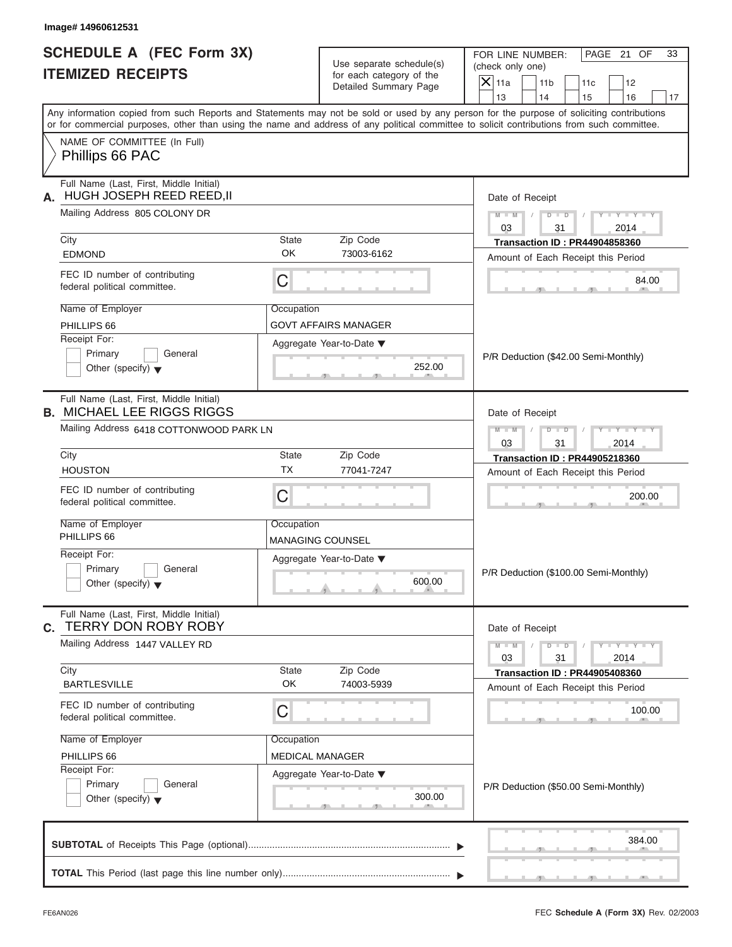| Image# 14960612531                                                                                               |                                                                           |                                                                               |                                                                                                                                                                                                                                                                                         |
|------------------------------------------------------------------------------------------------------------------|---------------------------------------------------------------------------|-------------------------------------------------------------------------------|-----------------------------------------------------------------------------------------------------------------------------------------------------------------------------------------------------------------------------------------------------------------------------------------|
| <b>SCHEDULE A (FEC Form 3X)</b><br><b>ITEMIZED RECEIPTS</b>                                                      |                                                                           | Use separate schedule(s)<br>for each category of the<br>Detailed Summary Page | PAGE 21 OF<br>FOR LINE NUMBER:<br>33<br>(check only one)<br>$\overline{X} _{11a}$<br>11 <sub>b</sub><br>11c<br>12<br>14<br>13<br>15<br>16<br>17                                                                                                                                         |
|                                                                                                                  |                                                                           |                                                                               | Any information copied from such Reports and Statements may not be sold or used by any person for the purpose of soliciting contributions<br>or for commercial purposes, other than using the name and address of any political committee to solicit contributions from such committee. |
| NAME OF COMMITTEE (In Full)<br>Phillips 66 PAC                                                                   |                                                                           |                                                                               |                                                                                                                                                                                                                                                                                         |
| Full Name (Last, First, Middle Initial)<br>HUGH JOSEPH REED REED, II<br>А.                                       |                                                                           |                                                                               | Date of Receipt                                                                                                                                                                                                                                                                         |
| Mailing Address 805 COLONY DR                                                                                    |                                                                           |                                                                               | $Y - Y - Y - Y - Y$<br>$M - M$ /<br>03<br>31<br>2014                                                                                                                                                                                                                                    |
| City<br><b>EDMOND</b>                                                                                            | <b>State</b><br><b>OK</b>                                                 | Zip Code<br>73003-6162                                                        | <b>Transaction ID: PR44904858360</b><br>Amount of Each Receipt this Period                                                                                                                                                                                                              |
| FEC ID number of contributing<br>federal political committee.                                                    | C                                                                         |                                                                               | 84.00                                                                                                                                                                                                                                                                                   |
| Name of Employer<br>PHILLIPS 66                                                                                  | Occupation                                                                | <b>GOVT AFFAIRS MANAGER</b>                                                   |                                                                                                                                                                                                                                                                                         |
| Receipt For:<br>Primary<br>General<br>Other (specify) $\blacktriangledown$                                       |                                                                           | Aggregate Year-to-Date ▼<br>252.00                                            | P/R Deduction (\$42.00 Semi-Monthly)                                                                                                                                                                                                                                                    |
| Full Name (Last, First, Middle Initial)<br><b>B. MICHAEL LEE RIGGS RIGGS</b>                                     | Date of Receipt                                                           |                                                                               |                                                                                                                                                                                                                                                                                         |
| Mailing Address 6418 COTTONWOOD PARK LN                                                                          | $Y = Y = Y' - Y'$<br>$M$ $M$ $/$<br>$D - D$<br>$\Box$<br>03<br>31<br>2014 |                                                                               |                                                                                                                                                                                                                                                                                         |
| City<br><b>HOUSTON</b>                                                                                           | <b>State</b><br><b>TX</b>                                                 | Zip Code                                                                      | <b>Transaction ID: PR44905218360</b>                                                                                                                                                                                                                                                    |
|                                                                                                                  |                                                                           | 77041-7247                                                                    | Amount of Each Receipt this Period                                                                                                                                                                                                                                                      |
| FEC ID number of contributing<br>federal political committee.                                                    | C                                                                         |                                                                               | 200.00                                                                                                                                                                                                                                                                                  |
| Name of Employer<br>PHILLIPS 66                                                                                  | Occupation<br><b>MANAGING COUNSEL</b>                                     |                                                                               |                                                                                                                                                                                                                                                                                         |
| Receipt For:<br>Aggregate Year-to-Date ▼<br>Primary<br>General<br>600.00<br>Other (specify) $\blacktriangledown$ |                                                                           |                                                                               | P/R Deduction (\$100.00 Semi-Monthly)                                                                                                                                                                                                                                                   |
| Full Name (Last, First, Middle Initial)<br>C. TERRY DON ROBY ROBY                                                |                                                                           |                                                                               | Date of Receipt                                                                                                                                                                                                                                                                         |
| Mailing Address 1447 VALLEY RD                                                                                   | $M - M$<br>$Y - Y - Y - Y - Y$<br>$D$ $D$<br>03<br>31<br>2014             |                                                                               |                                                                                                                                                                                                                                                                                         |
| City<br><b>BARTLESVILLE</b>                                                                                      | State<br>OK                                                               | Zip Code<br>74003-5939                                                        | <b>Transaction ID: PR44905408360</b><br>Amount of Each Receipt this Period                                                                                                                                                                                                              |
| FEC ID number of contributing<br>federal political committee.                                                    | С                                                                         |                                                                               | 100.00                                                                                                                                                                                                                                                                                  |
| Name of Employer                                                                                                 | Occupation                                                                |                                                                               |                                                                                                                                                                                                                                                                                         |
| PHILLIPS 66<br>Receipt For:                                                                                      | MEDICAL MANAGER                                                           |                                                                               |                                                                                                                                                                                                                                                                                         |
| Primary<br>General<br>Other (specify) $\blacktriangledown$                                                       |                                                                           | Aggregate Year-to-Date ▼<br>300.00                                            | P/R Deduction (\$50.00 Semi-Monthly)                                                                                                                                                                                                                                                    |
|                                                                                                                  |                                                                           |                                                                               |                                                                                                                                                                                                                                                                                         |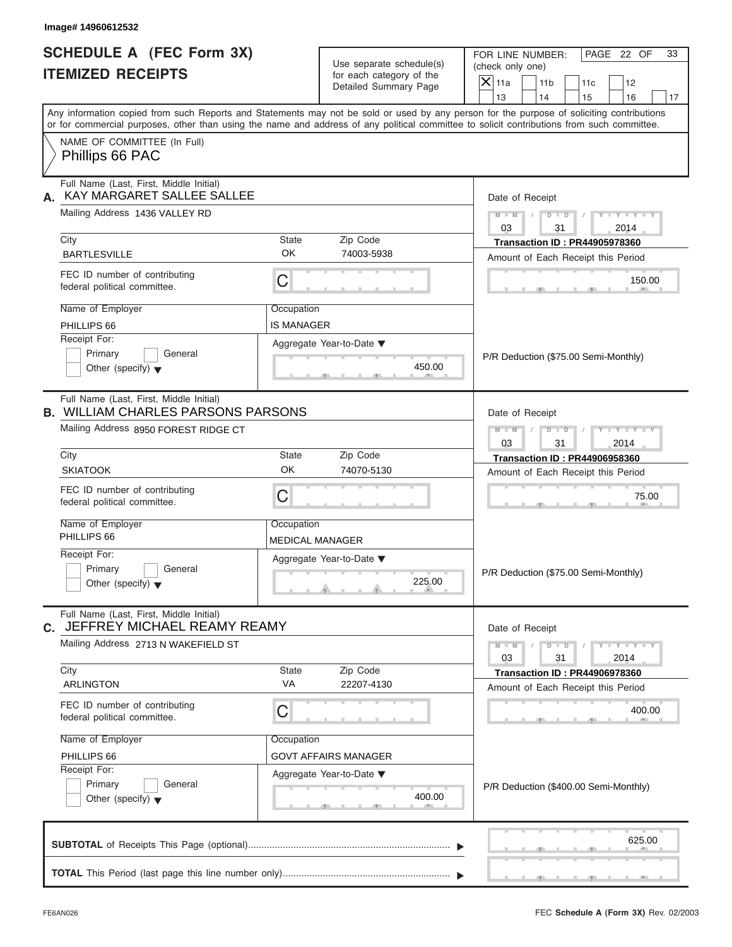| Image# 14960612532                                                                                                                                                        |                                                   |                                                                                                                                                                         |
|---------------------------------------------------------------------------------------------------------------------------------------------------------------------------|---------------------------------------------------|-------------------------------------------------------------------------------------------------------------------------------------------------------------------------|
| <b>SCHEDULE A (FEC Form 3X)</b><br><b>ITEMIZED RECEIPTS</b>                                                                                                               | Use separate schedule(s)                          | PAGE 22 OF<br>FOR LINE NUMBER:<br>33<br>(check only one)                                                                                                                |
|                                                                                                                                                                           | for each category of the<br>Detailed Summary Page | $ \mathsf{X} $ 11a<br>11 <sub>b</sub><br>11c<br>12                                                                                                                      |
|                                                                                                                                                                           |                                                   | 13<br>14<br>15<br>16<br>17<br>Any information copied from such Reports and Statements may not be sold or used by any person for the purpose of soliciting contributions |
| or for commercial purposes, other than using the name and address of any political committee to solicit contributions from such committee.<br>NAME OF COMMITTEE (In Full) |                                                   |                                                                                                                                                                         |
| Phillips 66 PAC                                                                                                                                                           |                                                   |                                                                                                                                                                         |
| Full Name (Last, First, Middle Initial)<br>KAY MARGARET SALLEE SALLEE<br>А.                                                                                               |                                                   | Date of Receipt                                                                                                                                                         |
| Mailing Address 1436 VALLEY RD                                                                                                                                            |                                                   | $M - M$<br>$D$ $D$<br>$Y = Y$<br>03<br>31<br>2014                                                                                                                       |
| City                                                                                                                                                                      | State<br>Zip Code                                 | <b>Transaction ID: PR44905978360</b>                                                                                                                                    |
| <b>BARTLESVILLE</b>                                                                                                                                                       | OK<br>74003-5938                                  | Amount of Each Receipt this Period                                                                                                                                      |
| FEC ID number of contributing<br>federal political committee.                                                                                                             | $\mathsf C$                                       | 150.00                                                                                                                                                                  |
| Name of Employer                                                                                                                                                          | Occupation                                        |                                                                                                                                                                         |
| PHILLIPS 66<br>Receipt For:                                                                                                                                               | IS MANAGER                                        |                                                                                                                                                                         |
| Primary<br>General                                                                                                                                                        | Aggregate Year-to-Date ▼                          |                                                                                                                                                                         |
| Other (specify) $\blacktriangledown$                                                                                                                                      | 450.00                                            | P/R Deduction (\$75.00 Semi-Monthly)                                                                                                                                    |
| Full Name (Last, First, Middle Initial)<br><b>B. WILLIAM CHARLES PARSONS PARSONS</b>                                                                                      |                                                   | Date of Receipt                                                                                                                                                         |
| Mailing Address 8950 FOREST RIDGE CT                                                                                                                                      |                                                   | $M - M$<br>$D$ $D$<br>$Y = Y + Y +$<br>03<br>31<br>2014                                                                                                                 |
| City<br><b>SKIATOOK</b>                                                                                                                                                   | State<br>Zip Code<br>OK                           | <b>Transaction ID: PR44906958360</b>                                                                                                                                    |
|                                                                                                                                                                           | 74070-5130                                        | Amount of Each Receipt this Period                                                                                                                                      |
| FEC ID number of contributing<br>federal political committee.                                                                                                             | $\mathsf C$                                       | 75.00                                                                                                                                                                   |
| Name of Employer<br>PHILLIPS 66                                                                                                                                           | Occupation                                        |                                                                                                                                                                         |
| Receipt For:                                                                                                                                                              | <b>MEDICAL MANAGER</b>                            |                                                                                                                                                                         |
| Primary<br>General                                                                                                                                                        | Aggregate Year-to-Date ▼                          |                                                                                                                                                                         |
| Other (specify) $\blacktriangledown$                                                                                                                                      | 225.00                                            | P/R Deduction (\$75.00 Semi-Monthly)                                                                                                                                    |
| Full Name (Last, First, Middle Initial)<br>C. JEFFREY MICHAEL REAMY REAMY                                                                                                 |                                                   | Date of Receipt                                                                                                                                                         |
| Mailing Address 2713 N WAKEFIELD ST                                                                                                                                       |                                                   | $M - M$<br>$Y - Y - I$<br>$D$ $D$<br>2014<br>03<br>31                                                                                                                   |
| City                                                                                                                                                                      | State<br>Zip Code                                 | <b>Transaction ID: PR44906978360</b>                                                                                                                                    |
| <b>ARLINGTON</b>                                                                                                                                                          | VA<br>22207-4130                                  | Amount of Each Receipt this Period                                                                                                                                      |
| FEC ID number of contributing<br>federal political committee.                                                                                                             | $\mathsf C$                                       | 400.00                                                                                                                                                                  |
| Name of Employer                                                                                                                                                          | Occupation                                        |                                                                                                                                                                         |
| PHILLIPS 66                                                                                                                                                               | <b>GOVT AFFAIRS MANAGER</b>                       |                                                                                                                                                                         |
| Receipt For:                                                                                                                                                              | Aggregate Year-to-Date ▼                          |                                                                                                                                                                         |
| Primary<br>General<br>Other (specify) $\blacktriangledown$                                                                                                                | 400.00                                            | P/R Deduction (\$400.00 Semi-Monthly)                                                                                                                                   |
| <b>CLIDTOTAL</b> of Pocoints This Page (optional)                                                                                                                         |                                                   | 625.00                                                                                                                                                                  |

| $\mid$ P/R Deduction (\$400.00 Semi-Monthly) |
|----------------------------------------------|
|                                              |

|  |  |  |  |  | 625.00 |  |
|--|--|--|--|--|--------|--|
|  |  |  |  |  |        |  |

ī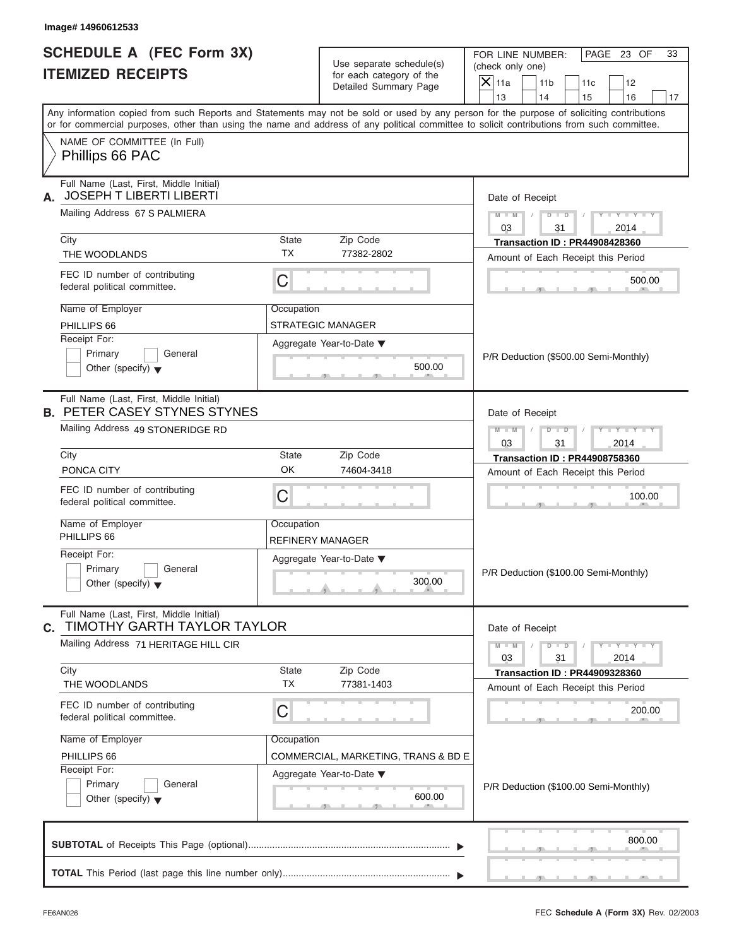| Image# 14960612533                                                                                                                         |                          |                                     |                    |                                                    |                                       |                             |    |  |
|--------------------------------------------------------------------------------------------------------------------------------------------|--------------------------|-------------------------------------|--------------------|----------------------------------------------------|---------------------------------------|-----------------------------|----|--|
| <b>SCHEDULE A (FEC Form 3X)</b>                                                                                                            | Use separate schedule(s) |                                     |                    | PAGE 23 OF<br>FOR LINE NUMBER:<br>(check only one) |                                       |                             |    |  |
| <b>ITEMIZED RECEIPTS</b>                                                                                                                   |                          | for each category of the            | $\overline{X}$ 11a |                                                    |                                       |                             |    |  |
|                                                                                                                                            |                          | Detailed Summary Page               | 13                 | 11 <sub>b</sub><br>14                              | 11c<br>15                             | 12<br>16                    | 17 |  |
| Any information copied from such Reports and Statements may not be sold or used by any person for the purpose of soliciting contributions  |                          |                                     |                    |                                                    |                                       |                             |    |  |
| or for commercial purposes, other than using the name and address of any political committee to solicit contributions from such committee. |                          |                                     |                    |                                                    |                                       |                             |    |  |
| NAME OF COMMITTEE (In Full)<br>Phillips 66 PAC                                                                                             |                          |                                     |                    |                                                    |                                       |                             |    |  |
| Full Name (Last, First, Middle Initial)<br><b>JOSEPH T LIBERTI LIBERTI</b><br>А.                                                           |                          |                                     |                    | Date of Receipt                                    |                                       |                             |    |  |
| Mailing Address 67 S PALMIERA                                                                                                              |                          |                                     | $M - M$ /<br>03    | 31                                                 | $D$ $D$ $/$                           | $Y - Y - Y - Y - Y$<br>2014 |    |  |
| City                                                                                                                                       | State                    | Zip Code                            |                    |                                                    | <b>Transaction ID: PR44908428360</b>  |                             |    |  |
| THE WOODLANDS                                                                                                                              | <b>TX</b>                | 77382-2802                          |                    |                                                    | Amount of Each Receipt this Period    |                             |    |  |
| FEC ID number of contributing<br>federal political committee.                                                                              | $\mathsf C$              |                                     |                    |                                                    |                                       | 500.00                      |    |  |
| Name of Employer                                                                                                                           | Occupation               |                                     |                    |                                                    |                                       |                             |    |  |
| PHILLIPS 66                                                                                                                                | STRATEGIC MANAGER        |                                     |                    |                                                    |                                       |                             |    |  |
| Receipt For:                                                                                                                               | Aggregate Year-to-Date ▼ |                                     |                    |                                                    |                                       |                             |    |  |
| Primary<br>General                                                                                                                         |                          |                                     |                    |                                                    | P/R Deduction (\$500.00 Semi-Monthly) |                             |    |  |
| Other (specify) $\blacktriangledown$                                                                                                       |                          | 500.00                              |                    |                                                    |                                       |                             |    |  |
| Full Name (Last, First, Middle Initial)<br><b>B. PETER CASEY STYNES STYNES</b>                                                             |                          |                                     |                    | Date of Receipt                                    |                                       |                             |    |  |
| Mailing Address 49 STONERIDGE RD                                                                                                           |                          |                                     | $M - M$            | $D - D$                                            | $\Box$                                | $Y = Y = Y' - Y'$           |    |  |
|                                                                                                                                            |                          |                                     | 03                 | 31                                                 |                                       | 2014                        |    |  |
| City                                                                                                                                       | State                    | Zip Code                            |                    |                                                    | <b>Transaction ID: PR44908758360</b>  |                             |    |  |
| PONCA CITY                                                                                                                                 | OK                       | 74604-3418                          |                    |                                                    | Amount of Each Receipt this Period    |                             |    |  |
| FEC ID number of contributing<br>federal political committee.                                                                              | C                        |                                     |                    |                                                    |                                       | 100.00                      |    |  |
| Name of Employer                                                                                                                           | Occupation               |                                     |                    |                                                    |                                       |                             |    |  |
| PHILLIPS 66                                                                                                                                | REFINERY MANAGER         |                                     |                    |                                                    |                                       |                             |    |  |
| Receipt For:                                                                                                                               |                          | Aggregate Year-to-Date ▼            |                    |                                                    |                                       |                             |    |  |
| Primary<br>General<br>Other (specify) $\blacktriangledown$                                                                                 |                          | 300.00                              |                    |                                                    | P/R Deduction (\$100.00 Semi-Monthly) |                             |    |  |
| Full Name (Last, First, Middle Initial)<br><b>TIMOTHY GARTH TAYLOR TAYLOR</b><br>С.                                                        |                          |                                     |                    | Date of Receipt                                    |                                       |                             |    |  |
| Mailing Address 71 HERITAGE HILL CIR                                                                                                       |                          |                                     | $M - M$            | $D$ $D$                                            |                                       | $Y - Y - Y - Y - Y$         |    |  |
| City                                                                                                                                       | State                    | Zip Code                            | 03                 | 31                                                 |                                       | 2014                        |    |  |
| THE WOODLANDS                                                                                                                              | <b>TX</b>                | 77381-1403                          |                    |                                                    | <b>Transaction ID: PR44909328360</b>  |                             |    |  |
|                                                                                                                                            |                          |                                     |                    |                                                    | Amount of Each Receipt this Period    |                             |    |  |
| FEC ID number of contributing<br>federal political committee.                                                                              | C                        |                                     |                    |                                                    |                                       | 200.00                      |    |  |
| Name of Employer                                                                                                                           | Occupation               |                                     |                    |                                                    |                                       |                             |    |  |
| PHILLIPS 66                                                                                                                                |                          | COMMERCIAL, MARKETING, TRANS & BD E |                    |                                                    |                                       |                             |    |  |
| Receipt For:<br>Primary<br>General                                                                                                         | Aggregate Year-to-Date ▼ |                                     |                    |                                                    |                                       |                             |    |  |
| Other (specify) $\blacktriangledown$                                                                                                       |                          | 600.00                              |                    |                                                    | P/R Deduction (\$100.00 Semi-Monthly) |                             |    |  |
|                                                                                                                                            |                          |                                     |                    |                                                    |                                       | 800.00                      |    |  |
|                                                                                                                                            |                          |                                     |                    |                                                    |                                       |                             |    |  |
|                                                                                                                                            |                          |                                     |                    |                                                    |                                       |                             |    |  |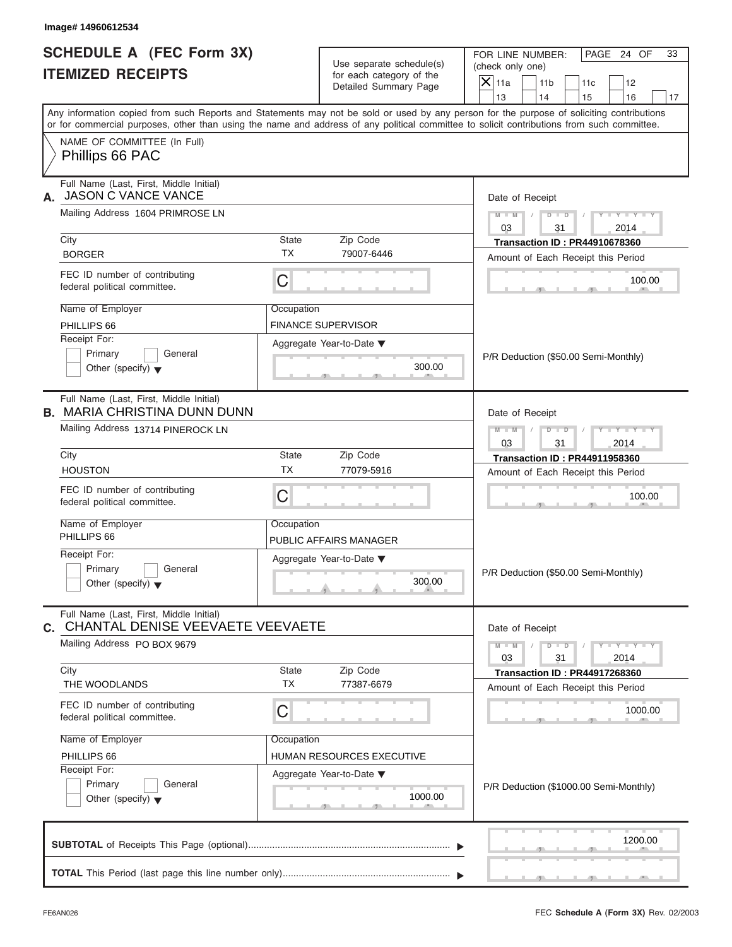| <b>SCHEDULE A (FEC Form 3X)</b>                                                |                           | Use separate schedule(s)                          | PAGE 24 OF<br>FOR LINE NUMBER:<br>33<br>(check only one)                                                                                                                                                                                                                                |
|--------------------------------------------------------------------------------|---------------------------|---------------------------------------------------|-----------------------------------------------------------------------------------------------------------------------------------------------------------------------------------------------------------------------------------------------------------------------------------------|
| <b>ITEMIZED RECEIPTS</b>                                                       |                           | for each category of the<br>Detailed Summary Page | $X$ 11a<br>11 <sub>b</sub><br>11c<br>12                                                                                                                                                                                                                                                 |
|                                                                                |                           |                                                   | 13<br>14<br>15<br>16                                                                                                                                                                                                                                                                    |
|                                                                                |                           |                                                   | Any information copied from such Reports and Statements may not be sold or used by any person for the purpose of soliciting contributions<br>or for commercial purposes, other than using the name and address of any political committee to solicit contributions from such committee. |
| NAME OF COMMITTEE (In Full)<br>Phillips 66 PAC                                 |                           |                                                   |                                                                                                                                                                                                                                                                                         |
| Full Name (Last, First, Middle Initial)<br>JASON C VANCE VANCE<br>А.           |                           |                                                   | Date of Receipt                                                                                                                                                                                                                                                                         |
| Mailing Address 1604 PRIMROSE LN                                               |                           |                                                   | $D$ $\Box$ $D$<br>$Y - Y - Y - Y - Y$<br>$M - M$<br>$\sqrt{2}$<br>$\sqrt{2}$<br>03<br>31<br>2014                                                                                                                                                                                        |
| City                                                                           | State                     | Zip Code                                          | <b>Transaction ID: PR44910678360</b>                                                                                                                                                                                                                                                    |
| <b>BORGER</b>                                                                  | <b>TX</b>                 | 79007-6446                                        | Amount of Each Receipt this Period                                                                                                                                                                                                                                                      |
| FEC ID number of contributing<br>federal political committee.                  | С                         |                                                   | 100.00                                                                                                                                                                                                                                                                                  |
| Name of Employer                                                               | Occupation                |                                                   |                                                                                                                                                                                                                                                                                         |
| PHILLIPS 66                                                                    | <b>FINANCE SUPERVISOR</b> |                                                   |                                                                                                                                                                                                                                                                                         |
| Receipt For:                                                                   |                           | Aggregate Year-to-Date ▼                          |                                                                                                                                                                                                                                                                                         |
| Primary<br>General                                                             |                           |                                                   | P/R Deduction (\$50.00 Semi-Monthly)                                                                                                                                                                                                                                                    |
| Other (specify) $\blacktriangledown$                                           |                           | 300.00                                            |                                                                                                                                                                                                                                                                                         |
| Full Name (Last, First, Middle Initial)<br><b>B. MARIA CHRISTINA DUNN DUNN</b> |                           |                                                   | Date of Receipt                                                                                                                                                                                                                                                                         |
| Mailing Address 13714 PINEROCK LN                                              |                           |                                                   | $D - I$<br>Y T Y T Y T<br>$M - M$                                                                                                                                                                                                                                                       |
|                                                                                |                           |                                                   | 03<br>31<br>2014                                                                                                                                                                                                                                                                        |
| City                                                                           | State                     | Zip Code                                          | <b>Transaction ID: PR44911958360</b>                                                                                                                                                                                                                                                    |
| <b>HOUSTON</b>                                                                 | <b>TX</b>                 | 77079-5916                                        | Amount of Each Receipt this Period                                                                                                                                                                                                                                                      |
| FEC ID number of contributing<br>federal political committee.                  | С                         |                                                   | 100.00                                                                                                                                                                                                                                                                                  |
| Name of Employer                                                               | Occupation                |                                                   |                                                                                                                                                                                                                                                                                         |
| PHILLIPS 66                                                                    |                           | PUBLIC AFFAIRS MANAGER                            |                                                                                                                                                                                                                                                                                         |
| Receipt For:                                                                   |                           | Aggregate Year-to-Date ▼                          |                                                                                                                                                                                                                                                                                         |
| Primary<br>General<br>Other (specify) $\blacktriangledown$                     |                           | 300.00                                            | P/R Deduction (\$50.00 Semi-Monthly)                                                                                                                                                                                                                                                    |
| Full Name (Last, First, Middle Initial)<br>C. CHANTAL DENISE VEEVAETE VEEVAETE |                           |                                                   | Date of Receipt                                                                                                                                                                                                                                                                         |
| Mailing Address PO BOX 9679                                                    |                           |                                                   | $M - M$<br>$D$ $\Box$ $D$<br>$Y - Y - Y - Y - Y$<br>03<br>31<br>2014                                                                                                                                                                                                                    |
| City                                                                           | State<br><b>TX</b>        | Zip Code                                          | <b>Transaction ID: PR44917268360</b>                                                                                                                                                                                                                                                    |
| THE WOODLANDS                                                                  |                           | 77387-6679                                        | Amount of Each Receipt this Period                                                                                                                                                                                                                                                      |
| FEC ID number of contributing<br>federal political committee.                  | С                         |                                                   | 1000.00                                                                                                                                                                                                                                                                                 |
| Name of Employer                                                               | Occupation                |                                                   |                                                                                                                                                                                                                                                                                         |
|                                                                                |                           | HUMAN RESOURCES EXECUTIVE                         |                                                                                                                                                                                                                                                                                         |
| PHILLIPS 66                                                                    |                           | Aggregate Year-to-Date ▼                          |                                                                                                                                                                                                                                                                                         |
| Receipt For:                                                                   |                           |                                                   | P/R Deduction (\$1000.00 Semi-Monthly)                                                                                                                                                                                                                                                  |
| Primary<br>General<br>Other (specify) $\blacktriangledown$                     |                           | 1000.00                                           |                                                                                                                                                                                                                                                                                         |
|                                                                                |                           |                                                   | 1200.00                                                                                                                                                                                                                                                                                 |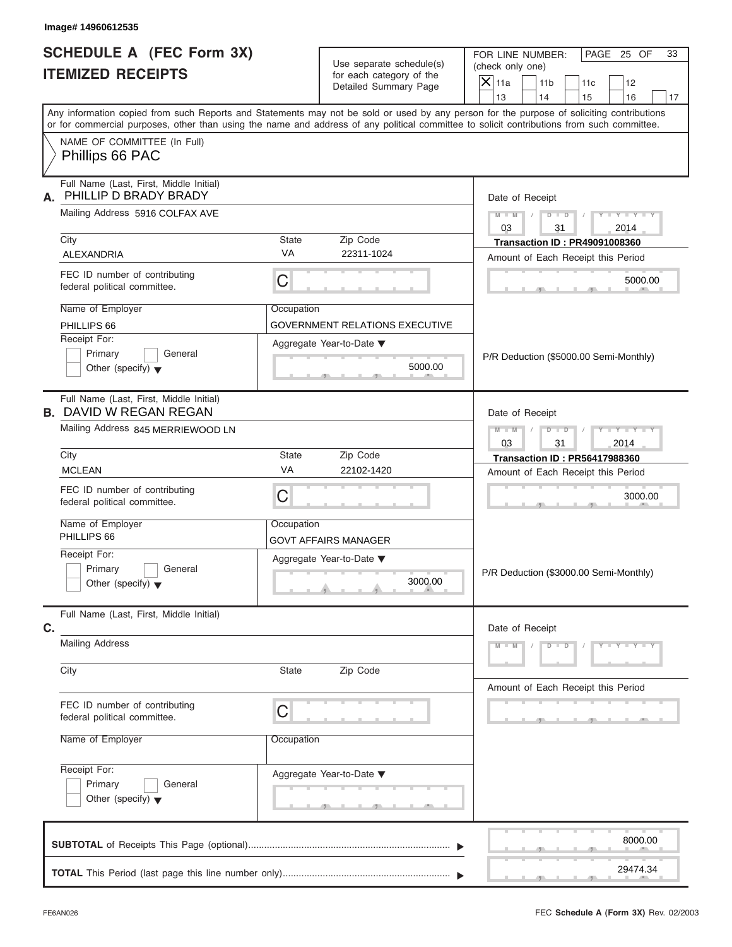| Image# 14960612535                                                         |            |                                                                               |                                                                                                                                                                                                                                                                                                                       |
|----------------------------------------------------------------------------|------------|-------------------------------------------------------------------------------|-----------------------------------------------------------------------------------------------------------------------------------------------------------------------------------------------------------------------------------------------------------------------------------------------------------------------|
| <b>SCHEDULE A (FEC Form 3X)</b><br><b>ITEMIZED RECEIPTS</b>                |            | Use separate schedule(s)<br>for each category of the<br>Detailed Summary Page | PAGE 25 OF<br>FOR LINE NUMBER:<br>33<br>(check only one)<br>$\mathsf{X}$ 11a<br>11 <sub>b</sub><br>12<br>11c                                                                                                                                                                                                          |
|                                                                            |            |                                                                               | 13<br>14<br>15<br>16<br>17<br>Any information copied from such Reports and Statements may not be sold or used by any person for the purpose of soliciting contributions<br>or for commercial purposes, other than using the name and address of any political committee to solicit contributions from such committee. |
| NAME OF COMMITTEE (In Full)<br>Phillips 66 PAC                             |            |                                                                               |                                                                                                                                                                                                                                                                                                                       |
|                                                                            |            |                                                                               |                                                                                                                                                                                                                                                                                                                       |
| Full Name (Last, First, Middle Initial)<br>PHILLIP D BRADY BRADY<br>А.     |            |                                                                               | Date of Receipt                                                                                                                                                                                                                                                                                                       |
| Mailing Address 5916 COLFAX AVE                                            |            |                                                                               | $D$ $D$<br>$Y - Y - Y - Y - Y$<br>$M - M$<br>03<br>31<br>2014                                                                                                                                                                                                                                                         |
| City                                                                       | State      | Zip Code                                                                      | <b>Transaction ID: PR49091008360</b>                                                                                                                                                                                                                                                                                  |
| <b>ALEXANDRIA</b>                                                          | <b>VA</b>  | 22311-1024                                                                    | Amount of Each Receipt this Period                                                                                                                                                                                                                                                                                    |
| FEC ID number of contributing<br>federal political committee.              | С          |                                                                               | 5000.00                                                                                                                                                                                                                                                                                                               |
| Name of Employer                                                           | Occupation |                                                                               |                                                                                                                                                                                                                                                                                                                       |
| PHILLIPS 66                                                                |            | <b>GOVERNMENT RELATIONS EXECUTIVE</b>                                         |                                                                                                                                                                                                                                                                                                                       |
| Receipt For:<br>Primary<br>General<br>Other (specify) $\blacktriangledown$ |            | Aggregate Year-to-Date ▼<br>5000.00                                           | P/R Deduction (\$5000.00 Semi-Monthly)                                                                                                                                                                                                                                                                                |
| Full Name (Last, First, Middle Initial)<br><b>B. DAVID W REGAN REGAN</b>   |            |                                                                               | Date of Receipt                                                                                                                                                                                                                                                                                                       |
| Mailing Address 845 MERRIEWOOD LN                                          |            |                                                                               | $D - D$<br>Y T Y T Y T<br>$M - M$<br>03<br>31<br>2014                                                                                                                                                                                                                                                                 |
| City                                                                       | State      | Zip Code                                                                      | <b>Transaction ID: PR56417988360</b>                                                                                                                                                                                                                                                                                  |
| <b>MCLEAN</b>                                                              | VA         | 22102-1420                                                                    | Amount of Each Receipt this Period                                                                                                                                                                                                                                                                                    |
| FEC ID number of contributing<br>federal political committee.              | С          |                                                                               | 3000.00                                                                                                                                                                                                                                                                                                               |
| Name of Employer<br>PHILLIPS 66                                            | Occupation | <b>GOVT AFFAIRS MANAGER</b>                                                   |                                                                                                                                                                                                                                                                                                                       |
| Receipt For:<br>Primary<br>General<br>Other (specify) $\blacktriangledown$ |            | Aggregate Year-to-Date ▼<br>3000.00                                           | P/R Deduction (\$3000.00 Semi-Monthly)                                                                                                                                                                                                                                                                                |
| Full Name (Last, First, Middle Initial)<br>C.                              |            |                                                                               | Date of Receipt                                                                                                                                                                                                                                                                                                       |
| <b>Mailing Address</b>                                                     |            |                                                                               | $M - M$<br>$D$ $\Box$ $D$<br>$Y - Y - Y - Y - Y$                                                                                                                                                                                                                                                                      |
| City                                                                       | State      | Zip Code                                                                      | Amount of Each Receipt this Period                                                                                                                                                                                                                                                                                    |
| FEC ID number of contributing<br>federal political committee.              | С          |                                                                               |                                                                                                                                                                                                                                                                                                                       |
| Name of Employer                                                           | Occupation |                                                                               |                                                                                                                                                                                                                                                                                                                       |
| Receipt For:<br>Primary<br>General<br>Other (specify) $\blacktriangledown$ |            | Aggregate Year-to-Date ▼<br>$\mathcal{F}$<br>__                               |                                                                                                                                                                                                                                                                                                                       |
|                                                                            |            |                                                                               | 8000.00                                                                                                                                                                                                                                                                                                               |
|                                                                            |            |                                                                               | 29474.34                                                                                                                                                                                                                                                                                                              |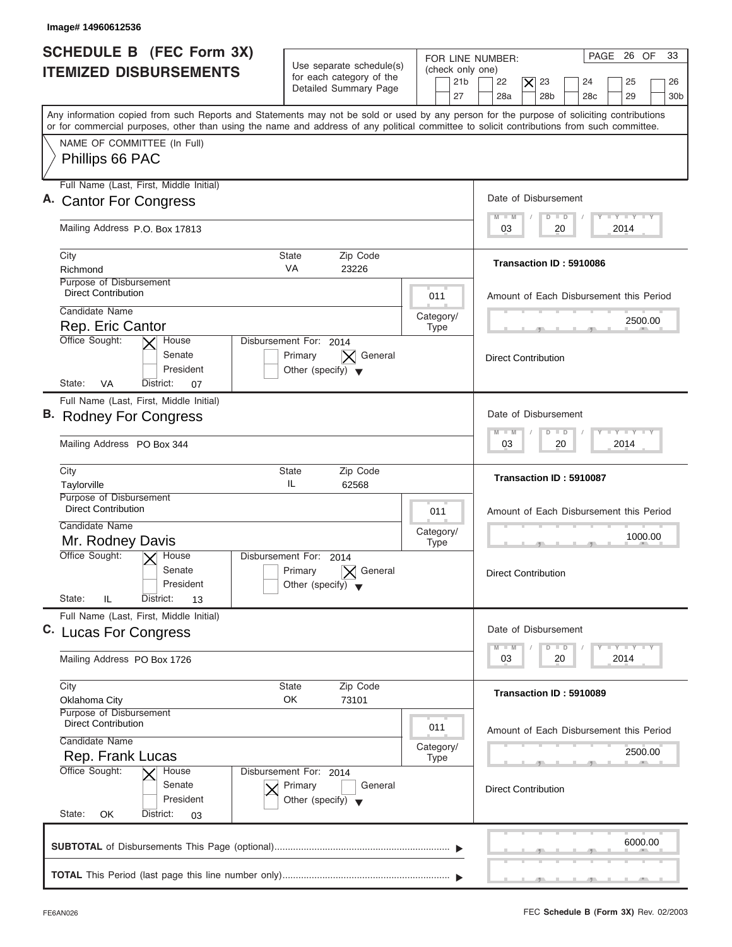| <b>SCHEDULE B (FEC Form 3X)</b><br><b>ITEMIZED DISBURSEMENTS</b>                  | Use separate schedule(s)<br>for each category of the<br>Detailed Summary Page        | PAGE 26 OF<br>33<br>FOR LINE NUMBER:<br>(check only one)<br>21 <sub>b</sub><br>22<br>23<br>25<br>$\times$<br>24<br>26<br>27<br>28a<br>28 <sub>b</sub><br>28 <sub>c</sub><br>29<br>30 <sub>b</sub>                                                                                       |
|-----------------------------------------------------------------------------------|--------------------------------------------------------------------------------------|-----------------------------------------------------------------------------------------------------------------------------------------------------------------------------------------------------------------------------------------------------------------------------------------|
|                                                                                   |                                                                                      | Any information copied from such Reports and Statements may not be sold or used by any person for the purpose of soliciting contributions<br>or for commercial purposes, other than using the name and address of any political committee to solicit contributions from such committee. |
| NAME OF COMMITTEE (In Full)<br>Phillips 66 PAC                                    |                                                                                      |                                                                                                                                                                                                                                                                                         |
| Full Name (Last, First, Middle Initial)<br>A. Cantor For Congress                 |                                                                                      | Date of Disbursement                                                                                                                                                                                                                                                                    |
| Mailing Address P.O. Box 17813                                                    |                                                                                      | <b>LYLYLY</b><br>$M - M$<br>$D$ $D$<br>2014<br>03<br>20                                                                                                                                                                                                                                 |
| City<br>Richmond                                                                  | Zip Code<br>State<br><b>VA</b>                                                       | Transaction ID: 5910086                                                                                                                                                                                                                                                                 |
| Purpose of Disbursement<br><b>Direct Contribution</b>                             | 23226                                                                                | 011<br>Amount of Each Disbursement this Period                                                                                                                                                                                                                                          |
| Candidate Name<br>Rep. Eric Cantor                                                |                                                                                      | Category/<br>2500.00<br><b>Type</b>                                                                                                                                                                                                                                                     |
| Office Sought:<br>House<br>Senate<br>President<br>State:<br>VA<br>District:<br>07 | Disbursement For: 2014<br>General<br>Primary<br>Other (specify) $\blacktriangledown$ | <b>Direct Contribution</b>                                                                                                                                                                                                                                                              |
| Full Name (Last, First, Middle Initial)<br>B. Rodney For Congress                 |                                                                                      | Date of Disbursement                                                                                                                                                                                                                                                                    |
| Mailing Address PO Box 344                                                        |                                                                                      | $-1 - Y - 1 - Y - 1 - Y$<br>$M - M$<br>$\Box$<br>D<br>2014<br>03<br>20                                                                                                                                                                                                                  |
| City<br>Taylorville                                                               | <b>State</b><br>Zip Code<br>IL<br>62568                                              | Transaction ID: 5910087                                                                                                                                                                                                                                                                 |
| Purpose of Disbursement<br><b>Direct Contribution</b><br>Candidate Name           |                                                                                      | 011<br>Amount of Each Disbursement this Period<br>Category/                                                                                                                                                                                                                             |
| Mr. Rodney Davis<br>Office Sought:<br>$\overline{X}$ House<br>Senate<br>President | Disbursement For:<br>2014<br>General<br>Primary<br>Other (specify)                   | 1000.00<br><b>Type</b><br>__<br><b>Direct Contribution</b>                                                                                                                                                                                                                              |
| State:<br>IL<br>District:<br>13                                                   |                                                                                      |                                                                                                                                                                                                                                                                                         |
| Full Name (Last, First, Middle Initial)<br>C. Lucas For Congress                  |                                                                                      | Date of Disbursement<br>$\frac{1}{2}$ $\frac{1}{2}$ $\frac{1}{2}$ $\frac{1}{2}$ $\frac{1}{2}$ $\frac{1}{2}$ $\frac{1}{2}$ $\frac{1}{2}$ $\frac{1}{2}$ $\frac{1}{2}$ $\frac{1}{2}$ $\frac{1}{2}$ $\frac{1}{2}$<br>$M - M$<br>D<br>$\Box$                                                 |
| Mailing Address PO Box 1726                                                       |                                                                                      | 2014<br>03<br>20                                                                                                                                                                                                                                                                        |
| City<br>Oklahoma City                                                             | Zip Code<br>State<br>OK<br>73101                                                     | Transaction ID: 5910089                                                                                                                                                                                                                                                                 |
| Purpose of Disbursement<br><b>Direct Contribution</b><br>Candidate Name           |                                                                                      | 011<br>Amount of Each Disbursement this Period                                                                                                                                                                                                                                          |
| Rep. Frank Lucas<br>Office Sought:<br>House                                       | Disbursement For: 2014                                                               | Category/<br>2500.00<br><b>Type</b>                                                                                                                                                                                                                                                     |
| Senate<br>President<br>State:<br>OK<br>District:<br>03                            | Primary<br>General<br>Other (specify) $\blacktriangledown$                           | <b>Direct Contribution</b>                                                                                                                                                                                                                                                              |
|                                                                                   |                                                                                      |                                                                                                                                                                                                                                                                                         |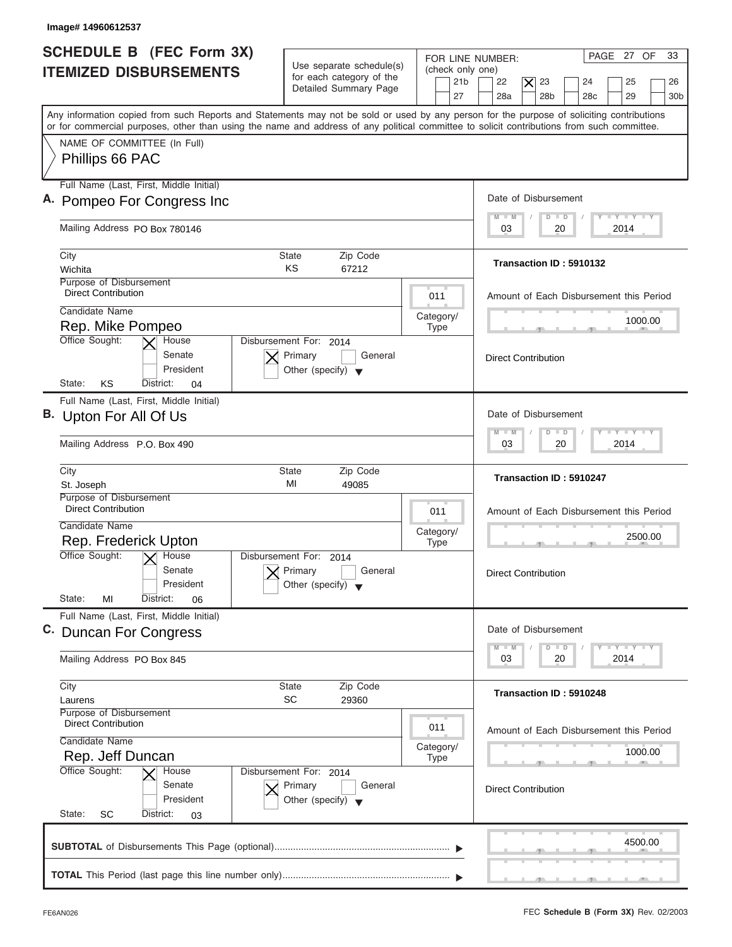| Image# 14960612537                                                                                                                                                                                                                                                                      |                                                                               |                                                               |                                                                                                                                  |
|-----------------------------------------------------------------------------------------------------------------------------------------------------------------------------------------------------------------------------------------------------------------------------------------|-------------------------------------------------------------------------------|---------------------------------------------------------------|----------------------------------------------------------------------------------------------------------------------------------|
| <b>SCHEDULE B</b> (FEC Form 3X)<br><b>ITEMIZED DISBURSEMENTS</b>                                                                                                                                                                                                                        | Use separate schedule(s)<br>for each category of the<br>Detailed Summary Page | FOR LINE NUMBER:<br>(check only one)<br>21 <sub>b</sub><br>27 | PAGE 27 OF<br>33<br>22<br>$\times$<br>23<br>25<br>24<br>26<br>28a<br>28 <sub>b</sub><br>28 <sub>c</sub><br>29<br>30 <sub>b</sub> |
| Any information copied from such Reports and Statements may not be sold or used by any person for the purpose of soliciting contributions<br>or for commercial purposes, other than using the name and address of any political committee to solicit contributions from such committee. |                                                                               |                                                               |                                                                                                                                  |
| NAME OF COMMITTEE (In Full)                                                                                                                                                                                                                                                             |                                                                               |                                                               |                                                                                                                                  |
| Phillips 66 PAC                                                                                                                                                                                                                                                                         |                                                                               |                                                               |                                                                                                                                  |
| Full Name (Last, First, Middle Initial)                                                                                                                                                                                                                                                 |                                                                               |                                                               | Date of Disbursement                                                                                                             |
| A. Pompeo For Congress Inc                                                                                                                                                                                                                                                              |                                                                               |                                                               | $L - Y = L - Y = L - Y$<br>$M - M$<br>$D$ $D$                                                                                    |
| Mailing Address PO Box 780146                                                                                                                                                                                                                                                           |                                                                               |                                                               | 2014<br>03<br>20                                                                                                                 |
| City                                                                                                                                                                                                                                                                                    | <b>State</b><br>Zip Code                                                      |                                                               | Transaction ID: 5910132                                                                                                          |
| Wichita<br>Purpose of Disbursement                                                                                                                                                                                                                                                      | KS<br>67212                                                                   |                                                               |                                                                                                                                  |
| <b>Direct Contribution</b>                                                                                                                                                                                                                                                              |                                                                               | 011                                                           | Amount of Each Disbursement this Period                                                                                          |
| Candidate Name                                                                                                                                                                                                                                                                          |                                                                               | Category/                                                     | 1000.00                                                                                                                          |
| Rep. Mike Pompeo<br>Office Sought:<br>House                                                                                                                                                                                                                                             | Disbursement For: 2014                                                        | <b>Type</b>                                                   |                                                                                                                                  |
| Senate<br>President<br>KS<br>State:<br>District:<br>04                                                                                                                                                                                                                                  | Primary<br>General<br>Other (specify) $\blacktriangledown$                    |                                                               | <b>Direct Contribution</b>                                                                                                       |
| Full Name (Last, First, Middle Initial)                                                                                                                                                                                                                                                 |                                                                               |                                                               |                                                                                                                                  |
| B. Upton For All Of Us                                                                                                                                                                                                                                                                  |                                                                               |                                                               | Date of Disbursement                                                                                                             |
| Mailing Address P.O. Box 490                                                                                                                                                                                                                                                            |                                                                               |                                                               | $-1 - Y - 1 - Y - 1 - Y$<br>$M - M$<br>$\overline{D}$<br>$\blacksquare$<br>2014<br>03<br>20                                      |
| City<br>St. Joseph                                                                                                                                                                                                                                                                      | <b>State</b><br>Zip Code<br>MI<br>49085                                       |                                                               | Transaction ID: 5910247                                                                                                          |
| Purpose of Disbursement<br><b>Direct Contribution</b>                                                                                                                                                                                                                                   |                                                                               | 011                                                           | Amount of Each Disbursement this Period                                                                                          |
| Candidate Name                                                                                                                                                                                                                                                                          |                                                                               | Category/                                                     |                                                                                                                                  |
| Rep. Frederick Upton                                                                                                                                                                                                                                                                    |                                                                               | <b>Type</b>                                                   | 2500.00<br>__                                                                                                                    |
| Office Sought:<br>$\overline{X}$ House<br>Senate<br>President                                                                                                                                                                                                                           | Disbursement For:<br>2014<br>Primary<br>General<br>Other (specify)            |                                                               | <b>Direct Contribution</b>                                                                                                       |
| State:<br>MI<br>District:<br>06<br>Full Name (Last, First, Middle Initial)                                                                                                                                                                                                              |                                                                               |                                                               |                                                                                                                                  |
| C. Duncan For Congress                                                                                                                                                                                                                                                                  |                                                                               |                                                               | Date of Disbursement                                                                                                             |
| Mailing Address PO Box 845                                                                                                                                                                                                                                                              |                                                                               |                                                               | $\mathbf{I}$ $\mathbf{Y}$ $\mathbf{I}$ $\mathbf{Y}$ $\mathbf{I}$ $\mathbf{Y}$<br>$M - M$<br>D<br>$\Box$<br>2014<br>03<br>20      |
| City<br>Laurens                                                                                                                                                                                                                                                                         | Zip Code<br>State<br>SC<br>29360                                              |                                                               | Transaction ID: 5910248                                                                                                          |
| Purpose of Disbursement<br><b>Direct Contribution</b>                                                                                                                                                                                                                                   |                                                                               | 011                                                           | Amount of Each Disbursement this Period                                                                                          |
| Candidate Name                                                                                                                                                                                                                                                                          |                                                                               | Category/                                                     | 1000.00                                                                                                                          |
| Rep. Jeff Duncan<br>Office Sought:<br>House                                                                                                                                                                                                                                             | Disbursement For: 2014                                                        | <b>Type</b>                                                   |                                                                                                                                  |
| Senate<br>President<br>State:<br>SC<br>District:<br>03                                                                                                                                                                                                                                  | Primary<br>General<br>Other (specify) $\blacktriangledown$                    |                                                               | <b>Direct Contribution</b>                                                                                                       |
|                                                                                                                                                                                                                                                                                         |                                                                               |                                                               |                                                                                                                                  |
|                                                                                                                                                                                                                                                                                         |                                                                               |                                                               | 4500.00                                                                                                                          |

I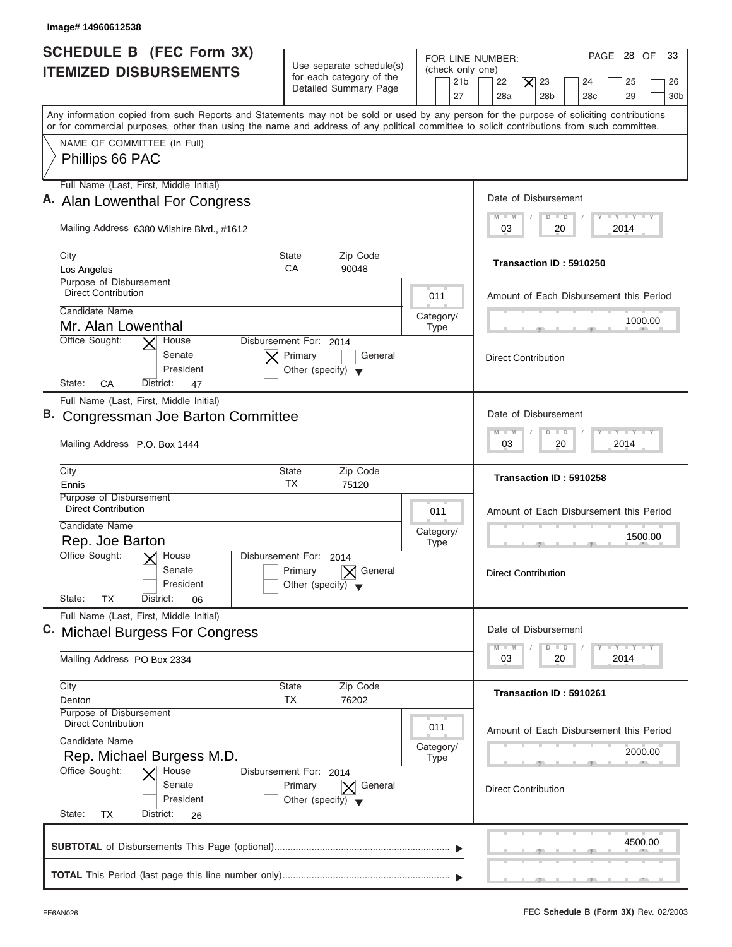| <b>SCHEDULE B</b> (FEC Form 3X)<br>PAGE 28 OF<br>FOR LINE NUMBER:<br>Use separate schedule(s)<br>(check only one)<br><b>ITEMIZED DISBURSEMENTS</b><br>for each category of the<br>21 <sub>b</sub><br>22<br>23<br>25<br>$\times$<br>24<br>Detailed Summary Page<br>27<br>28a<br>28 <sub>b</sub><br>29<br>28 <sub>c</sub><br>Any information copied from such Reports and Statements may not be sold or used by any person for the purpose of soliciting contributions<br>or for commercial purposes, other than using the name and address of any political committee to solicit contributions from such committee.<br>NAME OF COMMITTEE (In Full)<br>Phillips 66 PAC<br>Full Name (Last, First, Middle Initial)<br>Date of Disbursement<br>A. Alan Lowenthal For Congress<br>$T - Y = T - Y = T - Y$<br>$D$ $D$<br>$M - M$<br>Mailing Address 6380 Wilshire Blvd., #1612<br>2014<br>03<br>20<br>City<br>Zip Code<br>State<br>Transaction ID: 5910250<br>CA<br>Los Angeles<br>90048<br>Purpose of Disbursement<br><b>Direct Contribution</b><br>011<br>Amount of Each Disbursement this Period<br>Candidate Name<br>Category/<br>1000.00<br>Mr. Alan Lowenthal<br><b>Type</b><br>Office Sought:<br>Disbursement For: 2014<br>House<br>Senate<br>Primary<br>General<br><b>Direct Contribution</b><br>President<br>Other (specify) $\blacktriangledown$<br>State:<br>CA<br>District:<br>47<br>Full Name (Last, First, Middle Initial)<br>Date of Disbursement<br>B. Congressman Joe Barton Committee<br>$-Y - Y - Y - Y$<br>$\Box$<br>$M - M$<br>D<br>2014<br>Mailing Address P.O. Box 1444<br>03<br>20<br>City<br><b>State</b><br>Zip Code<br>Transaction ID: 5910258<br>ТX<br>Ennis<br>75120<br>Purpose of Disbursement<br><b>Direct Contribution</b><br>011<br>Amount of Each Disbursement this Period<br>Candidate Name<br>Category/<br>1500.00<br>Rep. Joe Barton<br><b>Type</b><br>$-5$<br>Office Sought:<br>$\overline{X}$ House<br>Disbursement For:<br>2014<br>Senate<br>General<br>Primary<br><b>Direct Contribution</b><br>President<br>Other (specify)<br>State:<br><b>TX</b><br>District:<br>06<br>Full Name (Last, First, Middle Initial)<br>Date of Disbursement<br>C. Michael Burgess For Congress<br>$T - Y$ $T - Y$<br>$M - M$<br>$\Box$<br>D<br>2014<br>03<br>20<br>Mailing Address PO Box 2334<br>City<br>State<br>Zip Code<br>Transaction ID: 5910261<br>TX<br>76202<br>Denton<br>Purpose of Disbursement<br><b>Direct Contribution</b><br>011<br>Amount of Each Disbursement this Period<br>Candidate Name<br>Category/<br>2000.00<br>Rep. Michael Burgess M.D.<br><b>Type</b><br>Office Sought:<br>House<br>Disbursement For: 2014<br>Senate<br>Primary<br>$\vert \mathsf{X} \vert$ General<br><b>Direct Contribution</b><br>President<br>Other (specify) $\blacktriangledown$<br>State:<br>TX<br>District:<br>26<br>4500.00 |  |                             |
|--------------------------------------------------------------------------------------------------------------------------------------------------------------------------------------------------------------------------------------------------------------------------------------------------------------------------------------------------------------------------------------------------------------------------------------------------------------------------------------------------------------------------------------------------------------------------------------------------------------------------------------------------------------------------------------------------------------------------------------------------------------------------------------------------------------------------------------------------------------------------------------------------------------------------------------------------------------------------------------------------------------------------------------------------------------------------------------------------------------------------------------------------------------------------------------------------------------------------------------------------------------------------------------------------------------------------------------------------------------------------------------------------------------------------------------------------------------------------------------------------------------------------------------------------------------------------------------------------------------------------------------------------------------------------------------------------------------------------------------------------------------------------------------------------------------------------------------------------------------------------------------------------------------------------------------------------------------------------------------------------------------------------------------------------------------------------------------------------------------------------------------------------------------------------------------------------------------------------------------------------------------------------------------------------------------------------------------------------------------------------------------------------------------------------------------------------------------------------------------------------------------------------------------------------------------------------------------------------------------------------------------------------------------------------------------------------------------------------------------------------------------------------------------------------------------------------------------------------|--|-----------------------------|
|                                                                                                                                                                                                                                                                                                                                                                                                                                                                                                                                                                                                                                                                                                                                                                                                                                                                                                                                                                                                                                                                                                                                                                                                                                                                                                                                                                                                                                                                                                                                                                                                                                                                                                                                                                                                                                                                                                                                                                                                                                                                                                                                                                                                                                                                                                                                                                                                                                                                                                                                                                                                                                                                                                                                                                                                                                                  |  | 33<br>26<br>30 <sub>b</sub> |
|                                                                                                                                                                                                                                                                                                                                                                                                                                                                                                                                                                                                                                                                                                                                                                                                                                                                                                                                                                                                                                                                                                                                                                                                                                                                                                                                                                                                                                                                                                                                                                                                                                                                                                                                                                                                                                                                                                                                                                                                                                                                                                                                                                                                                                                                                                                                                                                                                                                                                                                                                                                                                                                                                                                                                                                                                                                  |  |                             |
|                                                                                                                                                                                                                                                                                                                                                                                                                                                                                                                                                                                                                                                                                                                                                                                                                                                                                                                                                                                                                                                                                                                                                                                                                                                                                                                                                                                                                                                                                                                                                                                                                                                                                                                                                                                                                                                                                                                                                                                                                                                                                                                                                                                                                                                                                                                                                                                                                                                                                                                                                                                                                                                                                                                                                                                                                                                  |  |                             |
|                                                                                                                                                                                                                                                                                                                                                                                                                                                                                                                                                                                                                                                                                                                                                                                                                                                                                                                                                                                                                                                                                                                                                                                                                                                                                                                                                                                                                                                                                                                                                                                                                                                                                                                                                                                                                                                                                                                                                                                                                                                                                                                                                                                                                                                                                                                                                                                                                                                                                                                                                                                                                                                                                                                                                                                                                                                  |  |                             |
|                                                                                                                                                                                                                                                                                                                                                                                                                                                                                                                                                                                                                                                                                                                                                                                                                                                                                                                                                                                                                                                                                                                                                                                                                                                                                                                                                                                                                                                                                                                                                                                                                                                                                                                                                                                                                                                                                                                                                                                                                                                                                                                                                                                                                                                                                                                                                                                                                                                                                                                                                                                                                                                                                                                                                                                                                                                  |  |                             |
|                                                                                                                                                                                                                                                                                                                                                                                                                                                                                                                                                                                                                                                                                                                                                                                                                                                                                                                                                                                                                                                                                                                                                                                                                                                                                                                                                                                                                                                                                                                                                                                                                                                                                                                                                                                                                                                                                                                                                                                                                                                                                                                                                                                                                                                                                                                                                                                                                                                                                                                                                                                                                                                                                                                                                                                                                                                  |  |                             |
|                                                                                                                                                                                                                                                                                                                                                                                                                                                                                                                                                                                                                                                                                                                                                                                                                                                                                                                                                                                                                                                                                                                                                                                                                                                                                                                                                                                                                                                                                                                                                                                                                                                                                                                                                                                                                                                                                                                                                                                                                                                                                                                                                                                                                                                                                                                                                                                                                                                                                                                                                                                                                                                                                                                                                                                                                                                  |  |                             |
|                                                                                                                                                                                                                                                                                                                                                                                                                                                                                                                                                                                                                                                                                                                                                                                                                                                                                                                                                                                                                                                                                                                                                                                                                                                                                                                                                                                                                                                                                                                                                                                                                                                                                                                                                                                                                                                                                                                                                                                                                                                                                                                                                                                                                                                                                                                                                                                                                                                                                                                                                                                                                                                                                                                                                                                                                                                  |  |                             |
|                                                                                                                                                                                                                                                                                                                                                                                                                                                                                                                                                                                                                                                                                                                                                                                                                                                                                                                                                                                                                                                                                                                                                                                                                                                                                                                                                                                                                                                                                                                                                                                                                                                                                                                                                                                                                                                                                                                                                                                                                                                                                                                                                                                                                                                                                                                                                                                                                                                                                                                                                                                                                                                                                                                                                                                                                                                  |  |                             |
|                                                                                                                                                                                                                                                                                                                                                                                                                                                                                                                                                                                                                                                                                                                                                                                                                                                                                                                                                                                                                                                                                                                                                                                                                                                                                                                                                                                                                                                                                                                                                                                                                                                                                                                                                                                                                                                                                                                                                                                                                                                                                                                                                                                                                                                                                                                                                                                                                                                                                                                                                                                                                                                                                                                                                                                                                                                  |  |                             |
|                                                                                                                                                                                                                                                                                                                                                                                                                                                                                                                                                                                                                                                                                                                                                                                                                                                                                                                                                                                                                                                                                                                                                                                                                                                                                                                                                                                                                                                                                                                                                                                                                                                                                                                                                                                                                                                                                                                                                                                                                                                                                                                                                                                                                                                                                                                                                                                                                                                                                                                                                                                                                                                                                                                                                                                                                                                  |  |                             |
|                                                                                                                                                                                                                                                                                                                                                                                                                                                                                                                                                                                                                                                                                                                                                                                                                                                                                                                                                                                                                                                                                                                                                                                                                                                                                                                                                                                                                                                                                                                                                                                                                                                                                                                                                                                                                                                                                                                                                                                                                                                                                                                                                                                                                                                                                                                                                                                                                                                                                                                                                                                                                                                                                                                                                                                                                                                  |  |                             |
|                                                                                                                                                                                                                                                                                                                                                                                                                                                                                                                                                                                                                                                                                                                                                                                                                                                                                                                                                                                                                                                                                                                                                                                                                                                                                                                                                                                                                                                                                                                                                                                                                                                                                                                                                                                                                                                                                                                                                                                                                                                                                                                                                                                                                                                                                                                                                                                                                                                                                                                                                                                                                                                                                                                                                                                                                                                  |  |                             |
|                                                                                                                                                                                                                                                                                                                                                                                                                                                                                                                                                                                                                                                                                                                                                                                                                                                                                                                                                                                                                                                                                                                                                                                                                                                                                                                                                                                                                                                                                                                                                                                                                                                                                                                                                                                                                                                                                                                                                                                                                                                                                                                                                                                                                                                                                                                                                                                                                                                                                                                                                                                                                                                                                                                                                                                                                                                  |  |                             |
|                                                                                                                                                                                                                                                                                                                                                                                                                                                                                                                                                                                                                                                                                                                                                                                                                                                                                                                                                                                                                                                                                                                                                                                                                                                                                                                                                                                                                                                                                                                                                                                                                                                                                                                                                                                                                                                                                                                                                                                                                                                                                                                                                                                                                                                                                                                                                                                                                                                                                                                                                                                                                                                                                                                                                                                                                                                  |  |                             |
|                                                                                                                                                                                                                                                                                                                                                                                                                                                                                                                                                                                                                                                                                                                                                                                                                                                                                                                                                                                                                                                                                                                                                                                                                                                                                                                                                                                                                                                                                                                                                                                                                                                                                                                                                                                                                                                                                                                                                                                                                                                                                                                                                                                                                                                                                                                                                                                                                                                                                                                                                                                                                                                                                                                                                                                                                                                  |  |                             |
|                                                                                                                                                                                                                                                                                                                                                                                                                                                                                                                                                                                                                                                                                                                                                                                                                                                                                                                                                                                                                                                                                                                                                                                                                                                                                                                                                                                                                                                                                                                                                                                                                                                                                                                                                                                                                                                                                                                                                                                                                                                                                                                                                                                                                                                                                                                                                                                                                                                                                                                                                                                                                                                                                                                                                                                                                                                  |  |                             |
|                                                                                                                                                                                                                                                                                                                                                                                                                                                                                                                                                                                                                                                                                                                                                                                                                                                                                                                                                                                                                                                                                                                                                                                                                                                                                                                                                                                                                                                                                                                                                                                                                                                                                                                                                                                                                                                                                                                                                                                                                                                                                                                                                                                                                                                                                                                                                                                                                                                                                                                                                                                                                                                                                                                                                                                                                                                  |  |                             |
|                                                                                                                                                                                                                                                                                                                                                                                                                                                                                                                                                                                                                                                                                                                                                                                                                                                                                                                                                                                                                                                                                                                                                                                                                                                                                                                                                                                                                                                                                                                                                                                                                                                                                                                                                                                                                                                                                                                                                                                                                                                                                                                                                                                                                                                                                                                                                                                                                                                                                                                                                                                                                                                                                                                                                                                                                                                  |  |                             |
|                                                                                                                                                                                                                                                                                                                                                                                                                                                                                                                                                                                                                                                                                                                                                                                                                                                                                                                                                                                                                                                                                                                                                                                                                                                                                                                                                                                                                                                                                                                                                                                                                                                                                                                                                                                                                                                                                                                                                                                                                                                                                                                                                                                                                                                                                                                                                                                                                                                                                                                                                                                                                                                                                                                                                                                                                                                  |  |                             |
|                                                                                                                                                                                                                                                                                                                                                                                                                                                                                                                                                                                                                                                                                                                                                                                                                                                                                                                                                                                                                                                                                                                                                                                                                                                                                                                                                                                                                                                                                                                                                                                                                                                                                                                                                                                                                                                                                                                                                                                                                                                                                                                                                                                                                                                                                                                                                                                                                                                                                                                                                                                                                                                                                                                                                                                                                                                  |  |                             |
|                                                                                                                                                                                                                                                                                                                                                                                                                                                                                                                                                                                                                                                                                                                                                                                                                                                                                                                                                                                                                                                                                                                                                                                                                                                                                                                                                                                                                                                                                                                                                                                                                                                                                                                                                                                                                                                                                                                                                                                                                                                                                                                                                                                                                                                                                                                                                                                                                                                                                                                                                                                                                                                                                                                                                                                                                                                  |  |                             |
|                                                                                                                                                                                                                                                                                                                                                                                                                                                                                                                                                                                                                                                                                                                                                                                                                                                                                                                                                                                                                                                                                                                                                                                                                                                                                                                                                                                                                                                                                                                                                                                                                                                                                                                                                                                                                                                                                                                                                                                                                                                                                                                                                                                                                                                                                                                                                                                                                                                                                                                                                                                                                                                                                                                                                                                                                                                  |  |                             |
|                                                                                                                                                                                                                                                                                                                                                                                                                                                                                                                                                                                                                                                                                                                                                                                                                                                                                                                                                                                                                                                                                                                                                                                                                                                                                                                                                                                                                                                                                                                                                                                                                                                                                                                                                                                                                                                                                                                                                                                                                                                                                                                                                                                                                                                                                                                                                                                                                                                                                                                                                                                                                                                                                                                                                                                                                                                  |  |                             |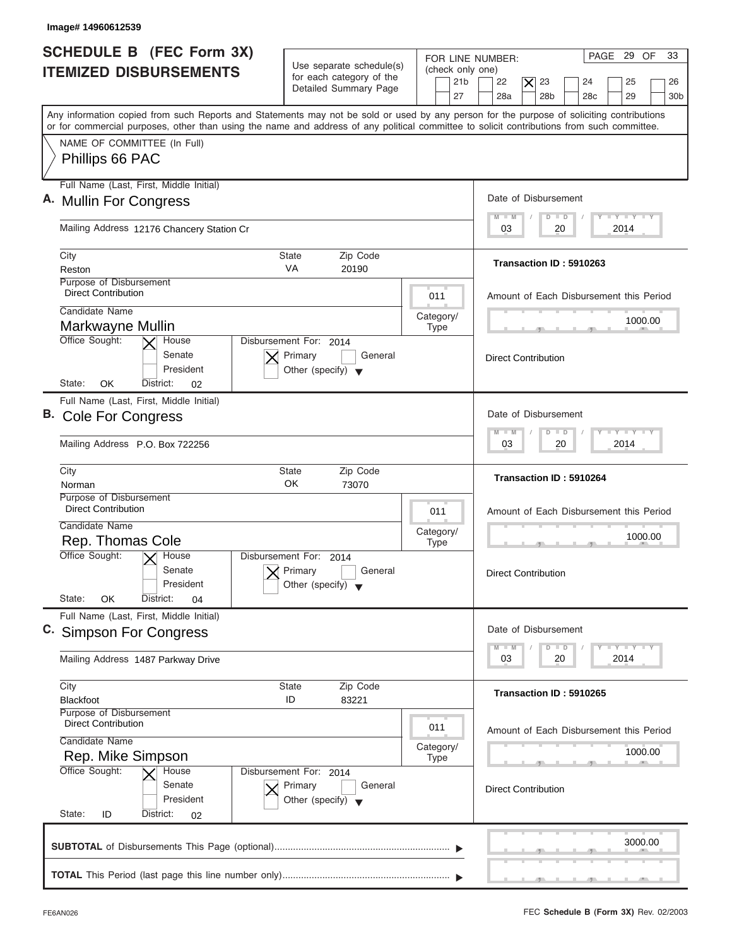| <b>SCHEDULE B (FEC Form 3X)</b><br><b>ITEMIZED DISBURSEMENTS</b>                                                                                                                                                                                                                        | Use separate schedule(s)<br>for each category of the<br>Detailed Summary Page        | FOR LINE NUMBER:<br>(check only one)<br>21 <sub>b</sub><br>27 | PAGE 29 OF<br>33<br>22<br>$\times$<br>23<br>25<br>24<br>26<br>28a<br>28 <sub>b</sub><br>28 <sub>c</sub><br>29<br>30 <sub>b</sub> |
|-----------------------------------------------------------------------------------------------------------------------------------------------------------------------------------------------------------------------------------------------------------------------------------------|--------------------------------------------------------------------------------------|---------------------------------------------------------------|----------------------------------------------------------------------------------------------------------------------------------|
| Any information copied from such Reports and Statements may not be sold or used by any person for the purpose of soliciting contributions<br>or for commercial purposes, other than using the name and address of any political committee to solicit contributions from such committee. |                                                                                      |                                                               |                                                                                                                                  |
| NAME OF COMMITTEE (In Full)<br>Phillips 66 PAC                                                                                                                                                                                                                                          |                                                                                      |                                                               |                                                                                                                                  |
| Full Name (Last, First, Middle Initial)                                                                                                                                                                                                                                                 |                                                                                      |                                                               | Date of Disbursement                                                                                                             |
| A. Mullin For Congress                                                                                                                                                                                                                                                                  |                                                                                      |                                                               | $T - Y = T - Y = T - Y$<br>$M - M$<br>$D$ $D$                                                                                    |
| Mailing Address 12176 Chancery Station Cr                                                                                                                                                                                                                                               |                                                                                      |                                                               | 2014<br>03<br>20                                                                                                                 |
| City<br>Reston                                                                                                                                                                                                                                                                          | Zip Code<br>State<br><b>VA</b><br>20190                                              |                                                               | Transaction ID: 5910263                                                                                                          |
| Purpose of Disbursement<br><b>Direct Contribution</b>                                                                                                                                                                                                                                   |                                                                                      | 011                                                           | Amount of Each Disbursement this Period                                                                                          |
| Candidate Name                                                                                                                                                                                                                                                                          |                                                                                      | Category/                                                     | 1000.00                                                                                                                          |
| Markwayne Mullin<br>Office Sought:<br>House                                                                                                                                                                                                                                             | Disbursement For: 2014                                                               | <b>Type</b>                                                   |                                                                                                                                  |
| Senate<br>President<br>State:<br>OK<br>District:<br>02                                                                                                                                                                                                                                  | Primary<br>General<br>Other (specify) $\blacktriangledown$                           |                                                               | <b>Direct Contribution</b>                                                                                                       |
| Full Name (Last, First, Middle Initial)                                                                                                                                                                                                                                                 |                                                                                      |                                                               |                                                                                                                                  |
| В.<br><b>Cole For Congress</b>                                                                                                                                                                                                                                                          |                                                                                      |                                                               | Date of Disbursement                                                                                                             |
| Mailing Address P.O. Box 722256                                                                                                                                                                                                                                                         |                                                                                      |                                                               | $-1 - Y - 1 - Y - 1 - Y$<br>$M - M$<br>$\overline{D}$<br>$\Box$<br>2014<br>03<br>20                                              |
| City<br>Norman                                                                                                                                                                                                                                                                          | Zip Code<br><b>State</b><br>OK<br>73070                                              |                                                               | Transaction ID: 5910264                                                                                                          |
| Purpose of Disbursement<br><b>Direct Contribution</b>                                                                                                                                                                                                                                   |                                                                                      | 011                                                           | Amount of Each Disbursement this Period                                                                                          |
| Candidate Name                                                                                                                                                                                                                                                                          |                                                                                      | Category/                                                     | 1000.00                                                                                                                          |
| Rep. Thomas Cole<br>Office Sought:<br>$\chi$ House<br>Senate<br>President                                                                                                                                                                                                               | Disbursement For:<br>2014<br>Primary<br>General<br>Other (specify)                   | <b>Type</b>                                                   | __<br><b>Direct Contribution</b>                                                                                                 |
| State:<br>OK<br>District:<br>04                                                                                                                                                                                                                                                         |                                                                                      |                                                               |                                                                                                                                  |
| Full Name (Last, First, Middle Initial)<br>C. Simpson For Congress                                                                                                                                                                                                                      |                                                                                      |                                                               | Date of Disbursement<br>$\bot$ $\gamma$ $\bot$ $\gamma$ $\bot$ $\gamma$<br>$M - M$<br>D<br>$\Box$                                |
| Mailing Address 1487 Parkway Drive                                                                                                                                                                                                                                                      |                                                                                      |                                                               | 2014<br>03<br>20                                                                                                                 |
| City<br><b>Blackfoot</b>                                                                                                                                                                                                                                                                | Zip Code<br>State<br>ID<br>83221                                                     |                                                               | Transaction ID: 5910265                                                                                                          |
| <b>Purpose of Disbursement</b><br><b>Direct Contribution</b>                                                                                                                                                                                                                            |                                                                                      | 011                                                           | Amount of Each Disbursement this Period                                                                                          |
| Candidate Name<br>Rep. Mike Simpson                                                                                                                                                                                                                                                     |                                                                                      | Category/<br><b>Type</b>                                      | 1000.00                                                                                                                          |
| Office Sought:<br>House<br>Senate<br>President<br>State:<br>ID<br>District:<br>02                                                                                                                                                                                                       | Disbursement For: 2014<br>Primary<br>General<br>Other (specify) $\blacktriangledown$ |                                                               | <b>Direct Contribution</b>                                                                                                       |
|                                                                                                                                                                                                                                                                                         |                                                                                      |                                                               |                                                                                                                                  |
|                                                                                                                                                                                                                                                                                         |                                                                                      |                                                               | 3000.00                                                                                                                          |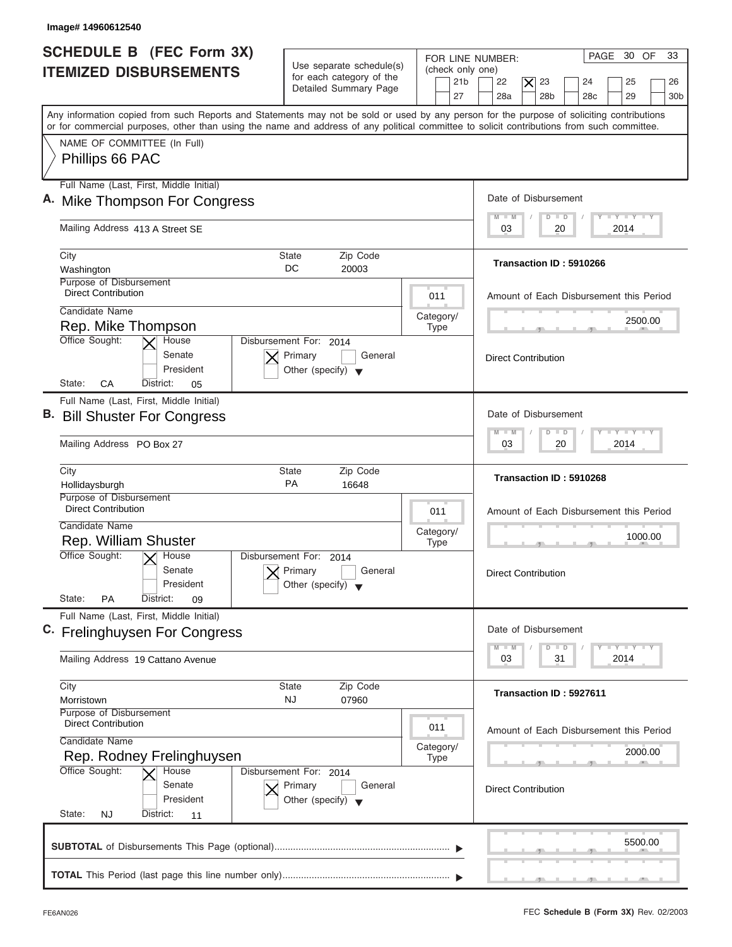| <b>SCHEDULE B</b> (FEC Form 3X)<br><b>ITEMIZED DISBURSEMENTS</b>                                                                                                                                                                                                                        | Use separate schedule(s)<br>for each category of the<br>Detailed Summary Page        | FOR LINE NUMBER:<br>(check only one)<br>21 <sub>b</sub><br>27 | PAGE 30 OF<br>33<br>22<br>$\times$<br>23<br>25<br>24<br>26<br>28a<br>28 <sub>b</sub><br>28 <sub>c</sub><br>29<br>30 <sub>b</sub> |
|-----------------------------------------------------------------------------------------------------------------------------------------------------------------------------------------------------------------------------------------------------------------------------------------|--------------------------------------------------------------------------------------|---------------------------------------------------------------|----------------------------------------------------------------------------------------------------------------------------------|
| Any information copied from such Reports and Statements may not be sold or used by any person for the purpose of soliciting contributions<br>or for commercial purposes, other than using the name and address of any political committee to solicit contributions from such committee. |                                                                                      |                                                               |                                                                                                                                  |
| NAME OF COMMITTEE (In Full)<br>Phillips 66 PAC                                                                                                                                                                                                                                          |                                                                                      |                                                               |                                                                                                                                  |
| Full Name (Last, First, Middle Initial)                                                                                                                                                                                                                                                 |                                                                                      |                                                               |                                                                                                                                  |
| A. Mike Thompson For Congress                                                                                                                                                                                                                                                           |                                                                                      |                                                               | Date of Disbursement                                                                                                             |
| Mailing Address 413 A Street SE                                                                                                                                                                                                                                                         |                                                                                      |                                                               | $L - Y = L - Y = L - Y$<br>$M - M$<br>$\Box$<br>D<br>2014<br>03<br>20                                                            |
| City                                                                                                                                                                                                                                                                                    | <b>State</b><br>Zip Code                                                             |                                                               |                                                                                                                                  |
| Washington                                                                                                                                                                                                                                                                              | DC<br>20003                                                                          |                                                               | Transaction ID: 5910266                                                                                                          |
| Purpose of Disbursement<br><b>Direct Contribution</b>                                                                                                                                                                                                                                   |                                                                                      | 011                                                           | Amount of Each Disbursement this Period                                                                                          |
| Candidate Name                                                                                                                                                                                                                                                                          |                                                                                      | Category/                                                     | 2500.00                                                                                                                          |
| Rep. Mike Thompson<br>Office Sought:<br>House                                                                                                                                                                                                                                           | Disbursement For: 2014                                                               | <b>Type</b>                                                   |                                                                                                                                  |
| Senate<br>President<br>CA<br>State:<br>District:<br>05                                                                                                                                                                                                                                  | Primary<br>General<br>Other (specify) $\blacktriangledown$                           |                                                               | <b>Direct Contribution</b>                                                                                                       |
| Full Name (Last, First, Middle Initial)                                                                                                                                                                                                                                                 |                                                                                      |                                                               |                                                                                                                                  |
| B. Bill Shuster For Congress                                                                                                                                                                                                                                                            |                                                                                      |                                                               | Date of Disbursement                                                                                                             |
| Mailing Address PO Box 27                                                                                                                                                                                                                                                               |                                                                                      |                                                               | $-Y$ $+Y$ $-+Y$<br>$M - M$<br>$\overline{D}$<br>$\blacksquare$<br>2014<br>03<br>20                                               |
| City<br>Hollidaysburgh                                                                                                                                                                                                                                                                  | <b>State</b><br>Zip Code<br><b>PA</b><br>16648                                       |                                                               | Transaction ID: 5910268                                                                                                          |
| Purpose of Disbursement<br><b>Direct Contribution</b>                                                                                                                                                                                                                                   |                                                                                      | 011                                                           | Amount of Each Disbursement this Period                                                                                          |
| Candidate Name                                                                                                                                                                                                                                                                          |                                                                                      | Category/                                                     |                                                                                                                                  |
| Rep. William Shuster                                                                                                                                                                                                                                                                    |                                                                                      | <b>Type</b>                                                   | 1000.00<br>__                                                                                                                    |
| Office Sought:<br>$\overline{X}$ House<br>Senate<br>President<br>State:<br>PA<br>District:<br>09                                                                                                                                                                                        | Disbursement For:<br>2014<br>Primary<br>General<br>Other (specify)                   |                                                               | <b>Direct Contribution</b>                                                                                                       |
| Full Name (Last, First, Middle Initial)                                                                                                                                                                                                                                                 |                                                                                      |                                                               |                                                                                                                                  |
| C. Frelinghuysen For Congress                                                                                                                                                                                                                                                           |                                                                                      |                                                               | Date of Disbursement<br>$\mathbf{I} \mathbf{Y}$ $\mathbf{I} \mathbf{Y}$ $\mathbf{I} \mathbf{Y}$<br>$M - M$<br>$\Box$<br>D        |
| Mailing Address 19 Cattano Avenue                                                                                                                                                                                                                                                       |                                                                                      |                                                               | 2014<br>03<br>31                                                                                                                 |
| City<br>Morristown                                                                                                                                                                                                                                                                      | Zip Code<br>State<br><b>NJ</b><br>07960                                              |                                                               | Transaction ID: 5927611                                                                                                          |
| Purpose of Disbursement<br><b>Direct Contribution</b><br>Candidate Name                                                                                                                                                                                                                 |                                                                                      | 011                                                           | Amount of Each Disbursement this Period                                                                                          |
| Rep. Rodney Frelinghuysen                                                                                                                                                                                                                                                               |                                                                                      | Category/<br><b>Type</b>                                      | 2000.00                                                                                                                          |
| Office Sought:<br>House<br>Senate                                                                                                                                                                                                                                                       | Disbursement For: 2014<br>Primary<br>General<br>Other (specify) $\blacktriangledown$ |                                                               | <b>Direct Contribution</b>                                                                                                       |
| President                                                                                                                                                                                                                                                                               |                                                                                      |                                                               |                                                                                                                                  |
| State:<br><b>NJ</b><br>District:<br>11                                                                                                                                                                                                                                                  |                                                                                      |                                                               | 5500.00                                                                                                                          |

ı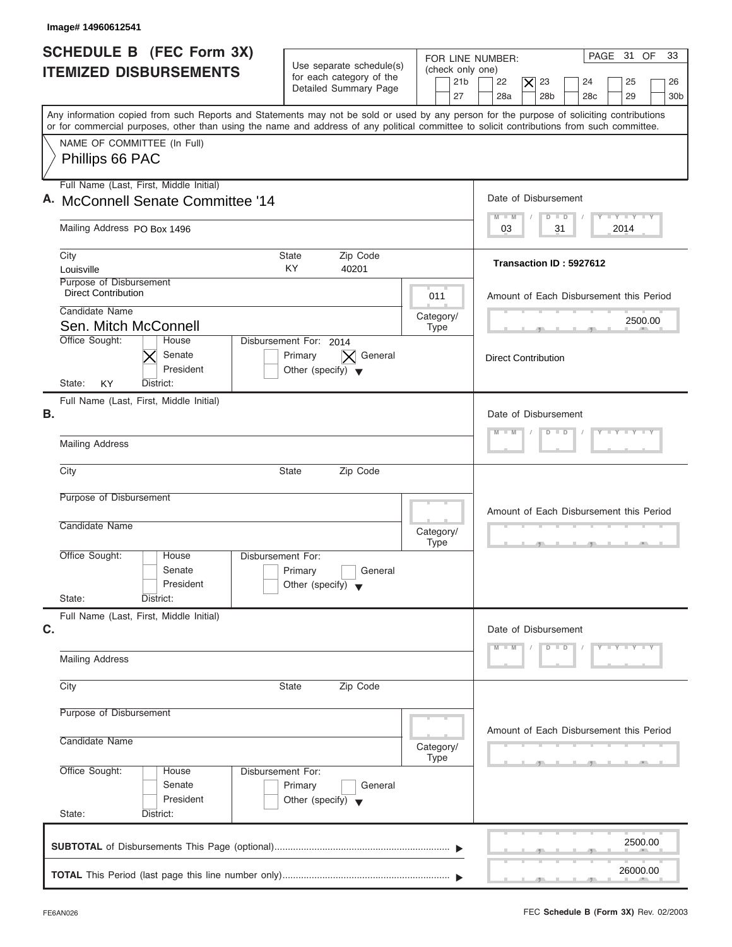| Image# 14960612541                                                                                                                                                                                                                                                                      |                                                                               |                                                               |                                                                                                                                                 |
|-----------------------------------------------------------------------------------------------------------------------------------------------------------------------------------------------------------------------------------------------------------------------------------------|-------------------------------------------------------------------------------|---------------------------------------------------------------|-------------------------------------------------------------------------------------------------------------------------------------------------|
| SCHEDULE B (FEC Form 3X)<br><b>ITEMIZED DISBURSEMENTS</b>                                                                                                                                                                                                                               | Use separate schedule(s)<br>for each category of the<br>Detailed Summary Page | FOR LINE NUMBER:<br>(check only one)<br>21 <sub>b</sub><br>27 | PAGE 31 OF<br>33<br>22<br>$ \boldsymbol{\times} $<br>23<br>24<br>25<br>26<br>28a<br>28 <sub>b</sub><br>28 <sub>c</sub><br>29<br>30 <sub>b</sub> |
| Any information copied from such Reports and Statements may not be sold or used by any person for the purpose of soliciting contributions<br>or for commercial purposes, other than using the name and address of any political committee to solicit contributions from such committee. |                                                                               |                                                               |                                                                                                                                                 |
| NAME OF COMMITTEE (In Full)<br>Phillips 66 PAC                                                                                                                                                                                                                                          |                                                                               |                                                               |                                                                                                                                                 |
| Full Name (Last, First, Middle Initial)<br>A. McConnell Senate Committee '14                                                                                                                                                                                                            |                                                                               |                                                               | Date of Disbursement                                                                                                                            |
| Mailing Address PO Box 1496                                                                                                                                                                                                                                                             |                                                                               |                                                               | $\mathbf{I} \mathbf{Y} \mathbf{I} \mathbf{Y}$<br>$M - M$<br>$D$ $D$<br>03<br>31<br>2014                                                         |
| City<br>Louisville                                                                                                                                                                                                                                                                      | Zip Code<br><b>State</b><br><b>KY</b><br>40201                                |                                                               | Transaction ID: 5927612                                                                                                                         |
| Purpose of Disbursement<br><b>Direct Contribution</b><br>Candidate Name                                                                                                                                                                                                                 |                                                                               | 011                                                           | Amount of Each Disbursement this Period                                                                                                         |
| Sen. Mitch McConnell<br>Office Sought:<br>House                                                                                                                                                                                                                                         | Disbursement For: 2014                                                        | Category/<br>Type                                             | 2500.00                                                                                                                                         |
| Senate<br>President<br><b>KY</b>                                                                                                                                                                                                                                                        | General<br>Primary<br>Other (specify) $\blacktriangledown$                    |                                                               | <b>Direct Contribution</b>                                                                                                                      |
| State:<br>District:<br>Full Name (Last, First, Middle Initial)<br>В.                                                                                                                                                                                                                    |                                                                               |                                                               | Date of Disbursement                                                                                                                            |
| <b>Mailing Address</b>                                                                                                                                                                                                                                                                  |                                                                               |                                                               | $T - Y = Y - T Y$<br>$M - M$<br>$D$ $D$                                                                                                         |
| City                                                                                                                                                                                                                                                                                    | <b>State</b><br>Zip Code                                                      |                                                               |                                                                                                                                                 |
| Purpose of Disbursement<br>Candidate Name                                                                                                                                                                                                                                               |                                                                               | Category/<br><b>Type</b>                                      | Amount of Each Disbursement this Period<br>$\mathcal{F}$ and $\mathcal{F}$ and $\mathcal{F}$                                                    |
| Office Sought:<br>House<br>Disbursement For:<br>Senate<br>President<br>State:<br>District:                                                                                                                                                                                              | Primary<br>General<br>Other (specify) $\blacktriangledown$                    |                                                               |                                                                                                                                                 |
| Full Name (Last, First, Middle Initial)<br>C.                                                                                                                                                                                                                                           |                                                                               |                                                               | Date of Disbursement                                                                                                                            |
| <b>Mailing Address</b>                                                                                                                                                                                                                                                                  |                                                                               |                                                               | $Y - Y - Y - Y$<br>$D$ $D$<br>$M - M$                                                                                                           |
| City                                                                                                                                                                                                                                                                                    | Zip Code<br>State                                                             |                                                               |                                                                                                                                                 |
| Purpose of Disbursement<br>Candidate Name                                                                                                                                                                                                                                               |                                                                               |                                                               | Amount of Each Disbursement this Period                                                                                                         |
| Office Sought:<br>Disbursement For:<br>House                                                                                                                                                                                                                                            |                                                                               | Category/<br>Type                                             |                                                                                                                                                 |
| Senate<br>President<br>State:<br>District:                                                                                                                                                                                                                                              | Primary<br>General<br>Other (specify) $\blacktriangledown$                    |                                                               |                                                                                                                                                 |
|                                                                                                                                                                                                                                                                                         |                                                                               |                                                               | 2500.00                                                                                                                                         |
|                                                                                                                                                                                                                                                                                         |                                                                               |                                                               | 26000.00                                                                                                                                        |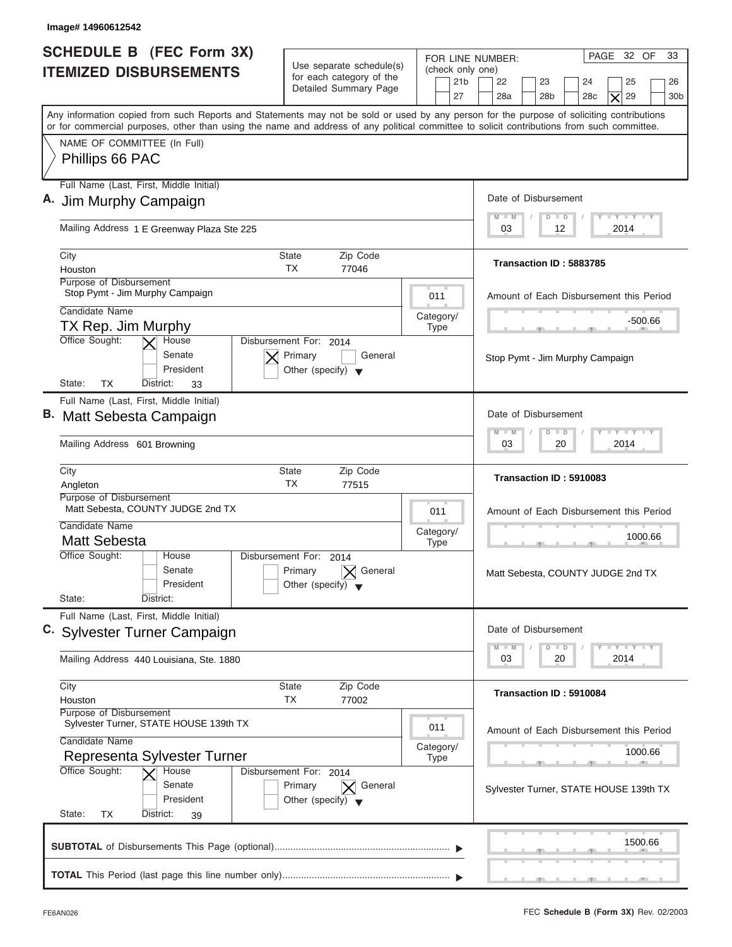| Image# 14960612542                                                                                                                                                                                                                                                                      |                                                                                      |                                                               |                                                                                                                                                                                                                       |
|-----------------------------------------------------------------------------------------------------------------------------------------------------------------------------------------------------------------------------------------------------------------------------------------|--------------------------------------------------------------------------------------|---------------------------------------------------------------|-----------------------------------------------------------------------------------------------------------------------------------------------------------------------------------------------------------------------|
| <b>SCHEDULE B (FEC Form 3X)</b><br><b>ITEMIZED DISBURSEMENTS</b>                                                                                                                                                                                                                        | Use separate schedule(s)<br>for each category of the<br>Detailed Summary Page        | FOR LINE NUMBER:<br>(check only one)<br>21 <sub>b</sub><br>27 | PAGE 32 OF<br>33<br>22<br>23<br>25<br>24<br>26<br>28 <sub>b</sub><br>29<br>28a<br>28 <sub>c</sub><br>30 <sub>b</sub><br>X                                                                                             |
| Any information copied from such Reports and Statements may not be sold or used by any person for the purpose of soliciting contributions<br>or for commercial purposes, other than using the name and address of any political committee to solicit contributions from such committee. |                                                                                      |                                                               |                                                                                                                                                                                                                       |
| NAME OF COMMITTEE (In Full)<br>Phillips 66 PAC                                                                                                                                                                                                                                          |                                                                                      |                                                               |                                                                                                                                                                                                                       |
| Full Name (Last, First, Middle Initial)                                                                                                                                                                                                                                                 |                                                                                      |                                                               |                                                                                                                                                                                                                       |
| A. Jim Murphy Campaign                                                                                                                                                                                                                                                                  |                                                                                      |                                                               | Date of Disbursement                                                                                                                                                                                                  |
| Mailing Address 1 E Greenway Plaza Ste 225                                                                                                                                                                                                                                              |                                                                                      |                                                               | $T - Y = T - Y = T - Y$<br>$M - M$<br>$D$ $D$<br>2014<br>03<br>12                                                                                                                                                     |
| City                                                                                                                                                                                                                                                                                    | Zip Code<br>State                                                                    |                                                               | Transaction ID: 5883785                                                                                                                                                                                               |
| Houston<br>Purpose of Disbursement                                                                                                                                                                                                                                                      | <b>TX</b><br>77046                                                                   |                                                               |                                                                                                                                                                                                                       |
| Stop Pymt - Jim Murphy Campaign                                                                                                                                                                                                                                                         |                                                                                      | 011                                                           | Amount of Each Disbursement this Period                                                                                                                                                                               |
| Candidate Name                                                                                                                                                                                                                                                                          |                                                                                      | Category/                                                     | -500.66                                                                                                                                                                                                               |
| TX Rep. Jim Murphy<br>Office Sought:<br>House                                                                                                                                                                                                                                           | Disbursement For: 2014                                                               | <b>Type</b>                                                   |                                                                                                                                                                                                                       |
| Senate<br>President<br>State:<br><b>TX</b><br>District:<br>33                                                                                                                                                                                                                           | Primary<br>General<br>Other (specify) $\blacktriangledown$                           |                                                               | Stop Pymt - Jim Murphy Campaign                                                                                                                                                                                       |
| Full Name (Last, First, Middle Initial)                                                                                                                                                                                                                                                 |                                                                                      |                                                               |                                                                                                                                                                                                                       |
| B. Matt Sebesta Campaign                                                                                                                                                                                                                                                                |                                                                                      |                                                               | Date of Disbursement                                                                                                                                                                                                  |
| Mailing Address 601 Browning                                                                                                                                                                                                                                                            |                                                                                      |                                                               | <b>LEYTHEY LE</b><br>M<br>$-W$<br>$\overline{D}$<br>$\Box$<br>2014<br>03<br>20                                                                                                                                        |
| City<br>Angleton                                                                                                                                                                                                                                                                        | <b>State</b><br>Zip Code<br>TX<br>77515                                              |                                                               | Transaction ID: 5910083                                                                                                                                                                                               |
| Purpose of Disbursement                                                                                                                                                                                                                                                                 |                                                                                      |                                                               |                                                                                                                                                                                                                       |
| Matt Sebesta, COUNTY JUDGE 2nd TX<br>Candidate Name                                                                                                                                                                                                                                     |                                                                                      | 011                                                           | Amount of Each Disbursement this Period                                                                                                                                                                               |
| <b>Matt Sebesta</b>                                                                                                                                                                                                                                                                     |                                                                                      | Category/<br><b>Type</b>                                      | 1000.66                                                                                                                                                                                                               |
| Office Sought:<br>House                                                                                                                                                                                                                                                                 | Disbursement For:<br>2014                                                            |                                                               |                                                                                                                                                                                                                       |
| Senate<br>President                                                                                                                                                                                                                                                                     | General<br>Primary<br>Other (specify)                                                |                                                               | Matt Sebesta, COUNTY JUDGE 2nd TX                                                                                                                                                                                     |
| State:<br>District:                                                                                                                                                                                                                                                                     |                                                                                      |                                                               |                                                                                                                                                                                                                       |
| Full Name (Last, First, Middle Initial)                                                                                                                                                                                                                                                 |                                                                                      |                                                               |                                                                                                                                                                                                                       |
| C. Sylvester Turner Campaign                                                                                                                                                                                                                                                            |                                                                                      |                                                               | Date of Disbursement                                                                                                                                                                                                  |
| Mailing Address 440 Louisiana, Ste. 1880                                                                                                                                                                                                                                                |                                                                                      |                                                               | $\frac{1}{2}$ $\frac{1}{2}$ $\frac{1}{2}$ $\frac{1}{2}$ $\frac{1}{2}$ $\frac{1}{2}$ $\frac{1}{2}$ $\frac{1}{2}$ $\frac{1}{2}$ $\frac{1}{2}$ $\frac{1}{2}$ $\frac{1}{2}$<br>$M - M$<br>D<br>$\Box$<br>2014<br>03<br>20 |
| City                                                                                                                                                                                                                                                                                    | Zip Code<br>State                                                                    |                                                               | Transaction ID: 5910084                                                                                                                                                                                               |
| Houston<br>Purpose of Disbursement                                                                                                                                                                                                                                                      | ТX<br>77002                                                                          |                                                               |                                                                                                                                                                                                                       |
| Sylvester Turner, STATE HOUSE 139th TX                                                                                                                                                                                                                                                  |                                                                                      | 011                                                           | Amount of Each Disbursement this Period                                                                                                                                                                               |
| Candidate Name<br>Representa Sylvester Turner                                                                                                                                                                                                                                           |                                                                                      | Category/<br><b>Type</b>                                      | 1000.66                                                                                                                                                                                                               |
| Office Sought:<br>House<br>Senate<br>President                                                                                                                                                                                                                                          | Disbursement For: 2014<br>Primary<br>General<br>Other (specify) $\blacktriangledown$ |                                                               | Sylvester Turner, STATE HOUSE 139th TX                                                                                                                                                                                |
| State:<br>TX<br>District:<br>39                                                                                                                                                                                                                                                         |                                                                                      |                                                               |                                                                                                                                                                                                                       |
|                                                                                                                                                                                                                                                                                         |                                                                                      |                                                               |                                                                                                                                                                                                                       |

ı